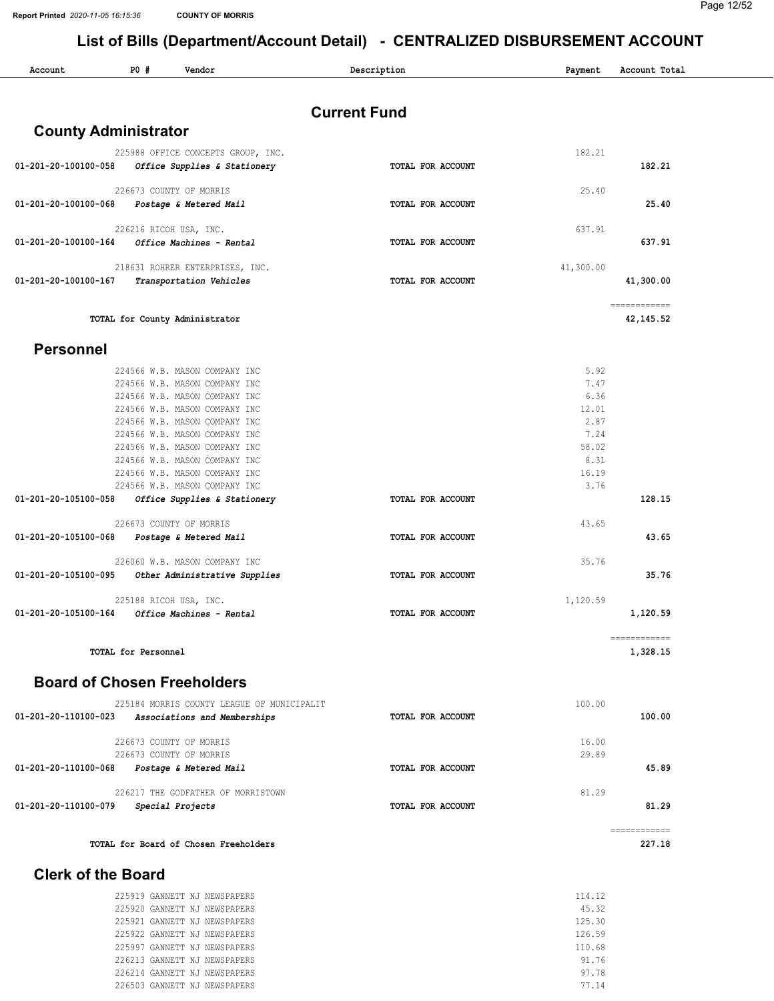| Account                     | PO #<br>Vendor                                                 | Description         | Payment       | Account Total |
|-----------------------------|----------------------------------------------------------------|---------------------|---------------|---------------|
|                             |                                                                | <b>Current Fund</b> |               |               |
| <b>County Administrator</b> |                                                                |                     |               |               |
|                             | 225988 OFFICE CONCEPTS GROUP, INC.                             |                     | 182.21        |               |
|                             | 01-201-20-100100-058 Office Supplies & Stationery              | TOTAL FOR ACCOUNT   |               | 182.21        |
|                             | 226673 COUNTY OF MORRIS                                        |                     | 25.40         |               |
|                             | 01-201-20-100100-068 Postage & Metered Mail                    | TOTAL FOR ACCOUNT   |               | 25.40         |
|                             |                                                                |                     |               |               |
|                             | 226216 RICOH USA, INC.                                         | TOTAL FOR ACCOUNT   | 637.91        | 637.91        |
|                             |                                                                |                     |               |               |
|                             | 218631 ROHRER ENTERPRISES, INC.                                |                     | 41,300.00     |               |
|                             | 01-201-20-100100-167 Transportation Vehicles                   | TOTAL FOR ACCOUNT   |               | 41,300.00     |
|                             |                                                                |                     |               | ============  |
|                             | TOTAL for County Administrator                                 |                     |               | 42,145.52     |
| <b>Personnel</b>            |                                                                |                     |               |               |
|                             | 224566 W.B. MASON COMPANY INC                                  |                     | 5.92          |               |
|                             | 224566 W.B. MASON COMPANY INC                                  |                     | 7.47          |               |
|                             | 224566 W.B. MASON COMPANY INC                                  |                     | 6.36          |               |
|                             | 224566 W.B. MASON COMPANY INC<br>224566 W.B. MASON COMPANY INC |                     | 12.01<br>2.87 |               |
|                             | 224566 W.B. MASON COMPANY INC                                  |                     | 7.24          |               |
|                             | 224566 W.B. MASON COMPANY INC                                  |                     | 58.02         |               |
|                             | 224566 W.B. MASON COMPANY INC                                  |                     | 8.31          |               |
|                             | 224566 W.B. MASON COMPANY INC<br>224566 W.B. MASON COMPANY INC |                     | 16.19<br>3.76 |               |
| 01-201-20-105100-058        | Office Supplies & Stationery                                   | TOTAL FOR ACCOUNT   |               | 128.15        |
|                             | 226673 COUNTY OF MORRIS                                        |                     | 43.65         |               |
|                             | 01-201-20-105100-068    Postage & Metered Mail                 | TOTAL FOR ACCOUNT   |               | 43.65         |
|                             | 226060 W.B. MASON COMPANY INC                                  |                     | 35.76         |               |
|                             | 01-201-20-105100-095 Other Administrative Supplies             | TOTAL FOR ACCOUNT   |               | 35.76         |
|                             | 225188 RICOH USA, INC.                                         |                     | 1,120.59      |               |
|                             | 01-201-20-105100-164 Office Machines - Rental                  | TOTAL FOR ACCOUNT   |               | 1,120.59      |
|                             |                                                                |                     |               | ------------  |
|                             | <b>TOTAL for Personnel</b>                                     |                     |               | 1,328.15      |
|                             | <b>Board of Chosen Freeholders</b>                             |                     |               |               |
|                             | 225184 MORRIS COUNTY LEAGUE OF MUNICIPALIT                     |                     | 100.00        |               |
| 01-201-20-110100-023        | Associations and Memberships                                   | TOTAL FOR ACCOUNT   |               | 100.00        |
|                             | 226673 COUNTY OF MORRIS                                        |                     | 16.00         |               |
|                             | 226673 COUNTY OF MORRIS                                        |                     | 29.89         |               |
| 01-201-20-110100-068        | Postage & Metered Mail                                         | TOTAL FOR ACCOUNT   |               | 45.89         |
|                             | 226217 THE GODFATHER OF MORRISTOWN                             |                     | 81.29         |               |
| 01-201-20-110100-079        | Special Projects                                               | TOTAL FOR ACCOUNT   |               | 81.29         |
|                             |                                                                |                     |               | ============  |
|                             | TOTAL for Board of Chosen Freeholders                          |                     |               | 227.18        |

|  |  | 225919 GANNETT NJ NEWSPAPERS | 114.12 |  |
|--|--|------------------------------|--------|--|
|  |  | 225920 GANNETT NJ NEWSPAPERS | 45.32  |  |
|  |  | 225921 GANNETT NJ NEWSPAPERS | 125.30 |  |
|  |  | 225922 GANNETT NJ NEWSPAPERS | 126.59 |  |
|  |  | 225997 GANNETT NJ NEWSPAPERS | 110.68 |  |
|  |  | 226213 GANNETT NJ NEWSPAPERS | 91.76  |  |
|  |  | 226214 GANNETT NJ NEWSPAPERS | 97.78  |  |
|  |  | 226503 GANNETT NJ NEWSPAPERS | 77.14  |  |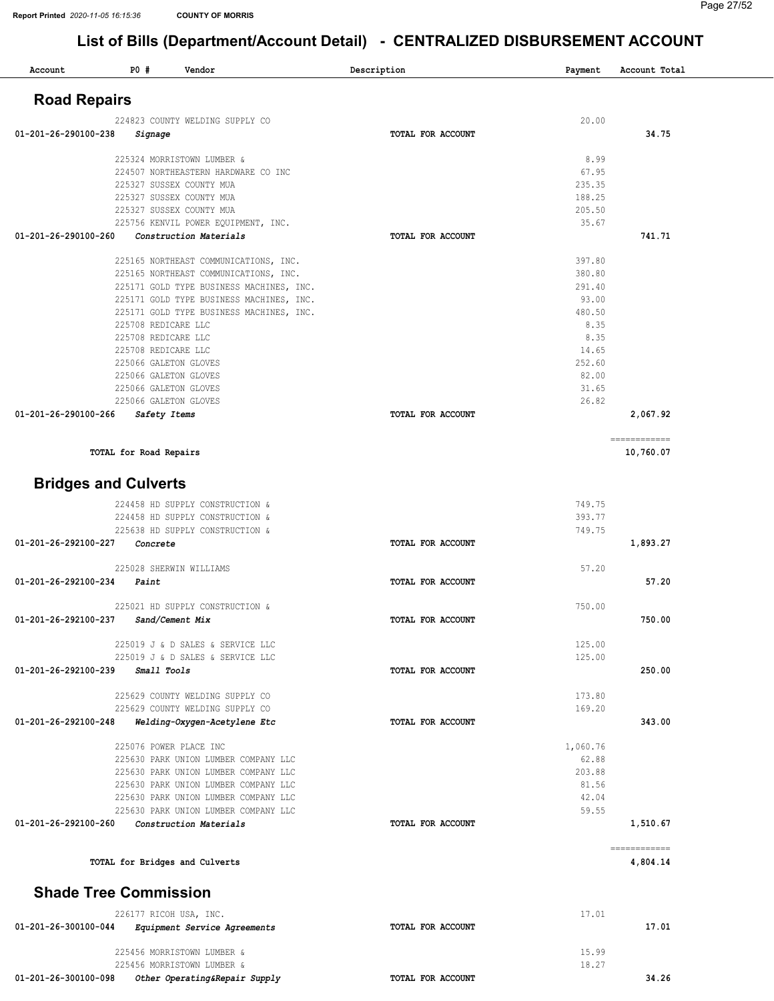#### Page 27/52

| Account                      | <b>PO #</b>              | Vendor                                                         | Description       | Payment         | Account Total             |
|------------------------------|--------------------------|----------------------------------------------------------------|-------------------|-----------------|---------------------------|
| <b>Road Repairs</b>          |                          |                                                                |                   |                 |                           |
|                              |                          | 224823 COUNTY WELDING SUPPLY CO                                |                   | 20.00           |                           |
| 01-201-26-290100-238         | Signage                  |                                                                | TOTAL FOR ACCOUNT |                 | 34.75                     |
|                              |                          |                                                                |                   |                 |                           |
|                              |                          | 225324 MORRISTOWN LUMBER &                                     |                   | 8.99            |                           |
|                              | 225327 SUSSEX COUNTY MUA | 224507 NORTHEASTERN HARDWARE CO INC                            |                   | 67.95<br>235.35 |                           |
|                              | 225327 SUSSEX COUNTY MUA |                                                                |                   | 188.25          |                           |
|                              | 225327 SUSSEX COUNTY MUA |                                                                |                   | 205.50          |                           |
|                              |                          | 225756 KENVIL POWER EQUIPMENT, INC.                            |                   | 35.67           |                           |
| 01-201-26-290100-260         |                          | Construction Materials                                         | TOTAL FOR ACCOUNT |                 | 741.71                    |
|                              |                          | 225165 NORTHEAST COMMUNICATIONS, INC.                          |                   | 397.80          |                           |
|                              |                          | 225165 NORTHEAST COMMUNICATIONS, INC.                          |                   | 380.80          |                           |
|                              |                          | 225171 GOLD TYPE BUSINESS MACHINES, INC.                       |                   | 291.40          |                           |
|                              |                          | 225171 GOLD TYPE BUSINESS MACHINES, INC.                       |                   | 93.00<br>480.50 |                           |
|                              | 225708 REDICARE LLC      | 225171 GOLD TYPE BUSINESS MACHINES, INC.                       |                   | 8.35            |                           |
|                              | 225708 REDICARE LLC      |                                                                |                   | 8.35            |                           |
|                              | 225708 REDICARE LLC      |                                                                |                   | 14.65           |                           |
|                              | 225066 GALETON GLOVES    |                                                                |                   | 252.60          |                           |
|                              | 225066 GALETON GLOVES    |                                                                |                   | 82.00           |                           |
|                              | 225066 GALETON GLOVES    |                                                                |                   | 31.65           |                           |
|                              | 225066 GALETON GLOVES    |                                                                |                   | 26.82           |                           |
| 01-201-26-290100-266         | Safety Items             |                                                                | TOTAL FOR ACCOUNT |                 | 2,067.92                  |
|                              | TOTAL for Road Repairs   |                                                                |                   |                 | ------------<br>10,760.07 |
|                              |                          |                                                                |                   |                 |                           |
| <b>Bridges and Culverts</b>  |                          |                                                                |                   |                 |                           |
|                              |                          | 224458 HD SUPPLY CONSTRUCTION &                                |                   | 749.75          |                           |
|                              |                          | 224458 HD SUPPLY CONSTRUCTION &                                |                   | 393.77          |                           |
|                              |                          | 225638 HD SUPPLY CONSTRUCTION &                                |                   | 749.75          |                           |
| 01-201-26-292100-227         | Concrete                 |                                                                | TOTAL FOR ACCOUNT |                 | 1,893.27                  |
|                              | 225028 SHERWIN WILLIAMS  |                                                                |                   | 57.20           |                           |
| 01-201-26-292100-234         | Paint                    |                                                                | TOTAL FOR ACCOUNT |                 | 57.20                     |
|                              |                          | 225021 HD SUPPLY CONSTRUCTION &                                |                   | 750.00          |                           |
| 01-201-26-292100-237         | Sand/Cement Mix          |                                                                | TOTAL FOR ACCOUNT |                 | 750.00                    |
|                              |                          |                                                                |                   |                 |                           |
|                              |                          | 225019 J & D SALES & SERVICE LLC                               |                   | 125.00          |                           |
|                              |                          | 225019 J & D SALES & SERVICE LLC                               |                   | 125.00          |                           |
| 01-201-26-292100-239         | Small Tools              |                                                                | TOTAL FOR ACCOUNT |                 | 250.00                    |
|                              |                          | 225629 COUNTY WELDING SUPPLY CO                                |                   | 173.80          |                           |
|                              |                          | 225629 COUNTY WELDING SUPPLY CO                                |                   | 169.20          |                           |
| 01-201-26-292100-248         |                          | Welding-Oxygen-Acetylene Etc                                   | TOTAL FOR ACCOUNT |                 | 343.00                    |
|                              | 225076 POWER PLACE INC   |                                                                |                   | 1,060.76        |                           |
|                              |                          | 225630 PARK UNION LUMBER COMPANY LLC                           |                   | 62.88           |                           |
|                              |                          | 225630 PARK UNION LUMBER COMPANY LLC                           |                   | 203.88          |                           |
|                              |                          | 225630 PARK UNION LUMBER COMPANY LLC                           |                   | 81.56           |                           |
|                              |                          | 225630 PARK UNION LUMBER COMPANY LLC                           |                   | 42.04           |                           |
| 01-201-26-292100-260         |                          | 225630 PARK UNION LUMBER COMPANY LLC<br>Construction Materials | TOTAL FOR ACCOUNT | 59.55           | 1,510.67                  |
|                              |                          |                                                                |                   |                 |                           |
|                              |                          | TOTAL for Bridges and Culverts                                 |                   |                 | ------------<br>4,804.14  |
| <b>Shade Tree Commission</b> |                          |                                                                |                   |                 |                           |
|                              |                          |                                                                |                   |                 |                           |
| 01-201-26-300100-044         | 226177 RICOH USA, INC.   | Equipment Service Agreements                                   | TOTAL FOR ACCOUNT | 17.01           | 17.01                     |
|                              |                          |                                                                |                   |                 |                           |
|                              |                          | 225456 MORRISTOWN LUMBER &                                     |                   | 15.99           |                           |
|                              |                          | 225456 MORRISTOWN LUMBER &                                     |                   | 18.27           |                           |
| 01-201-26-300100-098         |                          | Other Operating&Repair Supply                                  | TOTAL FOR ACCOUNT |                 | 34.26                     |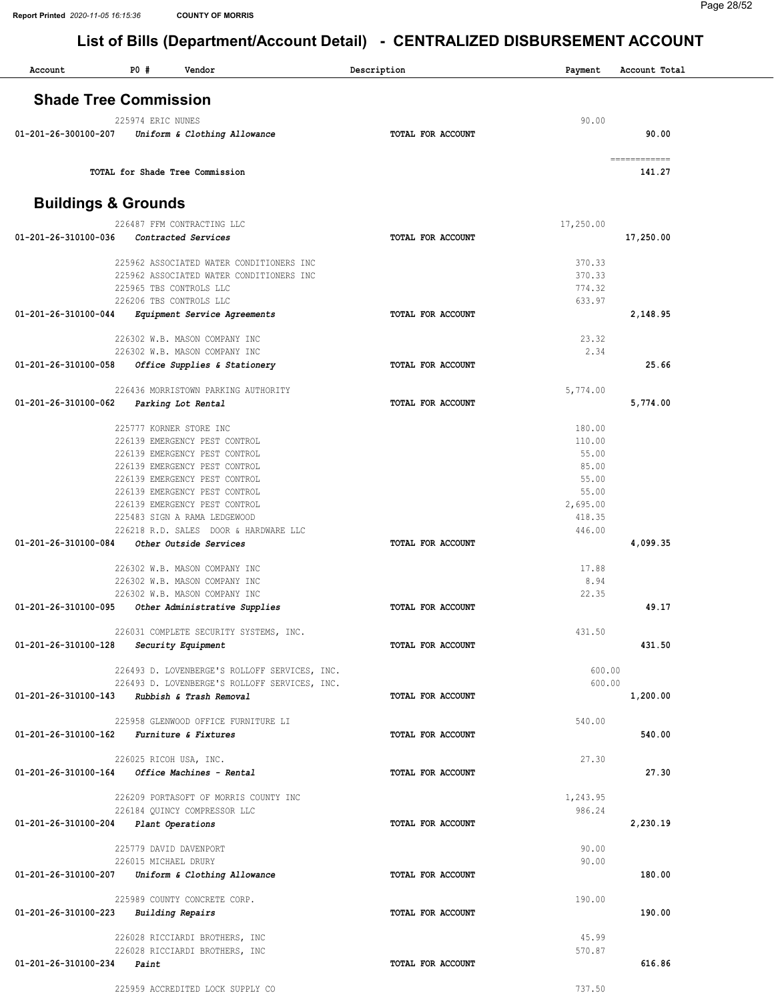| Account              | P0#<br>Vendor                                                  | Description       | Payment        | Account Total |
|----------------------|----------------------------------------------------------------|-------------------|----------------|---------------|
|                      | <b>Shade Tree Commission</b>                                   |                   |                |               |
|                      | 225974 ERIC NUNES                                              |                   | 90.00          |               |
| 01-201-26-300100-207 | Uniform & Clothing Allowance                                   | TOTAL FOR ACCOUNT |                | 90.00         |
|                      | TOTAL for Shade Tree Commission                                |                   | ============   | 141.27        |
|                      | <b>Buildings &amp; Grounds</b>                                 |                   |                |               |
|                      |                                                                |                   |                |               |
| 01-201-26-310100-036 | 226487 FFM CONTRACTING LLC<br>Contracted Services              | TOTAL FOR ACCOUNT | 17,250.00      | 17,250.00     |
|                      | 225962 ASSOCIATED WATER CONDITIONERS INC                       |                   | 370.33         |               |
|                      | 225962 ASSOCIATED WATER CONDITIONERS INC                       |                   | 370.33         |               |
|                      | 225965 TBS CONTROLS LLC                                        |                   | 774.32         |               |
| 01-201-26-310100-044 | 226206 TBS CONTROLS LLC<br>Equipment Service Agreements        | TOTAL FOR ACCOUNT | 633.97         | 2,148.95      |
|                      |                                                                |                   |                |               |
|                      | 226302 W.B. MASON COMPANY INC                                  |                   | 23.32          |               |
| 01-201-26-310100-058 | 226302 W.B. MASON COMPANY INC<br>Office Supplies & Stationery  | TOTAL FOR ACCOUNT | 2.34           | 25.66         |
|                      |                                                                |                   |                |               |
|                      | 226436 MORRISTOWN PARKING AUTHORITY                            |                   | 5,774.00       |               |
| 01-201-26-310100-062 | Parking Lot Rental                                             | TOTAL FOR ACCOUNT |                | 5,774.00      |
|                      | 225777 KORNER STORE INC                                        |                   | 180.00         |               |
|                      | 226139 EMERGENCY PEST CONTROL                                  |                   | 110.00         |               |
|                      | 226139 EMERGENCY PEST CONTROL                                  |                   | 55.00          |               |
|                      | 226139 EMERGENCY PEST CONTROL<br>226139 EMERGENCY PEST CONTROL |                   | 85.00<br>55.00 |               |
|                      | 226139 EMERGENCY PEST CONTROL                                  |                   | 55.00          |               |
|                      | 226139 EMERGENCY PEST CONTROL                                  |                   | 2,695.00       |               |
|                      | 225483 SIGN A RAMA LEDGEWOOD                                   |                   | 418.35         |               |
|                      | 226218 R.D. SALES DOOR & HARDWARE LLC                          |                   | 446.00         |               |
| 01-201-26-310100-084 | Other Outside Services                                         | TOTAL FOR ACCOUNT |                | 4,099.35      |
|                      | 226302 W.B. MASON COMPANY INC                                  |                   | 17.88          |               |
|                      | 226302 W.B. MASON COMPANY INC                                  |                   | 8.94           |               |
| 01-201-26-310100-095 | 226302 W.B. MASON COMPANY INC<br>Other Administrative Supplies | TOTAL FOR ACCOUNT | 22.35          | 49.17         |
|                      |                                                                |                   |                |               |
|                      | 226031 COMPLETE SECURITY SYSTEMS, INC.                         |                   | 431.50         |               |
| 01-201-26-310100-128 | Security Equipment                                             | TOTAL FOR ACCOUNT |                | 431.50        |
|                      | 226493 D. LOVENBERGE'S ROLLOFF SERVICES, INC.                  |                   | 600.00         |               |
|                      | 226493 D. LOVENBERGE'S ROLLOFF SERVICES, INC.                  |                   | 600.00         |               |
|                      | 01-201-26-310100-143 Rubbish & Trash Removal                   | TOTAL FOR ACCOUNT |                | 1,200.00      |
|                      | 225958 GLENWOOD OFFICE FURNITURE LI                            |                   | 540.00         |               |
|                      | 01-201-26-310100-162 Furniture & Fixtures                      | TOTAL FOR ACCOUNT |                | 540.00        |
|                      | 226025 RICOH USA, INC.                                         |                   | 27.30          |               |
| 01-201-26-310100-164 | Office Machines - Rental                                       | TOTAL FOR ACCOUNT |                | 27.30         |
|                      | 226209 PORTASOFT OF MORRIS COUNTY INC                          |                   | 1,243.95       |               |
|                      | 226184 QUINCY COMPRESSOR LLC                                   |                   | 986.24         |               |
|                      | 01-201-26-310100-204 Plant Operations                          | TOTAL FOR ACCOUNT |                | 2,230.19      |
|                      | 225779 DAVID DAVENPORT                                         |                   | 90.00          |               |
|                      | 226015 MICHAEL DRURY                                           |                   | 90.00          |               |
|                      | 01-201-26-310100-207 Uniform & Clothing Allowance              | TOTAL FOR ACCOUNT |                | 180.00        |
|                      | 225989 COUNTY CONCRETE CORP.                                   |                   | 190.00         |               |
|                      | $01 - 201 - 26 - 310100 - 223$ Building Repairs                | TOTAL FOR ACCOUNT |                | 190.00        |
|                      | 226028 RICCIARDI BROTHERS, INC                                 |                   | 45.99          |               |
|                      | 226028 RICCIARDI BROTHERS, INC                                 |                   | 570.87         |               |
| 01-201-26-310100-234 | Paint                                                          | TOTAL FOR ACCOUNT |                | 616.86        |
|                      | 225959 ACCREDITED LOCK SUPPLY CO                               |                   | 737.50         |               |
|                      |                                                                |                   |                |               |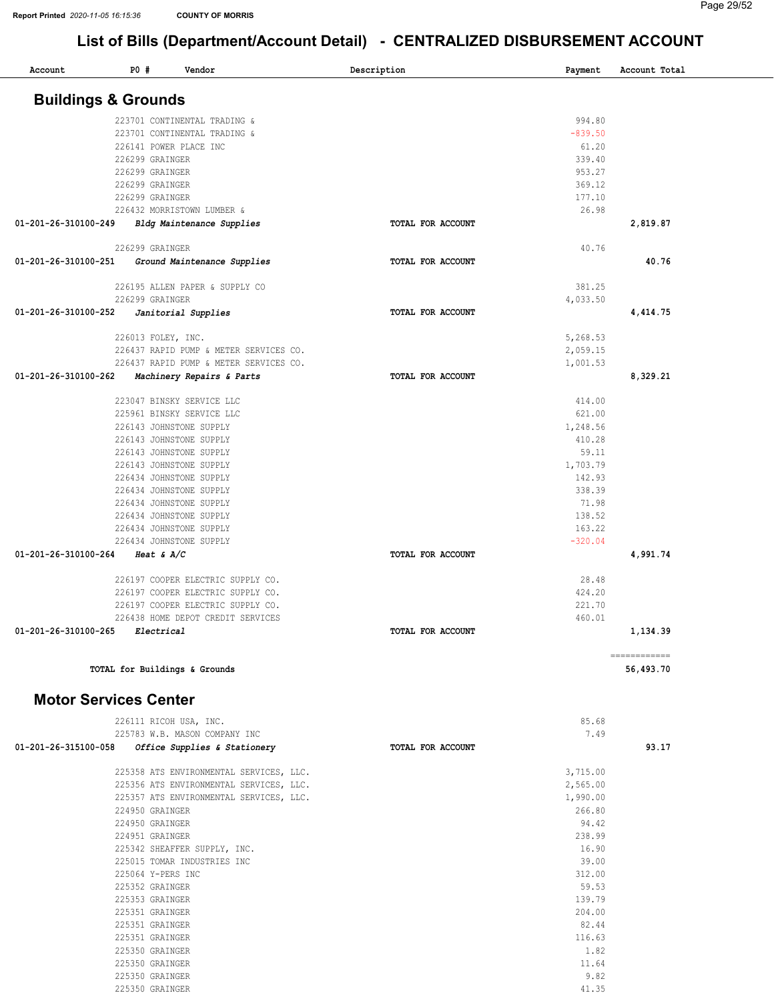| Account                        | <b>PO #</b> | Vendor                                             | Description       | Payment            | Account Total             |
|--------------------------------|-------------|----------------------------------------------------|-------------------|--------------------|---------------------------|
| <b>Buildings &amp; Grounds</b> |             |                                                    |                   |                    |                           |
|                                |             | 223701 CONTINENTAL TRADING &                       |                   | 994.80             |                           |
|                                |             | 223701 CONTINENTAL TRADING &                       |                   | $-839.50$          |                           |
|                                |             | 226141 POWER PLACE INC                             |                   | 61.20              |                           |
|                                |             | 226299 GRAINGER                                    |                   | 339.40             |                           |
|                                |             | 226299 GRAINGER                                    |                   | 953.27             |                           |
|                                |             | 226299 GRAINGER                                    |                   | 369.12             |                           |
|                                |             | 226299 GRAINGER                                    |                   | 177.10             |                           |
|                                |             | 226432 MORRISTOWN LUMBER &                         |                   | 26.98              |                           |
| 01-201-26-310100-249           |             | Bldg Maintenance Supplies                          | TOTAL FOR ACCOUNT |                    | 2,819.87                  |
|                                |             | 226299 GRAINGER                                    |                   | 40.76              |                           |
| 01-201-26-310100-251           |             | Ground Maintenance Supplies                        | TOTAL FOR ACCOUNT |                    | 40.76                     |
|                                |             | 226195 ALLEN PAPER & SUPPLY CO                     |                   | 381.25             |                           |
|                                |             | 226299 GRAINGER                                    |                   | 4,033.50           |                           |
| 01-201-26-310100-252           |             | Janitorial Supplies                                | TOTAL FOR ACCOUNT |                    | 4,414.75                  |
|                                |             | 226013 FOLEY, INC.                                 |                   | 5,268.53           |                           |
|                                |             | 226437 RAPID PUMP & METER SERVICES CO.             |                   | 2,059.15           |                           |
|                                |             | 226437 RAPID PUMP & METER SERVICES CO.             |                   | 1,001.53           |                           |
| 01-201-26-310100-262           |             | Machinery Repairs & Parts                          | TOTAL FOR ACCOUNT |                    | 8,329.21                  |
|                                |             | 223047 BINSKY SERVICE LLC                          |                   | 414.00             |                           |
|                                |             | 225961 BINSKY SERVICE LLC                          |                   | 621.00             |                           |
|                                |             | 226143 JOHNSTONE SUPPLY                            |                   | 1,248.56           |                           |
|                                |             | 226143 JOHNSTONE SUPPLY                            |                   | 410.28             |                           |
|                                |             | 226143 JOHNSTONE SUPPLY                            |                   | 59.11              |                           |
|                                |             | 226143 JOHNSTONE SUPPLY<br>226434 JOHNSTONE SUPPLY |                   | 1,703.79<br>142.93 |                           |
|                                |             | 226434 JOHNSTONE SUPPLY                            |                   | 338.39             |                           |
|                                |             | 226434 JOHNSTONE SUPPLY                            |                   | 71.98              |                           |
|                                |             | 226434 JOHNSTONE SUPPLY                            |                   | 138.52             |                           |
|                                |             | 226434 JOHNSTONE SUPPLY                            |                   | 163.22             |                           |
|                                |             | 226434 JOHNSTONE SUPPLY                            |                   | $-320.04$          |                           |
| 01-201-26-310100-264           |             | Heat & $A/C$                                       | TOTAL FOR ACCOUNT |                    | 4,991.74                  |
|                                |             | 226197 COOPER ELECTRIC SUPPLY CO.                  |                   | 28.48              |                           |
|                                |             | 226197 COOPER ELECTRIC SUPPLY CO.                  |                   | 424.20             |                           |
|                                |             | 226197 COOPER ELECTRIC SUPPLY CO.                  |                   | 221.70             |                           |
|                                |             | 226438 HOME DEPOT CREDIT SERVICES                  |                   | 460.01             |                           |
| 01-201-26-310100-265           |             | Electrical                                         | TOTAL FOR ACCOUNT |                    | 1,134.39                  |
|                                |             | TOTAL for Buildings & Grounds                      |                   |                    | ------------<br>56,493.70 |
|                                |             |                                                    |                   |                    |                           |
| <b>Motor Services Center</b>   |             |                                                    |                   |                    |                           |
|                                |             | 226111 RICOH USA, INC.                             |                   | 85.68              |                           |
|                                |             | 225783 W.B. MASON COMPANY INC                      |                   | 7.49               |                           |
| 01-201-26-315100-058           |             | Office Supplies & Stationery                       | TOTAL FOR ACCOUNT |                    | 93.17                     |
|                                |             | 225358 ATS ENVIRONMENTAL SERVICES, LLC.            |                   | 3,715.00           |                           |
|                                |             | 225356 ATS ENVIRONMENTAL SERVICES, LLC.            |                   | 2,565.00           |                           |
|                                |             | 225357 ATS ENVIRONMENTAL SERVICES, LLC.            |                   | 1,990.00           |                           |
|                                |             | 224950 GRAINGER                                    |                   | 266.80             |                           |
|                                |             | 224950 GRAINGER                                    |                   | 94.42              |                           |
|                                |             | 224951 GRAINGER                                    |                   | 238.99             |                           |
|                                |             | 225342 SHEAFFER SUPPLY, INC.                       |                   | 16.90              |                           |
|                                |             | 225015 TOMAR INDUSTRIES INC                        |                   | 39.00              |                           |
|                                |             | 225064 Y-PERS INC                                  |                   | 312.00             |                           |
|                                |             | 225352 GRAINGER<br>225353 GRAINGER                 |                   | 59.53<br>139.79    |                           |
|                                |             | 225351 GRAINGER                                    |                   | 204.00             |                           |
|                                |             | 225351 GRAINGER                                    |                   | 82.44              |                           |
|                                |             | 225351 GRAINGER                                    |                   | 116.63             |                           |
|                                |             | 225350 GRAINGER                                    |                   | 1.82               |                           |
|                                |             | 225350 GRAINGER                                    |                   | 11.64              |                           |
|                                |             | 225350 GRAINGER                                    |                   | 9.82               |                           |
|                                |             | 225350 GRAINGER                                    |                   | 41.35              |                           |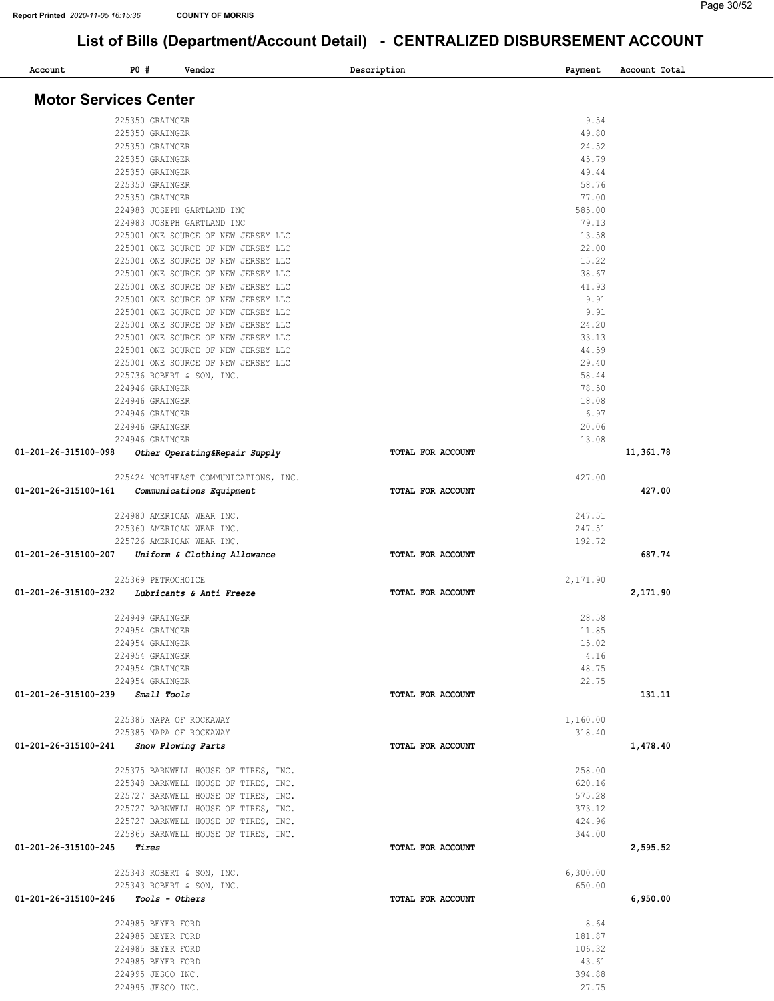| Account                               | PO # | Vendor                                                                     | Description       | Payment        | Account Total |
|---------------------------------------|------|----------------------------------------------------------------------------|-------------------|----------------|---------------|
| <b>Motor Services Center</b>          |      |                                                                            |                   |                |               |
|                                       |      |                                                                            |                   |                |               |
|                                       |      | 225350 GRAINGER                                                            |                   | 9.54           |               |
|                                       |      | 225350 GRAINGER                                                            |                   | 49.80          |               |
|                                       |      | 225350 GRAINGER                                                            |                   | 24.52          |               |
|                                       |      | 225350 GRAINGER                                                            |                   | 45.79          |               |
|                                       |      | 225350 GRAINGER                                                            |                   | 49.44          |               |
|                                       |      | 225350 GRAINGER                                                            |                   | 58.76          |               |
|                                       |      | 225350 GRAINGER                                                            |                   | 77.00          |               |
|                                       |      | 224983 JOSEPH GARTLAND INC                                                 |                   | 585.00         |               |
|                                       |      | 224983 JOSEPH GARTLAND INC                                                 |                   | 79.13          |               |
|                                       |      | 225001 ONE SOURCE OF NEW JERSEY LLC                                        |                   | 13.58          |               |
|                                       |      | 225001 ONE SOURCE OF NEW JERSEY LLC<br>225001 ONE SOURCE OF NEW JERSEY LLC |                   | 22.00<br>15.22 |               |
|                                       |      | 225001 ONE SOURCE OF NEW JERSEY LLC                                        |                   | 38.67          |               |
|                                       |      | 225001 ONE SOURCE OF NEW JERSEY LLC                                        |                   | 41.93          |               |
|                                       |      | 225001 ONE SOURCE OF NEW JERSEY LLC                                        |                   | 9.91           |               |
|                                       |      | 225001 ONE SOURCE OF NEW JERSEY LLC                                        |                   | 9.91           |               |
|                                       |      | 225001 ONE SOURCE OF NEW JERSEY LLC                                        |                   | 24.20          |               |
|                                       |      | 225001 ONE SOURCE OF NEW JERSEY LLC                                        |                   | 33.13          |               |
|                                       |      | 225001 ONE SOURCE OF NEW JERSEY LLC                                        |                   | 44.59          |               |
|                                       |      | 225001 ONE SOURCE OF NEW JERSEY LLC                                        |                   | 29.40          |               |
|                                       |      | 225736 ROBERT & SON, INC.                                                  |                   | 58.44          |               |
|                                       |      | 224946 GRAINGER                                                            |                   | 78.50          |               |
|                                       |      | 224946 GRAINGER                                                            |                   | 18.08          |               |
|                                       |      | 224946 GRAINGER                                                            |                   | 6.97           |               |
|                                       |      | 224946 GRAINGER                                                            |                   | 20.06          |               |
|                                       |      | 224946 GRAINGER                                                            |                   | 13.08          |               |
| 01-201-26-315100-098                  |      | Other Operating&Repair Supply                                              | TOTAL FOR ACCOUNT |                | 11,361.78     |
|                                       |      | 225424 NORTHEAST COMMUNICATIONS, INC.                                      |                   | 427.00         |               |
| 01-201-26-315100-161                  |      | Communications Equipment                                                   | TOTAL FOR ACCOUNT |                | 427.00        |
|                                       |      |                                                                            |                   |                |               |
|                                       |      | 224980 AMERICAN WEAR INC.                                                  |                   | 247.51         |               |
|                                       |      | 225360 AMERICAN WEAR INC.                                                  |                   | 247.51         |               |
| 01-201-26-315100-207                  |      | 225726 AMERICAN WEAR INC.                                                  | TOTAL FOR ACCOUNT | 192.72         | 687.74        |
|                                       |      | Uniform & Clothing Allowance                                               |                   |                |               |
|                                       |      | 225369 PETROCHOICE                                                         |                   | 2,171.90       |               |
| 01-201-26-315100-232                  |      | Lubricants & Anti Freeze                                                   | TOTAL FOR ACCOUNT |                | 2,171.90      |
|                                       |      | 224949 GRAINGER                                                            |                   | 28.58          |               |
|                                       |      | 224954 GRAINGER                                                            |                   | 11.85          |               |
|                                       |      | 224954 GRAINGER                                                            |                   | 15.02          |               |
|                                       |      | 224954 GRAINGER                                                            |                   | 4.16           |               |
|                                       |      | 224954 GRAINGER                                                            |                   | 48.75          |               |
|                                       |      | 224954 GRAINGER                                                            |                   | 22.75          |               |
| 01-201-26-315100-239 Small Tools      |      |                                                                            | TOTAL FOR ACCOUNT |                | 131.11        |
|                                       |      | 225385 NAPA OF ROCKAWAY                                                    |                   | 1,160.00       |               |
|                                       |      | 225385 NAPA OF ROCKAWAY                                                    |                   | 318.40         |               |
| 01-201-26-315100-241                  |      | Snow Plowing Parts                                                         | TOTAL FOR ACCOUNT |                | 1,478.40      |
|                                       |      |                                                                            |                   |                |               |
|                                       |      | 225375 BARNWELL HOUSE OF TIRES, INC.                                       |                   | 258.00         |               |
|                                       |      | 225348 BARNWELL HOUSE OF TIRES, INC.                                       |                   | 620.16         |               |
|                                       |      | 225727 BARNWELL HOUSE OF TIRES, INC.                                       |                   | 575.28         |               |
|                                       |      | 225727 BARNWELL HOUSE OF TIRES, INC.                                       |                   | 373.12         |               |
|                                       |      | 225727 BARNWELL HOUSE OF TIRES, INC.                                       |                   | 424.96         |               |
|                                       |      | 225865 BARNWELL HOUSE OF TIRES, INC.                                       |                   | 344.00         |               |
| 01-201-26-315100-245 <i>Tires</i>     |      |                                                                            | TOTAL FOR ACCOUNT |                | 2,595.52      |
|                                       |      | 225343 ROBERT & SON, INC.                                                  |                   | 6,300.00       |               |
|                                       |      | 225343 ROBERT & SON, INC.                                                  |                   | 650.00         |               |
| $01-201-26-315100-246$ Tools - Others |      |                                                                            | TOTAL FOR ACCOUNT |                | 6,950.00      |
|                                       |      | 224985 BEYER FORD                                                          |                   | 8.64           |               |
|                                       |      | 224985 BEYER FORD                                                          |                   | 181.87         |               |
|                                       |      | 224985 BEYER FORD                                                          |                   | 106.32         |               |
|                                       |      | 224985 BEYER FORD                                                          |                   | 43.61          |               |
|                                       |      | 224995 JESCO INC.                                                          |                   | 394.88         |               |
|                                       |      | 224995 JESCO INC.                                                          |                   | 27.75          |               |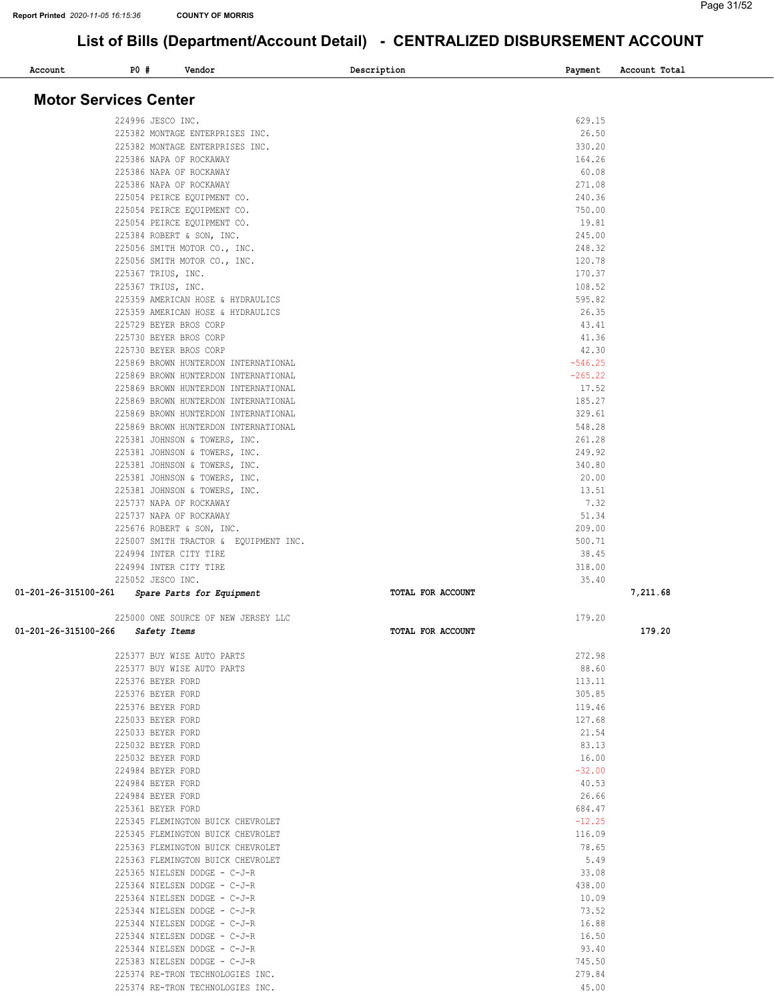| Account                      | PO # | Vendor                                                                       | Description       | Payment            | Account Total |
|------------------------------|------|------------------------------------------------------------------------------|-------------------|--------------------|---------------|
| <b>Motor Services Center</b> |      |                                                                              |                   |                    |               |
|                              |      |                                                                              |                   |                    |               |
|                              |      | 224996 JESCO INC.<br>225382 MONTAGE ENTERPRISES INC.                         |                   | 629.15<br>26.50    |               |
|                              |      | 225382 MONTAGE ENTERPRISES INC.                                              |                   | 330.20             |               |
|                              |      | 225386 NAPA OF ROCKAWAY                                                      |                   | 164.26             |               |
|                              |      | 225386 NAPA OF ROCKAWAY                                                      |                   | 60.08              |               |
|                              |      | 225386 NAPA OF ROCKAWAY                                                      |                   | 271.08             |               |
|                              |      | 225054 PEIRCE EQUIPMENT CO.                                                  |                   | 240.36             |               |
|                              |      | 225054 PEIRCE EQUIPMENT CO.                                                  |                   | 750.00             |               |
|                              |      | 225054 PEIRCE EQUIPMENT CO.                                                  |                   | 19.81              |               |
|                              |      | 225384 ROBERT & SON, INC.                                                    |                   | 245.00             |               |
|                              |      | 225056 SMITH MOTOR CO., INC.<br>225056 SMITH MOTOR CO., INC.                 |                   | 248.32<br>120.78   |               |
|                              |      | 225367 TRIUS, INC.                                                           |                   | 170.37             |               |
|                              |      | 225367 TRIUS, INC.                                                           |                   | 108.52             |               |
|                              |      | 225359 AMERICAN HOSE & HYDRAULICS                                            |                   | 595.82             |               |
|                              |      | 225359 AMERICAN HOSE & HYDRAULICS                                            |                   | 26.35              |               |
|                              |      | 225729 BEYER BROS CORP                                                       |                   | 43.41              |               |
|                              |      | 225730 BEYER BROS CORP                                                       |                   | 41.36              |               |
|                              |      | 225730 BEYER BROS CORP                                                       |                   | 42.30<br>$-546.25$ |               |
|                              |      | 225869 BROWN HUNTERDON INTERNATIONAL<br>225869 BROWN HUNTERDON INTERNATIONAL |                   | $-265.22$          |               |
|                              |      | 225869 BROWN HUNTERDON INTERNATIONAL                                         |                   | 17.52              |               |
|                              |      | 225869 BROWN HUNTERDON INTERNATIONAL                                         |                   | 185.27             |               |
|                              |      | 225869 BROWN HUNTERDON INTERNATIONAL                                         |                   | 329.61             |               |
|                              |      | 225869 BROWN HUNTERDON INTERNATIONAL                                         |                   | 548.28             |               |
|                              |      | 225381 JOHNSON & TOWERS, INC.                                                |                   | 261.28             |               |
|                              |      | 225381 JOHNSON & TOWERS, INC.                                                |                   | 249.92             |               |
|                              |      | 225381 JOHNSON & TOWERS, INC.                                                |                   | 340.80             |               |
|                              |      | 225381 JOHNSON & TOWERS, INC.<br>225381 JOHNSON & TOWERS, INC.               |                   | 20.00<br>13.51     |               |
|                              |      | 225737 NAPA OF ROCKAWAY                                                      |                   | 7.32               |               |
|                              |      | 225737 NAPA OF ROCKAWAY                                                      |                   | 51.34              |               |
|                              |      | 225676 ROBERT & SON, INC.                                                    |                   | 209.00             |               |
|                              |      | 225007 SMITH TRACTOR & EQUIPMENT INC.                                        |                   | 500.71             |               |
|                              |      | 224994 INTER CITY TIRE                                                       |                   | 38.45              |               |
|                              |      | 224994 INTER CITY TIRE                                                       |                   | 318.00             |               |
|                              |      | 225052 JESCO INC.                                                            |                   | 35.40              |               |
| 01-201-26-315100-261         |      | Spare Parts for Equipment                                                    | TOTAL FOR ACCOUNT |                    | 7,211.68      |
|                              |      | 225000 ONE SOURCE OF NEW JERSEY LLC                                          |                   | 179.20             |               |
| 01-201-26-315100-266         |      | Safety Items                                                                 | TOTAL FOR ACCOUNT |                    | 179.20        |
|                              |      | 225377 BUY WISE AUTO PARTS                                                   |                   | 272.98             |               |
|                              |      | 225377 BUY WISE AUTO PARTS                                                   |                   | 88.60              |               |
|                              |      | 225376 BEYER FORD<br>225376 BEYER FORD                                       |                   | 113.11<br>305.85   |               |
|                              |      | 225376 BEYER FORD                                                            |                   | 119.46             |               |
|                              |      | 225033 BEYER FORD                                                            |                   | 127.68             |               |
|                              |      | 225033 BEYER FORD                                                            |                   | 21.54              |               |
|                              |      | 225032 BEYER FORD                                                            |                   | 83.13              |               |
|                              |      | 225032 BEYER FORD                                                            |                   | 16.00              |               |
|                              |      | 224984 BEYER FORD                                                            |                   | $-32.00$           |               |
|                              |      | 224984 BEYER FORD                                                            |                   | 40.53              |               |
|                              |      | 224984 BEYER FORD<br>225361 BEYER FORD                                       |                   | 26.66<br>684.47    |               |
|                              |      | 225345 FLEMINGTON BUICK CHEVROLET                                            |                   | $-12.25$           |               |
|                              |      | 225345 FLEMINGTON BUICK CHEVROLET                                            |                   | 116.09             |               |
|                              |      | 225363 FLEMINGTON BUICK CHEVROLET                                            |                   | 78.65              |               |
|                              |      | 225363 FLEMINGTON BUICK CHEVROLET                                            |                   | 5.49               |               |
|                              |      | 225365 NIELSEN DODGE - C-J-R                                                 |                   | 33.08              |               |
|                              |      | 225364 NIELSEN DODGE - C-J-R                                                 |                   | 438.00             |               |
|                              |      | 225364 NIELSEN DODGE - C-J-R                                                 |                   | 10.09              |               |
|                              |      | 225344 NIELSEN DODGE - C-J-R<br>225344 NIELSEN DODGE - C-J-R                 |                   | 73.52<br>16.88     |               |
|                              |      | 225344 NIELSEN DODGE - C-J-R                                                 |                   | 16.50              |               |
|                              |      | 225344 NIELSEN DODGE - C-J-R                                                 |                   | 93.40              |               |
|                              |      | 225383 NIELSEN DODGE - C-J-R                                                 |                   | 745.50             |               |
|                              |      | 225374 RE-TRON TECHNOLOGIES INC.                                             |                   | 279.84             |               |
|                              |      | 225374 RE-TRON TECHNOLOGIES INC.                                             |                   | 45.00              |               |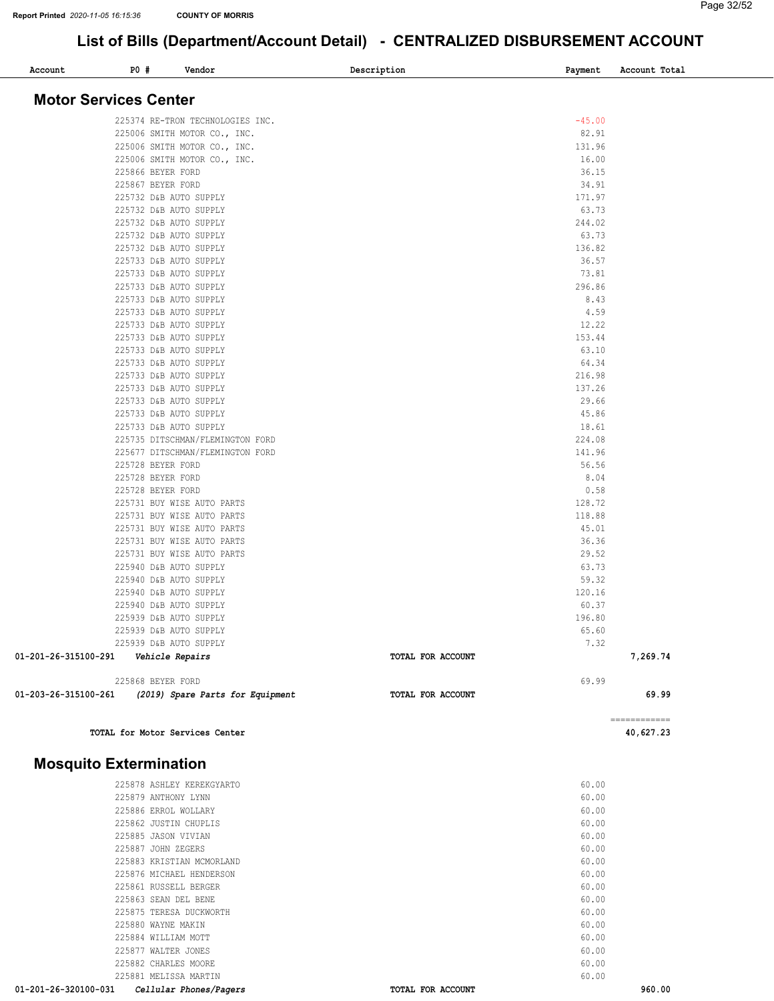| Account                      | P0 # | Vendor                                           | Description |                   | Payment         | Account Total |
|------------------------------|------|--------------------------------------------------|-------------|-------------------|-----------------|---------------|
| <b>Motor Services Center</b> |      |                                                  |             |                   |                 |               |
|                              |      | 225374 RE-TRON TECHNOLOGIES INC.                 |             |                   | $-45.00$        |               |
|                              |      | 225006 SMITH MOTOR CO., INC.                     |             |                   | 82.91           |               |
|                              |      | 225006 SMITH MOTOR CO., INC.                     |             |                   | 131.96          |               |
|                              |      | 225006 SMITH MOTOR CO., INC.                     |             |                   | 16.00           |               |
|                              |      | 225866 BEYER FORD                                |             |                   | 36.15           |               |
|                              |      | 225867 BEYER FORD                                |             |                   | 34.91           |               |
|                              |      | 225732 D&B AUTO SUPPLY                           |             |                   | 171.97          |               |
|                              |      | 225732 D&B AUTO SUPPLY                           |             |                   | 63.73           |               |
|                              |      | 225732 D&B AUTO SUPPLY                           |             |                   | 244.02          |               |
|                              |      | 225732 D&B AUTO SUPPLY                           |             |                   | 63.73           |               |
|                              |      | 225732 D&B AUTO SUPPLY                           |             |                   | 136.82          |               |
|                              |      | 225733 D&B AUTO SUPPLY                           |             |                   | 36.57           |               |
|                              |      | 225733 D&B AUTO SUPPLY                           |             |                   | 73.81           |               |
|                              |      | 225733 D&B AUTO SUPPLY                           |             |                   | 296.86          |               |
|                              |      | 225733 D&B AUTO SUPPLY                           |             |                   | 8.43            |               |
|                              |      | 225733 D&B AUTO SUPPLY                           |             |                   | 4.59            |               |
|                              |      | 225733 D&B AUTO SUPPLY                           |             |                   | 12.22           |               |
|                              |      | 225733 D&B AUTO SUPPLY                           |             |                   | 153.44          |               |
|                              |      | 225733 D&B AUTO SUPPLY                           |             |                   | 63.10           |               |
|                              |      | 225733 D&B AUTO SUPPLY                           |             |                   | 64.34           |               |
|                              |      | 225733 D&B AUTO SUPPLY                           |             |                   | 216.98          |               |
|                              |      | 225733 D&B AUTO SUPPLY                           |             |                   | 137.26          |               |
|                              |      | 225733 D&B AUTO SUPPLY                           |             |                   | 29.66           |               |
|                              |      | 225733 D&B AUTO SUPPLY                           |             |                   | 45.86           |               |
|                              |      | 225733 D&B AUTO SUPPLY                           |             |                   | 18.61           |               |
|                              |      | 225735 DITSCHMAN/FLEMINGTON FORD                 |             |                   | 224.08          |               |
|                              |      | 225677 DITSCHMAN/FLEMINGTON FORD                 |             |                   | 141.96          |               |
|                              |      | 225728 BEYER FORD                                |             |                   | 56.56           |               |
|                              |      | 225728 BEYER FORD                                |             |                   | 8.04            |               |
|                              |      | 225728 BEYER FORD                                |             |                   | 0.58            |               |
|                              |      | 225731 BUY WISE AUTO PARTS                       |             |                   | 128.72          |               |
|                              |      | 225731 BUY WISE AUTO PARTS                       |             |                   | 118.88          |               |
|                              |      | 225731 BUY WISE AUTO PARTS                       |             |                   | 45.01           |               |
|                              |      | 225731 BUY WISE AUTO PARTS                       |             |                   | 36.36           |               |
|                              |      | 225731 BUY WISE AUTO PARTS                       |             |                   | 29.52           |               |
|                              |      | 225940 D&B AUTO SUPPLY                           |             |                   | 63.73           |               |
|                              |      | 225940 D&B AUTO SUPPLY                           |             |                   | 59.32           |               |
|                              |      | 225940 D&B AUTO SUPPLY                           |             |                   | 120.16          |               |
|                              |      | 225940 D&B AUTO SUPPLY<br>225939 D&B AUTO SUPPLY |             |                   | 60.37<br>196.80 |               |
|                              |      | 225939 D&B AUTO SUPPLY                           |             |                   |                 |               |
|                              |      | 225939 D&B AUTO SUPPLY                           |             |                   | 65.60<br>7.32   |               |
| 01-201-26-315100-291         |      | Vehicle Repairs                                  |             | TOTAL FOR ACCOUNT |                 | 7,269.74      |
|                              |      | 225868 BEYER FORD                                |             |                   | 69.99           |               |
| 01-203-26-315100-261         |      | (2019) Spare Parts for Equipment                 |             | TOTAL FOR ACCOUNT |                 | 69.99         |
|                              |      |                                                  |             |                   |                 |               |

TOTAL for Motor Services Center 40,627.23

#### Mosquito Extermination

| 01-201-26-320100-031<br>Cellular Phones/Pagers | <b>TOTAL FOR ACCOUNT</b> | 960.00 |
|------------------------------------------------|--------------------------|--------|
| 225881 MELISSA MARTIN                          |                          | 60.00  |
| 225882 CHARLES MOORE                           |                          | 60.00  |
| 225877 WALTER JONES                            |                          | 60.00  |
| 225884 WILLIAM MOTT                            |                          | 60.00  |
| 225880 WAYNE MAKIN                             |                          | 60.00  |
| 225875 TERESA DUCKWORTH                        |                          | 60.00  |
| 225863 SEAN DEL BENE                           |                          | 60.00  |
| 225861 RUSSELL BERGER                          |                          | 60.00  |
| 225876 MICHAEL HENDERSON                       |                          | 60.00  |
| 225883 KRISTIAN MCMORLAND                      |                          | 60.00  |
| 225887 JOHN ZEGERS                             |                          | 60.00  |
| 225885 JASON VIVIAN                            |                          | 60.00  |
| 225862 JUSTIN CHUPLIS                          |                          | 60.00  |
| 225886 ERROL WOLLARY                           |                          | 60.00  |
| 225879 ANTHONY LYNN                            |                          | 60.00  |
| 225878 ASHLEY KEREKGYARTO                      |                          | 60.00  |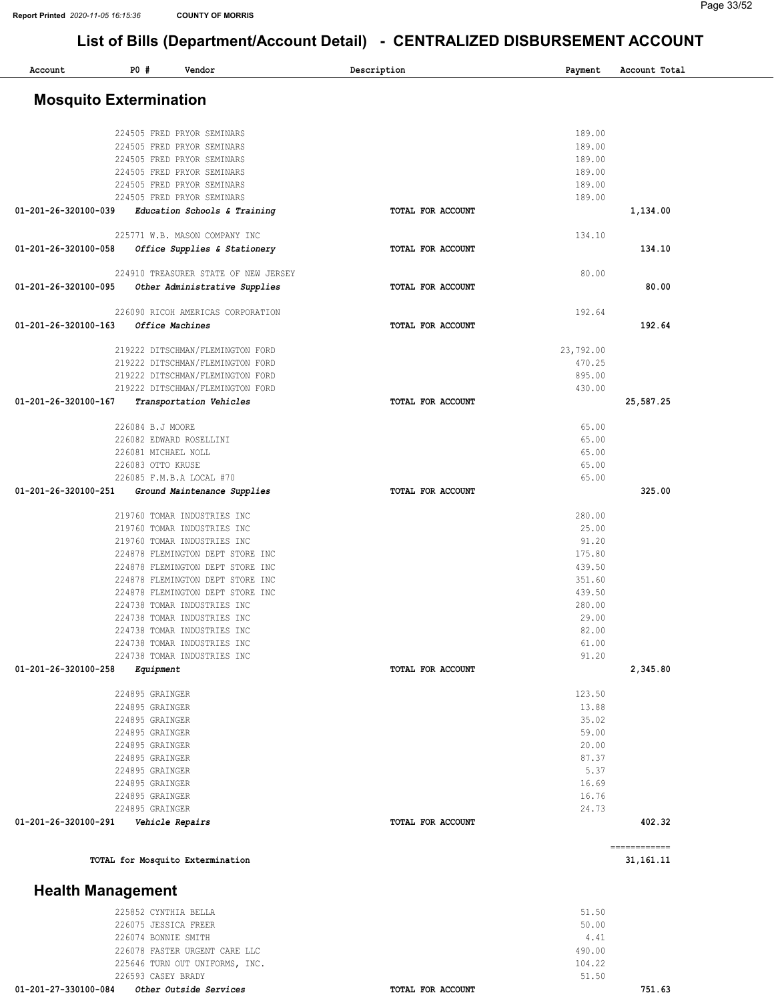| Account                       | P0#                                | Vendor                                                     | Description |                   | Payment        | Account Total |  |
|-------------------------------|------------------------------------|------------------------------------------------------------|-------------|-------------------|----------------|---------------|--|
| <b>Mosquito Extermination</b> |                                    |                                                            |             |                   |                |               |  |
|                               |                                    |                                                            |             |                   |                |               |  |
|                               |                                    | 224505 FRED PRYOR SEMINARS                                 |             |                   | 189.00         |               |  |
|                               |                                    | 224505 FRED PRYOR SEMINARS                                 |             |                   | 189.00         |               |  |
|                               |                                    | 224505 FRED PRYOR SEMINARS                                 |             |                   | 189.00         |               |  |
|                               |                                    | 224505 FRED PRYOR SEMINARS                                 |             |                   | 189.00         |               |  |
|                               |                                    | 224505 FRED PRYOR SEMINARS                                 |             |                   | 189.00         |               |  |
| 01-201-26-320100-039          |                                    | 224505 FRED PRYOR SEMINARS<br>Education Schools & Training |             | TOTAL FOR ACCOUNT | 189.00         | 1,134.00      |  |
|                               |                                    | 225771 W.B. MASON COMPANY INC                              |             |                   | 134.10         |               |  |
| 01-201-26-320100-058          |                                    | Office Supplies & Stationery                               |             | TOTAL FOR ACCOUNT |                | 134.10        |  |
|                               |                                    | 224910 TREASURER STATE OF NEW JERSEY                       |             |                   | 80.00          |               |  |
| 01-201-26-320100-095          |                                    | Other Administrative Supplies                              |             | TOTAL FOR ACCOUNT |                | 80.00         |  |
|                               |                                    | 226090 RICOH AMERICAS CORPORATION                          |             |                   | 192.64         |               |  |
| 01-201-26-320100-163          |                                    | Office Machines                                            |             | TOTAL FOR ACCOUNT |                | 192.64        |  |
|                               |                                    | 219222 DITSCHMAN/FLEMINGTON FORD                           |             |                   | 23,792.00      |               |  |
|                               |                                    | 219222 DITSCHMAN/FLEMINGTON FORD                           |             |                   | 470.25         |               |  |
|                               |                                    | 219222 DITSCHMAN/FLEMINGTON FORD                           |             |                   | 895.00         |               |  |
|                               |                                    | 219222 DITSCHMAN/FLEMINGTON FORD                           |             |                   | 430.00         |               |  |
| 01-201-26-320100-167          |                                    | Transportation Vehicles                                    |             | TOTAL FOR ACCOUNT |                | 25,587.25     |  |
|                               | 226084 B.J MOORE                   |                                                            |             |                   | 65.00          |               |  |
|                               |                                    | 226082 EDWARD ROSELLINI                                    |             |                   | 65.00          |               |  |
|                               | 226081 MICHAEL NOLL                |                                                            |             |                   | 65.00          |               |  |
|                               | 226083 OTTO KRUSE                  |                                                            |             |                   | 65.00          |               |  |
|                               |                                    | 226085 F.M.B.A LOCAL #70                                   |             |                   | 65.00          |               |  |
| 01-201-26-320100-251          |                                    | Ground Maintenance Supplies                                |             | TOTAL FOR ACCOUNT |                | 325.00        |  |
|                               |                                    | 219760 TOMAR INDUSTRIES INC                                |             |                   | 280.00         |               |  |
|                               |                                    | 219760 TOMAR INDUSTRIES INC                                |             |                   | 25.00          |               |  |
|                               |                                    | 219760 TOMAR INDUSTRIES INC                                |             |                   | 91.20          |               |  |
|                               |                                    | 224878 FLEMINGTON DEPT STORE INC                           |             |                   | 175.80         |               |  |
|                               |                                    | 224878 FLEMINGTON DEPT STORE INC                           |             |                   | 439.50         |               |  |
|                               |                                    | 224878 FLEMINGTON DEPT STORE INC                           |             |                   | 351.60         |               |  |
|                               |                                    | 224878 FLEMINGTON DEPT STORE INC                           |             |                   | 439.50         |               |  |
|                               |                                    | 224738 TOMAR INDUSTRIES INC                                |             |                   | 280.00         |               |  |
|                               |                                    | 224738 TOMAR INDUSTRIES INC                                |             |                   | 29.00          |               |  |
|                               |                                    | 224738 TOMAR INDUSTRIES INC                                |             |                   | 82.00          |               |  |
|                               |                                    | 224738 TOMAR INDUSTRIES INC                                |             |                   | 61.00          |               |  |
| 01-201-26-320100-258          |                                    | 224738 TOMAR INDUSTRIES INC                                |             | TOTAL FOR ACCOUNT | 91.20          |               |  |
|                               | Equipment                          |                                                            |             |                   |                | 2,345.80      |  |
|                               | 224895 GRAINGER                    |                                                            |             |                   | 123.50         |               |  |
|                               | 224895 GRAINGER                    |                                                            |             |                   | 13.88          |               |  |
|                               | 224895 GRAINGER                    |                                                            |             |                   | 35.02          |               |  |
|                               | 224895 GRAINGER                    |                                                            |             |                   | 59.00          |               |  |
|                               | 224895 GRAINGER<br>224895 GRAINGER |                                                            |             |                   | 20.00<br>87.37 |               |  |
|                               | 224895 GRAINGER                    |                                                            |             |                   | 5.37           |               |  |
|                               | 224895 GRAINGER                    |                                                            |             |                   | 16.69          |               |  |
|                               | 224895 GRAINGER                    |                                                            |             |                   | 16.76          |               |  |
|                               | 224895 GRAINGER                    |                                                            |             |                   | 24.73          |               |  |
| 01-201-26-320100-291          |                                    | Vehicle Repairs                                            |             | TOTAL FOR ACCOUNT |                | 402.32        |  |
|                               |                                    |                                                            |             |                   |                | ============  |  |
|                               |                                    | TOTAL for Mosquito Extermination                           |             |                   |                | 31, 161. 11   |  |
| <b>Health Management</b>      |                                    |                                                            |             |                   |                |               |  |
|                               | 225852 CYNTHIA BELLA               |                                                            |             |                   | 51.50          |               |  |
|                               | 226075 JESSICA FREER               |                                                            |             |                   | 50.00          |               |  |
|                               | 226074 BONNIE SMITH                |                                                            |             |                   | 4.41           |               |  |
|                               |                                    | 226078 FASTER URGENT CARE LLC                              |             |                   | 490.00         |               |  |
|                               |                                    | 225646 TURN OUT UNIFORMS, INC.                             |             |                   | 104.22         |               |  |
|                               | 226593 CASEY BRADY                 |                                                            |             |                   | 51.50          |               |  |

01-201-27-330100-084 Other Outside Services TOTAL FOR ACCOUNT

751.63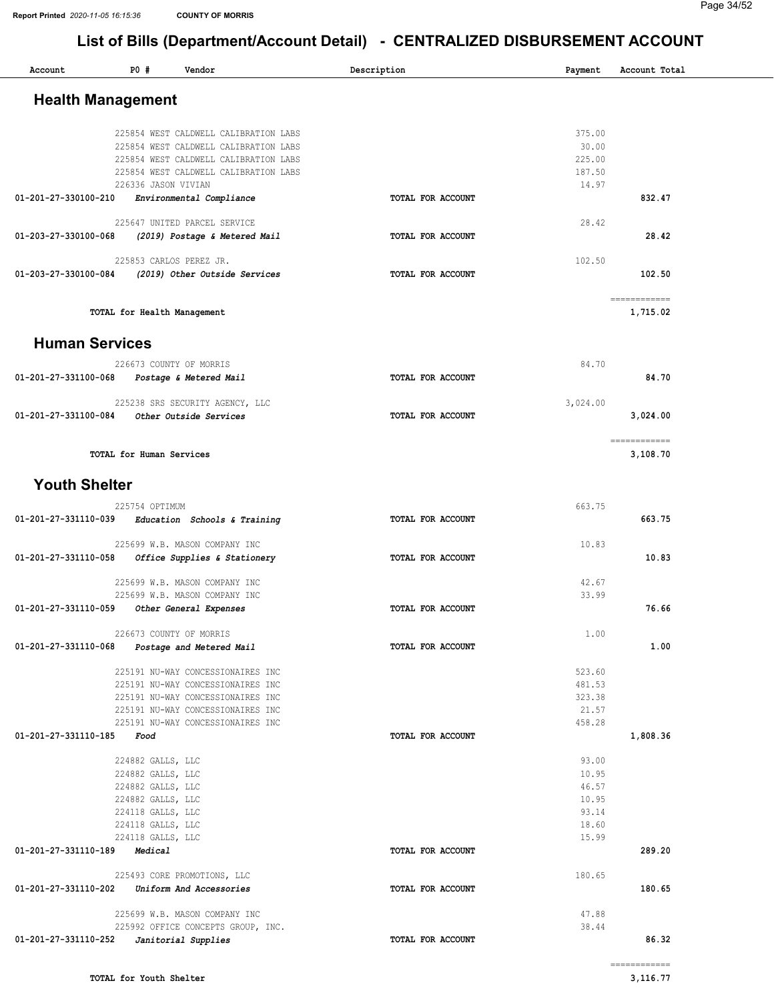| Account                  | P0#<br>Vendor                                                          | Description       | Payment          | Account Total            |
|--------------------------|------------------------------------------------------------------------|-------------------|------------------|--------------------------|
| <b>Health Management</b> |                                                                        |                   |                  |                          |
|                          |                                                                        |                   |                  |                          |
|                          | 225854 WEST CALDWELL CALIBRATION LABS                                  |                   | 375.00           |                          |
|                          | 225854 WEST CALDWELL CALIBRATION LABS                                  |                   | 30.00            |                          |
|                          | 225854 WEST CALDWELL CALIBRATION LABS                                  |                   | 225.00           |                          |
|                          | 225854 WEST CALDWELL CALIBRATION LABS                                  |                   | 187.50           |                          |
|                          | 226336 JASON VIVIAN                                                    |                   | 14.97            |                          |
| 01-201-27-330100-210     | Environmental Compliance                                               | TOTAL FOR ACCOUNT |                  | 832.47                   |
|                          | 225647 UNITED PARCEL SERVICE                                           |                   | 28.42            |                          |
| 01-203-27-330100-068     | (2019) Postage & Metered Mail                                          | TOTAL FOR ACCOUNT |                  | 28.42                    |
|                          | 225853 CARLOS PEREZ JR.                                                |                   | 102.50           |                          |
| 01-203-27-330100-084     | (2019) Other Outside Services                                          | TOTAL FOR ACCOUNT |                  | 102.50                   |
|                          |                                                                        |                   |                  |                          |
|                          | TOTAL for Health Management                                            |                   |                  | ============<br>1,715.02 |
|                          |                                                                        |                   |                  |                          |
| <b>Human Services</b>    |                                                                        |                   |                  |                          |
|                          | 226673 COUNTY OF MORRIS                                                |                   | 84.70            |                          |
| 01-201-27-331100-068     | Postage & Metered Mail                                                 | TOTAL FOR ACCOUNT |                  | 84.70                    |
|                          |                                                                        |                   |                  |                          |
| 01-201-27-331100-084     | 225238 SRS SECURITY AGENCY, LLC<br>Other Outside Services              | TOTAL FOR ACCOUNT | 3,024.00         | 3,024.00                 |
|                          |                                                                        |                   |                  |                          |
|                          |                                                                        |                   |                  | ============             |
|                          | TOTAL for Human Services                                               |                   |                  | 3,108.70                 |
| <b>Youth Shelter</b>     |                                                                        |                   |                  |                          |
|                          | 225754 OPTIMUM                                                         |                   | 663.75           |                          |
| 01-201-27-331110-039     | Education Schools & Training                                           | TOTAL FOR ACCOUNT |                  | 663.75                   |
|                          | 225699 W.B. MASON COMPANY INC                                          |                   | 10.83            |                          |
| 01-201-27-331110-058     | Office Supplies & Stationery                                           | TOTAL FOR ACCOUNT |                  | 10.83                    |
|                          |                                                                        |                   |                  |                          |
|                          | 225699 W.B. MASON COMPANY INC                                          |                   | 42.67            |                          |
|                          | 225699 W.B. MASON COMPANY INC                                          |                   | 33.99            |                          |
| 01-201-27-331110-059     | Other General Expenses                                                 | TOTAL FOR ACCOUNT |                  | 76.66                    |
|                          | 226673 COUNTY OF MORRIS                                                |                   | 1.00             |                          |
| 01-201-27-331110-068     | Postage and Metered Mail                                               | TOTAL FOR ACCOUNT |                  | 1.00                     |
|                          |                                                                        |                   |                  |                          |
|                          | 225191 NU-WAY CONCESSIONAIRES INC                                      |                   | 523.60           |                          |
|                          | 225191 NU-WAY CONCESSIONAIRES INC<br>225191 NU-WAY CONCESSIONAIRES INC |                   | 481.53<br>323.38 |                          |
|                          | 225191 NU-WAY CONCESSIONAIRES INC                                      |                   | 21.57            |                          |
|                          | 225191 NU-WAY CONCESSIONAIRES INC                                      |                   | 458.28           |                          |
| 01-201-27-331110-185     | Food                                                                   | TOTAL FOR ACCOUNT |                  | 1,808.36                 |
|                          |                                                                        |                   |                  |                          |
|                          | 224882 GALLS, LLC<br>224882 GALLS, LLC                                 |                   | 93.00<br>10.95   |                          |
|                          | 224882 GALLS, LLC                                                      |                   | 46.57            |                          |
|                          | 224882 GALLS, LLC                                                      |                   | 10.95            |                          |
|                          | 224118 GALLS, LLC                                                      |                   | 93.14            |                          |
|                          | 224118 GALLS, LLC                                                      |                   | 18.60            |                          |
|                          | 224118 GALLS, LLC                                                      |                   | 15.99            |                          |
| 01-201-27-331110-189     | Medical                                                                | TOTAL FOR ACCOUNT |                  | 289.20                   |
|                          | 225493 CORE PROMOTIONS, LLC                                            |                   | 180.65           |                          |
| 01-201-27-331110-202     | Uniform And Accessories                                                | TOTAL FOR ACCOUNT |                  | 180.65                   |
|                          | 225699 W.B. MASON COMPANY INC                                          |                   | 47.88            |                          |
|                          | 225992 OFFICE CONCEPTS GROUP, INC.                                     |                   | 38.44            |                          |
| 01-201-27-331110-252     | Janitorial Supplies                                                    | TOTAL FOR ACCOUNT |                  | 86.32                    |
|                          |                                                                        |                   |                  | -------------            |
|                          |                                                                        |                   |                  |                          |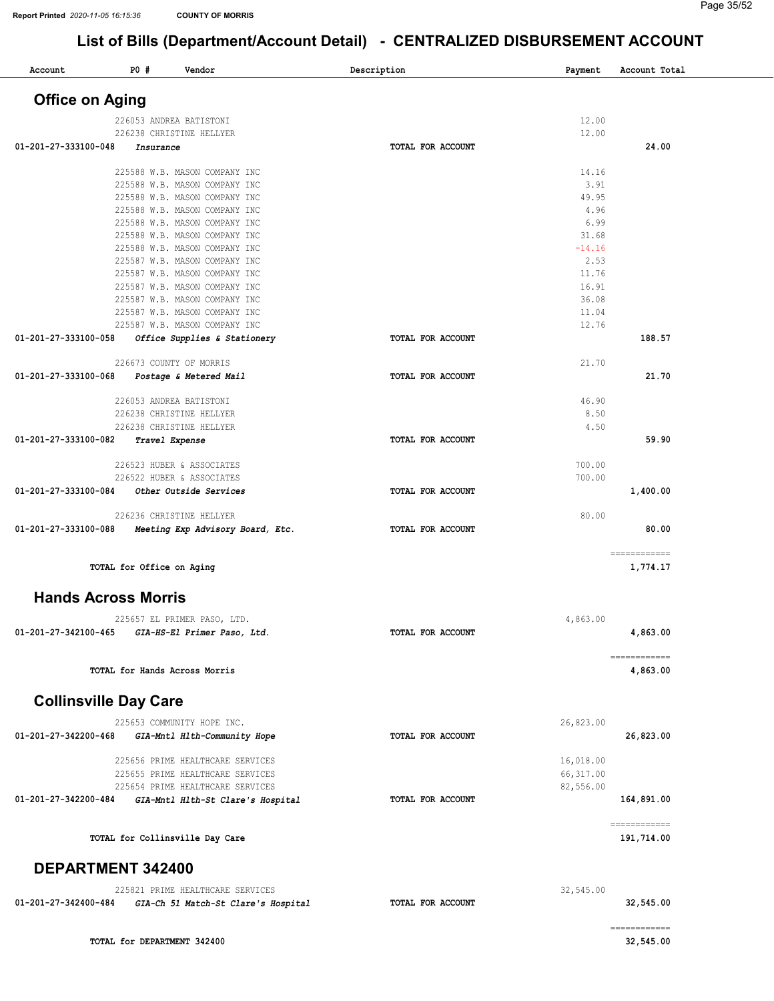| Account                      | <b>PO #</b>                 | Vendor                                                         | Description              | Payment        | Account Total            |
|------------------------------|-----------------------------|----------------------------------------------------------------|--------------------------|----------------|--------------------------|
| <b>Office on Aging</b>       |                             |                                                                |                          |                |                          |
|                              |                             | 226053 ANDREA BATISTONI                                        |                          | 12.00          |                          |
|                              |                             | 226238 CHRISTINE HELLYER                                       |                          | 12.00          |                          |
| 01-201-27-333100-048         | Insurance                   |                                                                | <b>TOTAL FOR ACCOUNT</b> |                | 24.00                    |
|                              |                             |                                                                |                          |                |                          |
|                              |                             | 225588 W.B. MASON COMPANY INC                                  |                          | 14.16          |                          |
|                              |                             | 225588 W.B. MASON COMPANY INC<br>225588 W.B. MASON COMPANY INC |                          | 3.91<br>49.95  |                          |
|                              |                             | 225588 W.B. MASON COMPANY INC                                  |                          | 4.96           |                          |
|                              |                             | 225588 W.B. MASON COMPANY INC                                  |                          | 6.99           |                          |
|                              |                             | 225588 W.B. MASON COMPANY INC                                  |                          | 31.68          |                          |
|                              |                             | 225588 W.B. MASON COMPANY INC                                  |                          | $-14.16$       |                          |
|                              |                             | 225587 W.B. MASON COMPANY INC                                  |                          | 2.53           |                          |
|                              |                             | 225587 W.B. MASON COMPANY INC                                  |                          | 11.76          |                          |
|                              |                             | 225587 W.B. MASON COMPANY INC<br>225587 W.B. MASON COMPANY INC |                          | 16.91<br>36.08 |                          |
|                              |                             | 225587 W.B. MASON COMPANY INC                                  |                          | 11.04          |                          |
|                              |                             | 225587 W.B. MASON COMPANY INC                                  |                          | 12.76          |                          |
| 01-201-27-333100-058         |                             | Office Supplies & Stationery                                   | TOTAL FOR ACCOUNT        |                | 188.57                   |
|                              |                             |                                                                |                          | 21.70          |                          |
| 01-201-27-333100-068         |                             | 226673 COUNTY OF MORRIS<br>Postage & Metered Mail              | TOTAL FOR ACCOUNT        |                | 21.70                    |
|                              |                             |                                                                |                          |                |                          |
|                              |                             | 226053 ANDREA BATISTONI                                        |                          | 46.90          |                          |
|                              |                             | 226238 CHRISTINE HELLYER                                       |                          | 8.50           |                          |
|                              |                             | 226238 CHRISTINE HELLYER                                       |                          | 4.50           |                          |
| 01-201-27-333100-082         |                             | Travel Expense                                                 | TOTAL FOR ACCOUNT        |                | 59.90                    |
|                              |                             | 226523 HUBER & ASSOCIATES                                      |                          | 700.00         |                          |
|                              |                             | 226522 HUBER & ASSOCIATES                                      |                          | 700.00         |                          |
| 01-201-27-333100-084         |                             | Other Outside Services                                         | TOTAL FOR ACCOUNT        |                | 1,400.00                 |
|                              |                             | 226236 CHRISTINE HELLYER                                       |                          | 80.00          |                          |
| 01-201-27-333100-088         |                             | Meeting Exp Advisory Board, Etc.                               | TOTAL FOR ACCOUNT        |                | 80.00                    |
|                              |                             |                                                                |                          |                |                          |
|                              | TOTAL for Office on Aging   |                                                                |                          |                | ============<br>1,774.17 |
| <b>Hands Across Morris</b>   |                             |                                                                |                          |                |                          |
|                              |                             |                                                                |                          |                |                          |
|                              |                             | 225657 EL PRIMER PASO, LTD.                                    |                          | 4,863.00       |                          |
| 01-201-27-342100-465         |                             | GIA-HS-El Primer Paso, Ltd.                                    | TOTAL FOR ACCOUNT        |                | 4,863.00                 |
|                              |                             |                                                                |                          |                | ============             |
|                              |                             | TOTAL for Hands Across Morris                                  |                          |                | 4,863.00                 |
| <b>Collinsville Day Care</b> |                             |                                                                |                          |                |                          |
|                              |                             | 225653 COMMUNITY HOPE INC.                                     |                          | 26,823.00      |                          |
| 01-201-27-342200-468         |                             | GIA-Mntl Hlth-Community Hope                                   | <b>TOTAL FOR ACCOUNT</b> |                | 26,823.00                |
|                              |                             |                                                                |                          |                |                          |
|                              |                             | 225656 PRIME HEALTHCARE SERVICES                               |                          | 16,018.00      |                          |
|                              |                             | 225655 PRIME HEALTHCARE SERVICES                               |                          | 66, 317.00     |                          |
| 01-201-27-342200-484         |                             | 225654 PRIME HEALTHCARE SERVICES                               | TOTAL FOR ACCOUNT        | 82,556.00      | 164,891.00               |
|                              |                             | GIA-Mntl Hlth-St Clare's Hospital                              |                          |                |                          |
|                              |                             |                                                                |                          |                | ============             |
|                              |                             | TOTAL for Collinsville Day Care                                |                          |                | 191,714.00               |
| DEPARTMENT 342400            |                             |                                                                |                          |                |                          |
|                              |                             | 225821 PRIME HEALTHCARE SERVICES                               |                          | 32,545.00      |                          |
| 01-201-27-342400-484         |                             | GIA-Ch 51 Match-St Clare's Hospital                            | TOTAL FOR ACCOUNT        |                | 32,545.00                |
|                              |                             |                                                                |                          |                | ============             |
|                              | TOTAL for DEPARTMENT 342400 |                                                                |                          |                | 32,545.00                |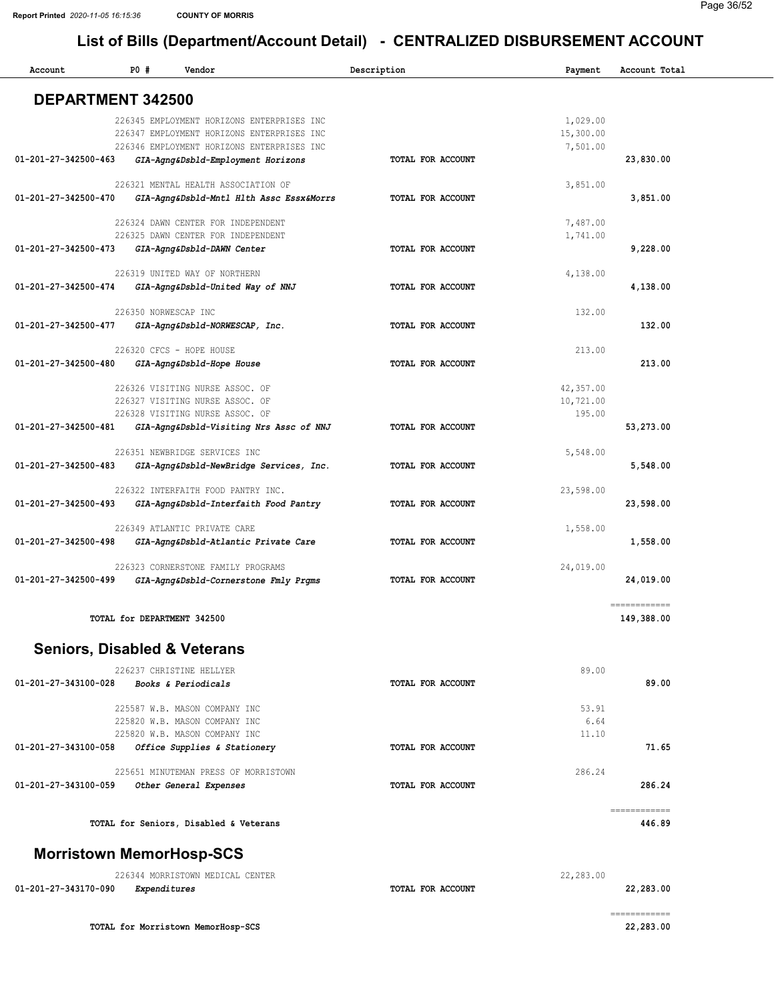۰

# List of Bills (Department/Account Detail) - CENTRALIZED DISBURSEMENT ACCOUNT

| Account              | P0#<br>Vendor                              | Description              | Payment   | Account Total |
|----------------------|--------------------------------------------|--------------------------|-----------|---------------|
|                      |                                            |                          |           |               |
| DEPARTMENT 342500    |                                            |                          |           |               |
|                      | 226345 EMPLOYMENT HORIZONS ENTERPRISES INC |                          | 1,029.00  |               |
|                      | 226347 EMPLOYMENT HORIZONS ENTERPRISES INC |                          | 15,300.00 |               |
|                      | 226346 EMPLOYMENT HORIZONS ENTERPRISES INC |                          | 7,501.00  |               |
| 01-201-27-342500-463 | GIA-Agng&Dsbld-Employment Horizons         | TOTAL FOR ACCOUNT        |           | 23,830.00     |
|                      | 226321 MENTAL HEALTH ASSOCIATION OF        |                          | 3,851.00  |               |
| 01-201-27-342500-470 | GIA-Agng&Dsbld-Mntl Hlth Assc Essx&Morrs   | TOTAL FOR ACCOUNT        |           | 3,851.00      |
|                      |                                            |                          |           |               |
|                      | 226324 DAWN CENTER FOR INDEPENDENT         |                          | 7,487.00  |               |
| 01-201-27-342500-473 | 226325 DAWN CENTER FOR INDEPENDENT         | <b>TOTAL FOR ACCOUNT</b> | 1,741.00  | 9,228.00      |
|                      | GIA-Agng&Dsbld-DAWN Center                 |                          |           |               |
|                      | 226319 UNITED WAY OF NORTHERN              |                          | 4,138.00  |               |
| 01-201-27-342500-474 | GIA-Agng&Dsbld-United Way of NNJ           | TOTAL FOR ACCOUNT        |           | 4,138.00      |
|                      | 226350 NORWESCAP INC                       |                          | 132.00    |               |
| 01-201-27-342500-477 | GIA-Agng&Dsbld-NORWESCAP, Inc.             | TOTAL FOR ACCOUNT        |           | 132.00        |
|                      |                                            |                          |           |               |
|                      | 226320 CFCS - HOPE HOUSE                   |                          | 213.00    |               |
| 01-201-27-342500-480 | GIA-Agng&Dsbld-Hope House                  | TOTAL FOR ACCOUNT        |           | 213.00        |
|                      | 226326 VISITING NURSE ASSOC. OF            |                          | 42,357.00 |               |
|                      | 226327 VISITING NURSE ASSOC. OF            |                          | 10,721.00 |               |
|                      | 226328 VISITING NURSE ASSOC. OF            |                          | 195.00    |               |
| 01-201-27-342500-481 | GIA-Agng&Dsbld-Visiting Nrs Assc of NNJ    | TOTAL FOR ACCOUNT        |           | 53,273.00     |
|                      | 226351 NEWBRIDGE SERVICES INC              |                          | 5,548.00  |               |
| 01-201-27-342500-483 | GIA-Agng&Dsbld-NewBridge Services, Inc.    | TOTAL FOR ACCOUNT        |           | 5,548.00      |
|                      |                                            |                          |           |               |
|                      | 226322 INTERFAITH FOOD PANTRY INC.         |                          | 23,598.00 |               |
| 01-201-27-342500-493 | GIA-Agng&Dsbld-Interfaith Food Pantry      | TOTAL FOR ACCOUNT        |           | 23,598.00     |
|                      | 226349 ATLANTIC PRIVATE CARE               |                          | 1,558.00  |               |
| 01-201-27-342500-498 | GIA-Agng&Dsbld-Atlantic Private Care       | TOTAL FOR ACCOUNT        |           | 1,558.00      |
|                      | 226323 CORNERSTONE FAMILY PROGRAMS         |                          | 24,019.00 |               |
| 01-201-27-342500-499 | GIA-Agng&Dsbld-Cornerstone Fmly Prgms      | TOTAL FOR ACCOUNT        |           | 24,019.00     |
|                      |                                            |                          |           |               |
|                      |                                            |                          |           | ============  |
|                      | TOTAL for DEPARTMENT 342500                |                          |           | 149,388.00    |
|                      |                                            |                          |           |               |
|                      | <b>Seniors, Disabled &amp; Veterans</b>    |                          |           |               |
|                      | 226237 CHRISTINE HELLYER                   |                          | 89.00     |               |
| 01-201-27-343100-028 | Books & Periodicals                        | TOTAL FOR ACCOUNT        |           | 89.00         |
|                      | 225587 W.B. MASON COMPANY INC              |                          | 53.91     |               |
|                      | 225820 W.B. MASON COMPANY INC              |                          | 6.64      |               |
|                      | 225820 W.B. MASON COMPANY INC              |                          | 11.10     |               |
| 01-201-27-343100-058 | Office Supplies & Stationery               | <b>TOTAL FOR ACCOUNT</b> |           | 71.65         |
|                      | 225651 MINUTEMAN PRESS OF MORRISTOWN       |                          | 286.24    |               |
| 01-201-27-343100-059 | Other General Expenses                     | TOTAL FOR ACCOUNT        |           | 286.24        |
|                      |                                            |                          |           |               |
|                      |                                            |                          |           | ------------  |
|                      | TOTAL for Seniors, Disabled & Veterans     |                          |           | 446.89        |
|                      |                                            |                          |           |               |
|                      | <b>Morristown MemorHosp-SCS</b>            |                          |           |               |
|                      | 226344 MORRISTOWN MEDICAL CENTER           |                          | 22,283.00 |               |
| 01-201-27-343170-090 | Expenditures                               | TOTAL FOR ACCOUNT        |           | 22,283.00     |

TOTAL for Morristown MemorHosp-SCS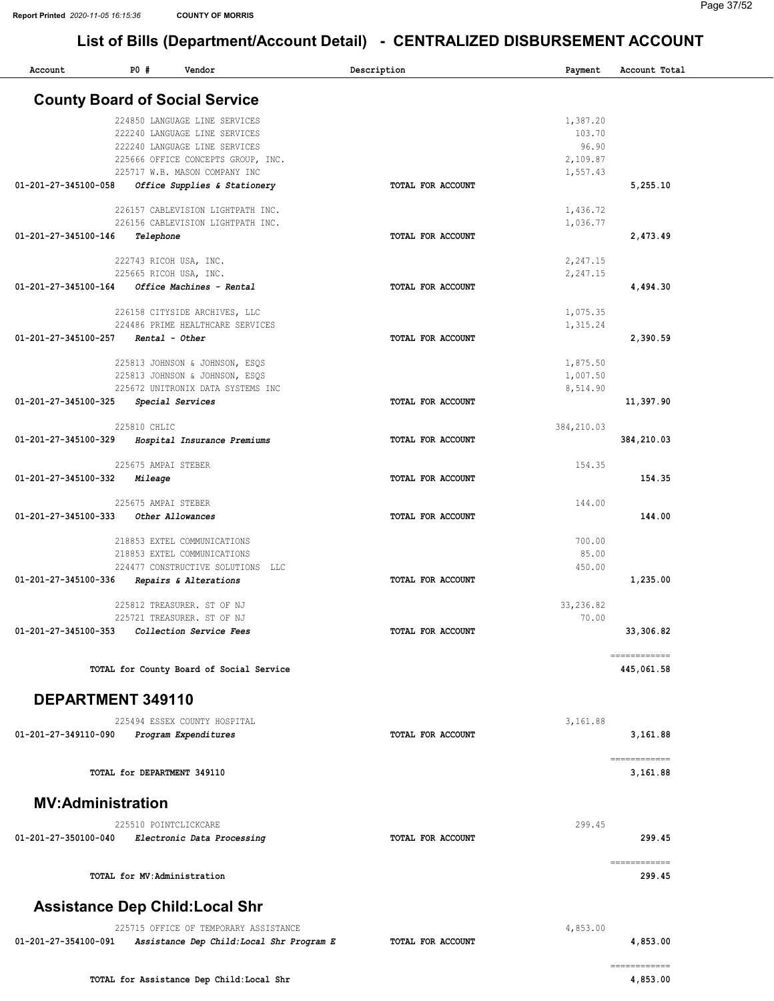| Account                  | P0#                          | Vendor                                                     | Description       | Payment    | Account Total                                                                                                                                                                                                                                                                                                                                                                                                                                                                                    |
|--------------------------|------------------------------|------------------------------------------------------------|-------------------|------------|--------------------------------------------------------------------------------------------------------------------------------------------------------------------------------------------------------------------------------------------------------------------------------------------------------------------------------------------------------------------------------------------------------------------------------------------------------------------------------------------------|
|                          |                              | <b>County Board of Social Service</b>                      |                   |            |                                                                                                                                                                                                                                                                                                                                                                                                                                                                                                  |
|                          |                              | 224850 LANGUAGE LINE SERVICES                              |                   | 1,387.20   |                                                                                                                                                                                                                                                                                                                                                                                                                                                                                                  |
|                          |                              | 222240 LANGUAGE LINE SERVICES                              |                   | 103.70     |                                                                                                                                                                                                                                                                                                                                                                                                                                                                                                  |
|                          |                              | 222240 LANGUAGE LINE SERVICES                              |                   | 96.90      |                                                                                                                                                                                                                                                                                                                                                                                                                                                                                                  |
|                          |                              | 225666 OFFICE CONCEPTS GROUP, INC.                         |                   | 2,109.87   |                                                                                                                                                                                                                                                                                                                                                                                                                                                                                                  |
|                          |                              | 225717 W.B. MASON COMPANY INC                              |                   | 1,557.43   |                                                                                                                                                                                                                                                                                                                                                                                                                                                                                                  |
| 01-201-27-345100-058     |                              | Office Supplies & Stationery                               | TOTAL FOR ACCOUNT |            | 5,255.10                                                                                                                                                                                                                                                                                                                                                                                                                                                                                         |
|                          |                              | 226157 CABLEVISION LIGHTPATH INC.                          |                   | 1,436.72   |                                                                                                                                                                                                                                                                                                                                                                                                                                                                                                  |
|                          |                              | 226156 CABLEVISION LIGHTPATH INC.                          |                   | 1,036.77   |                                                                                                                                                                                                                                                                                                                                                                                                                                                                                                  |
| 01-201-27-345100-146     | Telephone                    |                                                            | TOTAL FOR ACCOUNT |            | 2,473.49                                                                                                                                                                                                                                                                                                                                                                                                                                                                                         |
|                          |                              | 222743 RICOH USA, INC.                                     |                   | 2,247.15   |                                                                                                                                                                                                                                                                                                                                                                                                                                                                                                  |
|                          |                              | 225665 RICOH USA, INC.                                     |                   | 2,247.15   |                                                                                                                                                                                                                                                                                                                                                                                                                                                                                                  |
| 01-201-27-345100-164     |                              | Office Machines - Rental                                   | TOTAL FOR ACCOUNT |            | 4,494.30                                                                                                                                                                                                                                                                                                                                                                                                                                                                                         |
|                          |                              |                                                            |                   |            |                                                                                                                                                                                                                                                                                                                                                                                                                                                                                                  |
|                          |                              | 226158 CITYSIDE ARCHIVES, LLC                              |                   | 1,075.35   |                                                                                                                                                                                                                                                                                                                                                                                                                                                                                                  |
| 01-201-27-345100-257     |                              | 224486 PRIME HEALTHCARE SERVICES<br>Rental - Other         |                   | 1,315.24   |                                                                                                                                                                                                                                                                                                                                                                                                                                                                                                  |
|                          |                              |                                                            | TOTAL FOR ACCOUNT |            | 2,390.59                                                                                                                                                                                                                                                                                                                                                                                                                                                                                         |
|                          |                              | 225813 JOHNSON & JOHNSON, ESQS                             |                   | 1,875.50   |                                                                                                                                                                                                                                                                                                                                                                                                                                                                                                  |
|                          |                              | 225813 JOHNSON & JOHNSON, ESQS                             |                   | 1,007.50   |                                                                                                                                                                                                                                                                                                                                                                                                                                                                                                  |
|                          |                              | 225672 UNITRONIX DATA SYSTEMS INC                          |                   | 8,514.90   |                                                                                                                                                                                                                                                                                                                                                                                                                                                                                                  |
| 01-201-27-345100-325     |                              | Special Services                                           | TOTAL FOR ACCOUNT |            | 11,397.90                                                                                                                                                                                                                                                                                                                                                                                                                                                                                        |
|                          | 225810 CHLIC                 |                                                            |                   | 384,210.03 |                                                                                                                                                                                                                                                                                                                                                                                                                                                                                                  |
| 01-201-27-345100-329     |                              | Hospital Insurance Premiums                                | TOTAL FOR ACCOUNT |            | 384,210.03                                                                                                                                                                                                                                                                                                                                                                                                                                                                                       |
|                          |                              |                                                            |                   |            |                                                                                                                                                                                                                                                                                                                                                                                                                                                                                                  |
|                          | 225675 AMPAI STEBER          |                                                            |                   | 154.35     |                                                                                                                                                                                                                                                                                                                                                                                                                                                                                                  |
| 01-201-27-345100-332     | Mileage                      |                                                            | TOTAL FOR ACCOUNT |            | 154.35                                                                                                                                                                                                                                                                                                                                                                                                                                                                                           |
|                          | 225675 AMPAI STEBER          |                                                            |                   | 144.00     |                                                                                                                                                                                                                                                                                                                                                                                                                                                                                                  |
| 01-201-27-345100-333     |                              | Other Allowances                                           | TOTAL FOR ACCOUNT |            | 144.00                                                                                                                                                                                                                                                                                                                                                                                                                                                                                           |
|                          |                              |                                                            |                   |            |                                                                                                                                                                                                                                                                                                                                                                                                                                                                                                  |
|                          |                              | 218853 EXTEL COMMUNICATIONS                                |                   | 700.00     |                                                                                                                                                                                                                                                                                                                                                                                                                                                                                                  |
|                          |                              | 218853 EXTEL COMMUNICATIONS                                |                   | 85.00      |                                                                                                                                                                                                                                                                                                                                                                                                                                                                                                  |
| 01-201-27-345100-336     |                              | 224477 CONSTRUCTIVE SOLUTIONS LLC<br>Repairs & Alterations | TOTAL FOR ACCOUNT | 450.00     | 1,235.00                                                                                                                                                                                                                                                                                                                                                                                                                                                                                         |
|                          |                              |                                                            |                   |            |                                                                                                                                                                                                                                                                                                                                                                                                                                                                                                  |
|                          |                              | 225812 TREASURER. ST OF NJ                                 |                   | 33,236.82  |                                                                                                                                                                                                                                                                                                                                                                                                                                                                                                  |
|                          |                              | 225721 TREASURER. ST OF NJ                                 |                   | 70.00      |                                                                                                                                                                                                                                                                                                                                                                                                                                                                                                  |
| 01-201-27-345100-353     |                              | Collection Service Fees                                    | TOTAL FOR ACCOUNT |            | 33,306.82                                                                                                                                                                                                                                                                                                                                                                                                                                                                                        |
|                          |                              |                                                            |                   |            | $\begin{array}{cccccccccc} \multicolumn{2}{c}{} & \multicolumn{2}{c}{} & \multicolumn{2}{c}{} & \multicolumn{2}{c}{} & \multicolumn{2}{c}{} & \multicolumn{2}{c}{} & \multicolumn{2}{c}{} & \multicolumn{2}{c}{} & \multicolumn{2}{c}{} & \multicolumn{2}{c}{} & \multicolumn{2}{c}{} & \multicolumn{2}{c}{} & \multicolumn{2}{c}{} & \multicolumn{2}{c}{} & \multicolumn{2}{c}{} & \multicolumn{2}{c}{} & \multicolumn{2}{c}{} & \multicolumn{2}{c}{} & \multicolumn{2}{c}{} & \mult$           |
|                          |                              | TOTAL for County Board of Social Service                   |                   |            | 445,061.58                                                                                                                                                                                                                                                                                                                                                                                                                                                                                       |
| DEPARTMENT 349110        |                              |                                                            |                   |            |                                                                                                                                                                                                                                                                                                                                                                                                                                                                                                  |
|                          |                              | 225494 ESSEX COUNTY HOSPITAL                               |                   | 3,161.88   |                                                                                                                                                                                                                                                                                                                                                                                                                                                                                                  |
| 01-201-27-349110-090     |                              | Program Expenditures                                       | TOTAL FOR ACCOUNT |            | 3,161.88                                                                                                                                                                                                                                                                                                                                                                                                                                                                                         |
|                          |                              |                                                            |                   |            |                                                                                                                                                                                                                                                                                                                                                                                                                                                                                                  |
|                          | TOTAL for DEPARTMENT 349110  |                                                            |                   |            | ------------<br>3,161.88                                                                                                                                                                                                                                                                                                                                                                                                                                                                         |
|                          |                              |                                                            |                   |            |                                                                                                                                                                                                                                                                                                                                                                                                                                                                                                  |
| <b>MV:Administration</b> |                              |                                                            |                   |            |                                                                                                                                                                                                                                                                                                                                                                                                                                                                                                  |
|                          |                              | 225510 POINTCLICKCARE                                      |                   | 299.45     |                                                                                                                                                                                                                                                                                                                                                                                                                                                                                                  |
| 01-201-27-350100-040     |                              | Electronic Data Processing                                 | TOTAL FOR ACCOUNT |            | 299.45                                                                                                                                                                                                                                                                                                                                                                                                                                                                                           |
|                          |                              |                                                            |                   |            |                                                                                                                                                                                                                                                                                                                                                                                                                                                                                                  |
|                          | TOTAL for MV: Administration |                                                            |                   |            | $\begin{array}{cccccccccc} \multicolumn{2}{c}{} & \multicolumn{2}{c}{} & \multicolumn{2}{c}{} & \multicolumn{2}{c}{} & \multicolumn{2}{c}{} & \multicolumn{2}{c}{} & \multicolumn{2}{c}{} & \multicolumn{2}{c}{} & \multicolumn{2}{c}{} & \multicolumn{2}{c}{} & \multicolumn{2}{c}{} & \multicolumn{2}{c}{} & \multicolumn{2}{c}{} & \multicolumn{2}{c}{} & \multicolumn{2}{c}{} & \multicolumn{2}{c}{} & \multicolumn{2}{c}{} & \multicolumn{2}{c}{} & \multicolumn{2}{c}{} & \mult$<br>299.45 |
|                          |                              |                                                            |                   |            |                                                                                                                                                                                                                                                                                                                                                                                                                                                                                                  |
|                          |                              | <b>Assistance Dep Child: Local Shr</b>                     |                   |            |                                                                                                                                                                                                                                                                                                                                                                                                                                                                                                  |
|                          |                              | 225715 OFFICE OF TEMPORARY ASSISTANCE                      |                   | 4,853.00   |                                                                                                                                                                                                                                                                                                                                                                                                                                                                                                  |
| 01-201-27-354100-091     |                              | Assistance Dep Child: Local Shr Program E                  | TOTAL FOR ACCOUNT |            | 4,853.00                                                                                                                                                                                                                                                                                                                                                                                                                                                                                         |
|                          |                              |                                                            |                   |            | ============                                                                                                                                                                                                                                                                                                                                                                                                                                                                                     |
|                          |                              | TOTAL for Assistance Dep Child: Local Shr                  |                   |            | 4,853.00                                                                                                                                                                                                                                                                                                                                                                                                                                                                                         |
|                          |                              |                                                            |                   |            |                                                                                                                                                                                                                                                                                                                                                                                                                                                                                                  |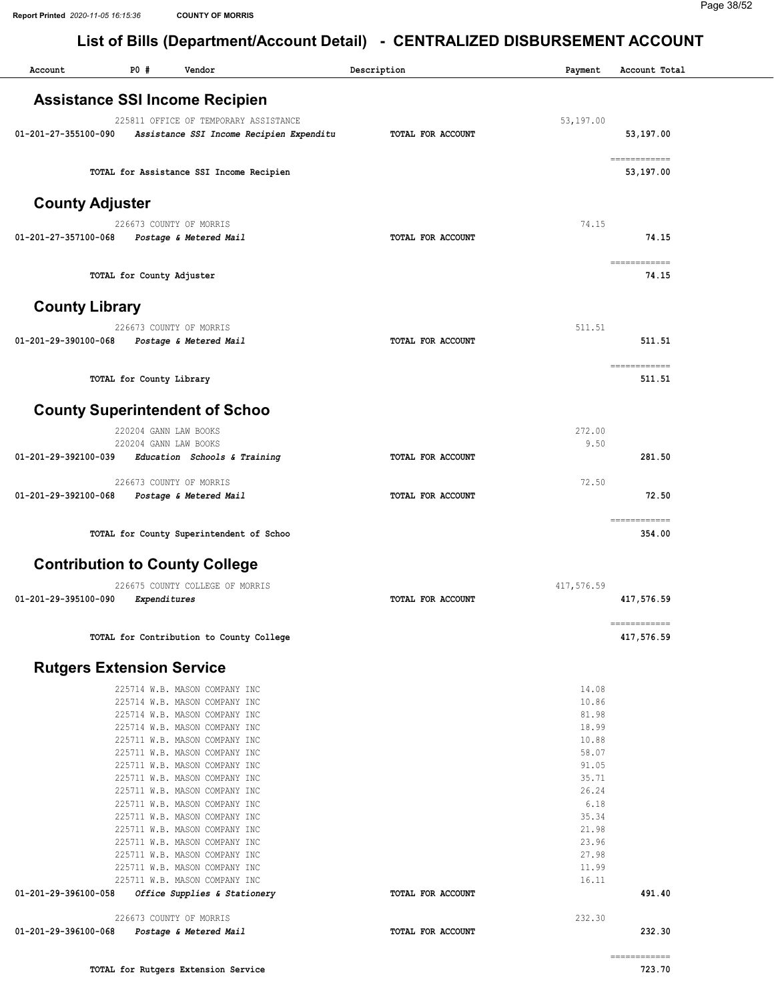Report Printed 2020-11-05 16:15:36 COUNTY OF MORRIS

Page 38/52

## List of Bills (Department/Account Detail) - CENTRALIZED DISBURSEMENT ACCOUNT

| $P0$ #<br>Vendor<br>Description<br>Account<br>Payment<br>Account Total<br><b>Assistance SSI Income Recipien</b><br>225811 OFFICE OF TEMPORARY ASSISTANCE<br>53,197.00<br>01-201-27-355100-090<br>Assistance SSI Income Recipien Expenditu<br>TOTAL FOR ACCOUNT<br>53,197.00<br>============<br>TOTAL for Assistance SSI Income Recipien<br>53,197.00<br><b>County Adjuster</b><br>74.15<br>226673 COUNTY OF MORRIS<br>74.15<br>01-201-27-357100-068<br>Postage & Metered Mail<br>TOTAL FOR ACCOUNT<br>============<br>TOTAL for County Adjuster<br>74.15<br><b>County Library</b><br>511.51<br>226673 COUNTY OF MORRIS<br>511.51<br>01-201-29-390100-068<br>TOTAL FOR ACCOUNT<br>Postage & Metered Mail<br>============<br>TOTAL for County Library<br>511.51<br><b>County Superintendent of Schoo</b><br>220204 GANN LAW BOOKS<br>272.00<br>220204 GANN LAW BOOKS<br>9.50<br>281.50<br>01-201-29-392100-039<br>Education Schools & Training<br>TOTAL FOR ACCOUNT<br>72.50<br>226673 COUNTY OF MORRIS<br>72.50<br>01-201-29-392100-068<br>Postage & Metered Mail<br>TOTAL FOR ACCOUNT<br>============<br>354.00<br>TOTAL for County Superintendent of Schoo<br><b>Contribution to County College</b><br>226675 COUNTY COLLEGE OF MORRIS<br>417,576.59<br>01-201-29-395100-090<br>417,576.59<br>Expenditures<br><b>TOTAL FOR ACCOUNT</b><br>============<br>TOTAL for Contribution to County College<br>417,576.59<br><b>Rutgers Extension Service</b><br>225714 W.B. MASON COMPANY INC<br>14.08<br>10.86<br>225714 W.B. MASON COMPANY INC<br>81.98<br>225714 W.B. MASON COMPANY INC<br>18.99<br>225714 W.B. MASON COMPANY INC<br>225711 W.B. MASON COMPANY INC<br>10.88<br>225711 W.B. MASON COMPANY INC<br>58.07<br>225711 W.B. MASON COMPANY INC<br>91.05<br>225711 W.B. MASON COMPANY INC<br>35.71<br>26.24<br>225711 W.B. MASON COMPANY INC<br>6.18<br>225711 W.B. MASON COMPANY INC<br>35.34<br>225711 W.B. MASON COMPANY INC<br>21.98<br>225711 W.B. MASON COMPANY INC<br>23.96<br>225711 W.B. MASON COMPANY INC<br>27.98<br>225711 W.B. MASON COMPANY INC<br>225711 W.B. MASON COMPANY INC<br>11.99<br>225711 W.B. MASON COMPANY INC<br>16.11<br>01-201-29-396100-058<br>491.40<br>Office Supplies & Stationery<br>TOTAL FOR ACCOUNT<br>226673 COUNTY OF MORRIS<br>232.30<br>232.30<br>01-201-29-396100-068<br>Postage & Metered Mail<br>TOTAL FOR ACCOUNT |  |  |  |
|-------------------------------------------------------------------------------------------------------------------------------------------------------------------------------------------------------------------------------------------------------------------------------------------------------------------------------------------------------------------------------------------------------------------------------------------------------------------------------------------------------------------------------------------------------------------------------------------------------------------------------------------------------------------------------------------------------------------------------------------------------------------------------------------------------------------------------------------------------------------------------------------------------------------------------------------------------------------------------------------------------------------------------------------------------------------------------------------------------------------------------------------------------------------------------------------------------------------------------------------------------------------------------------------------------------------------------------------------------------------------------------------------------------------------------------------------------------------------------------------------------------------------------------------------------------------------------------------------------------------------------------------------------------------------------------------------------------------------------------------------------------------------------------------------------------------------------------------------------------------------------------------------------------------------------------------------------------------------------------------------------------------------------------------------------------------------------------------------------------------------------------------------------------------------------------------------------------------------------------------------------------------------------------------------------------------------------------------------------------------|--|--|--|
|                                                                                                                                                                                                                                                                                                                                                                                                                                                                                                                                                                                                                                                                                                                                                                                                                                                                                                                                                                                                                                                                                                                                                                                                                                                                                                                                                                                                                                                                                                                                                                                                                                                                                                                                                                                                                                                                                                                                                                                                                                                                                                                                                                                                                                                                                                                                                                   |  |  |  |
|                                                                                                                                                                                                                                                                                                                                                                                                                                                                                                                                                                                                                                                                                                                                                                                                                                                                                                                                                                                                                                                                                                                                                                                                                                                                                                                                                                                                                                                                                                                                                                                                                                                                                                                                                                                                                                                                                                                                                                                                                                                                                                                                                                                                                                                                                                                                                                   |  |  |  |
|                                                                                                                                                                                                                                                                                                                                                                                                                                                                                                                                                                                                                                                                                                                                                                                                                                                                                                                                                                                                                                                                                                                                                                                                                                                                                                                                                                                                                                                                                                                                                                                                                                                                                                                                                                                                                                                                                                                                                                                                                                                                                                                                                                                                                                                                                                                                                                   |  |  |  |
|                                                                                                                                                                                                                                                                                                                                                                                                                                                                                                                                                                                                                                                                                                                                                                                                                                                                                                                                                                                                                                                                                                                                                                                                                                                                                                                                                                                                                                                                                                                                                                                                                                                                                                                                                                                                                                                                                                                                                                                                                                                                                                                                                                                                                                                                                                                                                                   |  |  |  |
|                                                                                                                                                                                                                                                                                                                                                                                                                                                                                                                                                                                                                                                                                                                                                                                                                                                                                                                                                                                                                                                                                                                                                                                                                                                                                                                                                                                                                                                                                                                                                                                                                                                                                                                                                                                                                                                                                                                                                                                                                                                                                                                                                                                                                                                                                                                                                                   |  |  |  |
|                                                                                                                                                                                                                                                                                                                                                                                                                                                                                                                                                                                                                                                                                                                                                                                                                                                                                                                                                                                                                                                                                                                                                                                                                                                                                                                                                                                                                                                                                                                                                                                                                                                                                                                                                                                                                                                                                                                                                                                                                                                                                                                                                                                                                                                                                                                                                                   |  |  |  |
|                                                                                                                                                                                                                                                                                                                                                                                                                                                                                                                                                                                                                                                                                                                                                                                                                                                                                                                                                                                                                                                                                                                                                                                                                                                                                                                                                                                                                                                                                                                                                                                                                                                                                                                                                                                                                                                                                                                                                                                                                                                                                                                                                                                                                                                                                                                                                                   |  |  |  |
|                                                                                                                                                                                                                                                                                                                                                                                                                                                                                                                                                                                                                                                                                                                                                                                                                                                                                                                                                                                                                                                                                                                                                                                                                                                                                                                                                                                                                                                                                                                                                                                                                                                                                                                                                                                                                                                                                                                                                                                                                                                                                                                                                                                                                                                                                                                                                                   |  |  |  |
|                                                                                                                                                                                                                                                                                                                                                                                                                                                                                                                                                                                                                                                                                                                                                                                                                                                                                                                                                                                                                                                                                                                                                                                                                                                                                                                                                                                                                                                                                                                                                                                                                                                                                                                                                                                                                                                                                                                                                                                                                                                                                                                                                                                                                                                                                                                                                                   |  |  |  |
|                                                                                                                                                                                                                                                                                                                                                                                                                                                                                                                                                                                                                                                                                                                                                                                                                                                                                                                                                                                                                                                                                                                                                                                                                                                                                                                                                                                                                                                                                                                                                                                                                                                                                                                                                                                                                                                                                                                                                                                                                                                                                                                                                                                                                                                                                                                                                                   |  |  |  |
|                                                                                                                                                                                                                                                                                                                                                                                                                                                                                                                                                                                                                                                                                                                                                                                                                                                                                                                                                                                                                                                                                                                                                                                                                                                                                                                                                                                                                                                                                                                                                                                                                                                                                                                                                                                                                                                                                                                                                                                                                                                                                                                                                                                                                                                                                                                                                                   |  |  |  |
|                                                                                                                                                                                                                                                                                                                                                                                                                                                                                                                                                                                                                                                                                                                                                                                                                                                                                                                                                                                                                                                                                                                                                                                                                                                                                                                                                                                                                                                                                                                                                                                                                                                                                                                                                                                                                                                                                                                                                                                                                                                                                                                                                                                                                                                                                                                                                                   |  |  |  |
|                                                                                                                                                                                                                                                                                                                                                                                                                                                                                                                                                                                                                                                                                                                                                                                                                                                                                                                                                                                                                                                                                                                                                                                                                                                                                                                                                                                                                                                                                                                                                                                                                                                                                                                                                                                                                                                                                                                                                                                                                                                                                                                                                                                                                                                                                                                                                                   |  |  |  |
|                                                                                                                                                                                                                                                                                                                                                                                                                                                                                                                                                                                                                                                                                                                                                                                                                                                                                                                                                                                                                                                                                                                                                                                                                                                                                                                                                                                                                                                                                                                                                                                                                                                                                                                                                                                                                                                                                                                                                                                                                                                                                                                                                                                                                                                                                                                                                                   |  |  |  |
|                                                                                                                                                                                                                                                                                                                                                                                                                                                                                                                                                                                                                                                                                                                                                                                                                                                                                                                                                                                                                                                                                                                                                                                                                                                                                                                                                                                                                                                                                                                                                                                                                                                                                                                                                                                                                                                                                                                                                                                                                                                                                                                                                                                                                                                                                                                                                                   |  |  |  |
|                                                                                                                                                                                                                                                                                                                                                                                                                                                                                                                                                                                                                                                                                                                                                                                                                                                                                                                                                                                                                                                                                                                                                                                                                                                                                                                                                                                                                                                                                                                                                                                                                                                                                                                                                                                                                                                                                                                                                                                                                                                                                                                                                                                                                                                                                                                                                                   |  |  |  |
|                                                                                                                                                                                                                                                                                                                                                                                                                                                                                                                                                                                                                                                                                                                                                                                                                                                                                                                                                                                                                                                                                                                                                                                                                                                                                                                                                                                                                                                                                                                                                                                                                                                                                                                                                                                                                                                                                                                                                                                                                                                                                                                                                                                                                                                                                                                                                                   |  |  |  |
|                                                                                                                                                                                                                                                                                                                                                                                                                                                                                                                                                                                                                                                                                                                                                                                                                                                                                                                                                                                                                                                                                                                                                                                                                                                                                                                                                                                                                                                                                                                                                                                                                                                                                                                                                                                                                                                                                                                                                                                                                                                                                                                                                                                                                                                                                                                                                                   |  |  |  |
|                                                                                                                                                                                                                                                                                                                                                                                                                                                                                                                                                                                                                                                                                                                                                                                                                                                                                                                                                                                                                                                                                                                                                                                                                                                                                                                                                                                                                                                                                                                                                                                                                                                                                                                                                                                                                                                                                                                                                                                                                                                                                                                                                                                                                                                                                                                                                                   |  |  |  |
|                                                                                                                                                                                                                                                                                                                                                                                                                                                                                                                                                                                                                                                                                                                                                                                                                                                                                                                                                                                                                                                                                                                                                                                                                                                                                                                                                                                                                                                                                                                                                                                                                                                                                                                                                                                                                                                                                                                                                                                                                                                                                                                                                                                                                                                                                                                                                                   |  |  |  |
|                                                                                                                                                                                                                                                                                                                                                                                                                                                                                                                                                                                                                                                                                                                                                                                                                                                                                                                                                                                                                                                                                                                                                                                                                                                                                                                                                                                                                                                                                                                                                                                                                                                                                                                                                                                                                                                                                                                                                                                                                                                                                                                                                                                                                                                                                                                                                                   |  |  |  |
|                                                                                                                                                                                                                                                                                                                                                                                                                                                                                                                                                                                                                                                                                                                                                                                                                                                                                                                                                                                                                                                                                                                                                                                                                                                                                                                                                                                                                                                                                                                                                                                                                                                                                                                                                                                                                                                                                                                                                                                                                                                                                                                                                                                                                                                                                                                                                                   |  |  |  |
|                                                                                                                                                                                                                                                                                                                                                                                                                                                                                                                                                                                                                                                                                                                                                                                                                                                                                                                                                                                                                                                                                                                                                                                                                                                                                                                                                                                                                                                                                                                                                                                                                                                                                                                                                                                                                                                                                                                                                                                                                                                                                                                                                                                                                                                                                                                                                                   |  |  |  |
|                                                                                                                                                                                                                                                                                                                                                                                                                                                                                                                                                                                                                                                                                                                                                                                                                                                                                                                                                                                                                                                                                                                                                                                                                                                                                                                                                                                                                                                                                                                                                                                                                                                                                                                                                                                                                                                                                                                                                                                                                                                                                                                                                                                                                                                                                                                                                                   |  |  |  |
|                                                                                                                                                                                                                                                                                                                                                                                                                                                                                                                                                                                                                                                                                                                                                                                                                                                                                                                                                                                                                                                                                                                                                                                                                                                                                                                                                                                                                                                                                                                                                                                                                                                                                                                                                                                                                                                                                                                                                                                                                                                                                                                                                                                                                                                                                                                                                                   |  |  |  |
|                                                                                                                                                                                                                                                                                                                                                                                                                                                                                                                                                                                                                                                                                                                                                                                                                                                                                                                                                                                                                                                                                                                                                                                                                                                                                                                                                                                                                                                                                                                                                                                                                                                                                                                                                                                                                                                                                                                                                                                                                                                                                                                                                                                                                                                                                                                                                                   |  |  |  |
|                                                                                                                                                                                                                                                                                                                                                                                                                                                                                                                                                                                                                                                                                                                                                                                                                                                                                                                                                                                                                                                                                                                                                                                                                                                                                                                                                                                                                                                                                                                                                                                                                                                                                                                                                                                                                                                                                                                                                                                                                                                                                                                                                                                                                                                                                                                                                                   |  |  |  |
|                                                                                                                                                                                                                                                                                                                                                                                                                                                                                                                                                                                                                                                                                                                                                                                                                                                                                                                                                                                                                                                                                                                                                                                                                                                                                                                                                                                                                                                                                                                                                                                                                                                                                                                                                                                                                                                                                                                                                                                                                                                                                                                                                                                                                                                                                                                                                                   |  |  |  |
|                                                                                                                                                                                                                                                                                                                                                                                                                                                                                                                                                                                                                                                                                                                                                                                                                                                                                                                                                                                                                                                                                                                                                                                                                                                                                                                                                                                                                                                                                                                                                                                                                                                                                                                                                                                                                                                                                                                                                                                                                                                                                                                                                                                                                                                                                                                                                                   |  |  |  |
|                                                                                                                                                                                                                                                                                                                                                                                                                                                                                                                                                                                                                                                                                                                                                                                                                                                                                                                                                                                                                                                                                                                                                                                                                                                                                                                                                                                                                                                                                                                                                                                                                                                                                                                                                                                                                                                                                                                                                                                                                                                                                                                                                                                                                                                                                                                                                                   |  |  |  |
|                                                                                                                                                                                                                                                                                                                                                                                                                                                                                                                                                                                                                                                                                                                                                                                                                                                                                                                                                                                                                                                                                                                                                                                                                                                                                                                                                                                                                                                                                                                                                                                                                                                                                                                                                                                                                                                                                                                                                                                                                                                                                                                                                                                                                                                                                                                                                                   |  |  |  |
|                                                                                                                                                                                                                                                                                                                                                                                                                                                                                                                                                                                                                                                                                                                                                                                                                                                                                                                                                                                                                                                                                                                                                                                                                                                                                                                                                                                                                                                                                                                                                                                                                                                                                                                                                                                                                                                                                                                                                                                                                                                                                                                                                                                                                                                                                                                                                                   |  |  |  |
|                                                                                                                                                                                                                                                                                                                                                                                                                                                                                                                                                                                                                                                                                                                                                                                                                                                                                                                                                                                                                                                                                                                                                                                                                                                                                                                                                                                                                                                                                                                                                                                                                                                                                                                                                                                                                                                                                                                                                                                                                                                                                                                                                                                                                                                                                                                                                                   |  |  |  |
|                                                                                                                                                                                                                                                                                                                                                                                                                                                                                                                                                                                                                                                                                                                                                                                                                                                                                                                                                                                                                                                                                                                                                                                                                                                                                                                                                                                                                                                                                                                                                                                                                                                                                                                                                                                                                                                                                                                                                                                                                                                                                                                                                                                                                                                                                                                                                                   |  |  |  |
|                                                                                                                                                                                                                                                                                                                                                                                                                                                                                                                                                                                                                                                                                                                                                                                                                                                                                                                                                                                                                                                                                                                                                                                                                                                                                                                                                                                                                                                                                                                                                                                                                                                                                                                                                                                                                                                                                                                                                                                                                                                                                                                                                                                                                                                                                                                                                                   |  |  |  |
|                                                                                                                                                                                                                                                                                                                                                                                                                                                                                                                                                                                                                                                                                                                                                                                                                                                                                                                                                                                                                                                                                                                                                                                                                                                                                                                                                                                                                                                                                                                                                                                                                                                                                                                                                                                                                                                                                                                                                                                                                                                                                                                                                                                                                                                                                                                                                                   |  |  |  |
|                                                                                                                                                                                                                                                                                                                                                                                                                                                                                                                                                                                                                                                                                                                                                                                                                                                                                                                                                                                                                                                                                                                                                                                                                                                                                                                                                                                                                                                                                                                                                                                                                                                                                                                                                                                                                                                                                                                                                                                                                                                                                                                                                                                                                                                                                                                                                                   |  |  |  |
|                                                                                                                                                                                                                                                                                                                                                                                                                                                                                                                                                                                                                                                                                                                                                                                                                                                                                                                                                                                                                                                                                                                                                                                                                                                                                                                                                                                                                                                                                                                                                                                                                                                                                                                                                                                                                                                                                                                                                                                                                                                                                                                                                                                                                                                                                                                                                                   |  |  |  |
|                                                                                                                                                                                                                                                                                                                                                                                                                                                                                                                                                                                                                                                                                                                                                                                                                                                                                                                                                                                                                                                                                                                                                                                                                                                                                                                                                                                                                                                                                                                                                                                                                                                                                                                                                                                                                                                                                                                                                                                                                                                                                                                                                                                                                                                                                                                                                                   |  |  |  |
|                                                                                                                                                                                                                                                                                                                                                                                                                                                                                                                                                                                                                                                                                                                                                                                                                                                                                                                                                                                                                                                                                                                                                                                                                                                                                                                                                                                                                                                                                                                                                                                                                                                                                                                                                                                                                                                                                                                                                                                                                                                                                                                                                                                                                                                                                                                                                                   |  |  |  |
|                                                                                                                                                                                                                                                                                                                                                                                                                                                                                                                                                                                                                                                                                                                                                                                                                                                                                                                                                                                                                                                                                                                                                                                                                                                                                                                                                                                                                                                                                                                                                                                                                                                                                                                                                                                                                                                                                                                                                                                                                                                                                                                                                                                                                                                                                                                                                                   |  |  |  |
|                                                                                                                                                                                                                                                                                                                                                                                                                                                                                                                                                                                                                                                                                                                                                                                                                                                                                                                                                                                                                                                                                                                                                                                                                                                                                                                                                                                                                                                                                                                                                                                                                                                                                                                                                                                                                                                                                                                                                                                                                                                                                                                                                                                                                                                                                                                                                                   |  |  |  |
|                                                                                                                                                                                                                                                                                                                                                                                                                                                                                                                                                                                                                                                                                                                                                                                                                                                                                                                                                                                                                                                                                                                                                                                                                                                                                                                                                                                                                                                                                                                                                                                                                                                                                                                                                                                                                                                                                                                                                                                                                                                                                                                                                                                                                                                                                                                                                                   |  |  |  |
|                                                                                                                                                                                                                                                                                                                                                                                                                                                                                                                                                                                                                                                                                                                                                                                                                                                                                                                                                                                                                                                                                                                                                                                                                                                                                                                                                                                                                                                                                                                                                                                                                                                                                                                                                                                                                                                                                                                                                                                                                                                                                                                                                                                                                                                                                                                                                                   |  |  |  |
|                                                                                                                                                                                                                                                                                                                                                                                                                                                                                                                                                                                                                                                                                                                                                                                                                                                                                                                                                                                                                                                                                                                                                                                                                                                                                                                                                                                                                                                                                                                                                                                                                                                                                                                                                                                                                                                                                                                                                                                                                                                                                                                                                                                                                                                                                                                                                                   |  |  |  |
|                                                                                                                                                                                                                                                                                                                                                                                                                                                                                                                                                                                                                                                                                                                                                                                                                                                                                                                                                                                                                                                                                                                                                                                                                                                                                                                                                                                                                                                                                                                                                                                                                                                                                                                                                                                                                                                                                                                                                                                                                                                                                                                                                                                                                                                                                                                                                                   |  |  |  |
|                                                                                                                                                                                                                                                                                                                                                                                                                                                                                                                                                                                                                                                                                                                                                                                                                                                                                                                                                                                                                                                                                                                                                                                                                                                                                                                                                                                                                                                                                                                                                                                                                                                                                                                                                                                                                                                                                                                                                                                                                                                                                                                                                                                                                                                                                                                                                                   |  |  |  |
|                                                                                                                                                                                                                                                                                                                                                                                                                                                                                                                                                                                                                                                                                                                                                                                                                                                                                                                                                                                                                                                                                                                                                                                                                                                                                                                                                                                                                                                                                                                                                                                                                                                                                                                                                                                                                                                                                                                                                                                                                                                                                                                                                                                                                                                                                                                                                                   |  |  |  |
|                                                                                                                                                                                                                                                                                                                                                                                                                                                                                                                                                                                                                                                                                                                                                                                                                                                                                                                                                                                                                                                                                                                                                                                                                                                                                                                                                                                                                                                                                                                                                                                                                                                                                                                                                                                                                                                                                                                                                                                                                                                                                                                                                                                                                                                                                                                                                                   |  |  |  |

============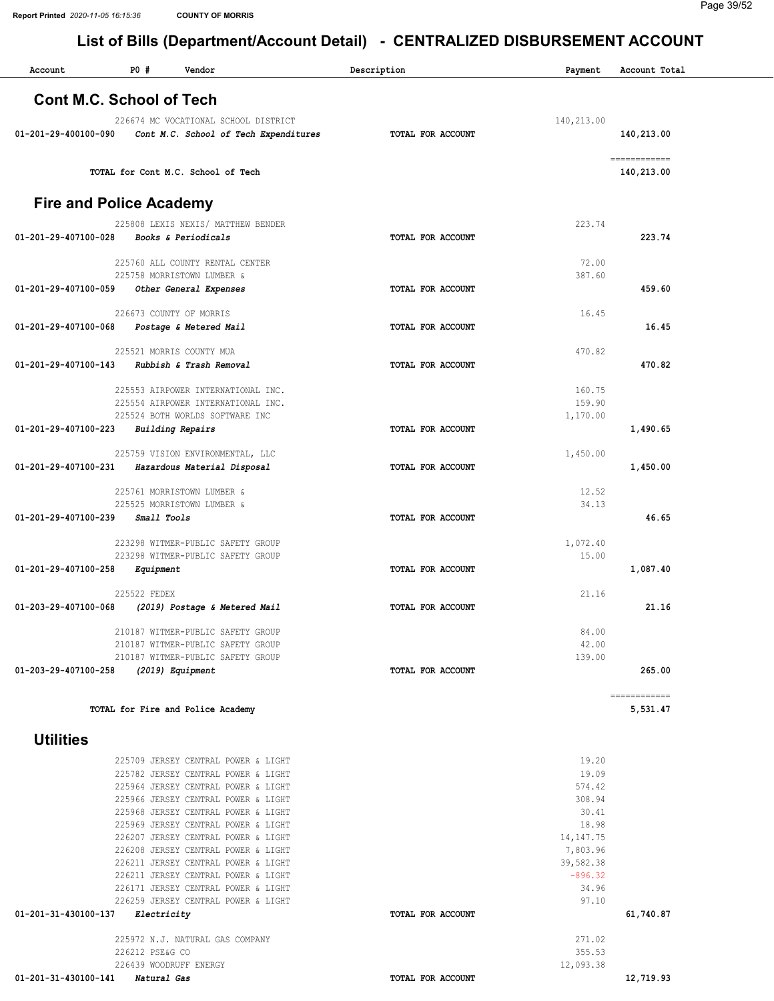| Account                         | P0#             | Vendor                                                                     | Description              | Payment                | Account Total |
|---------------------------------|-----------------|----------------------------------------------------------------------------|--------------------------|------------------------|---------------|
|                                 |                 |                                                                            |                          |                        |               |
| <b>Cont M.C. School of Tech</b> |                 |                                                                            |                          |                        |               |
|                                 |                 | 226674 MC VOCATIONAL SCHOOL DISTRICT                                       |                          | 140,213.00             |               |
| 01-201-29-400100-090            |                 | Cont M.C. School of Tech Expenditures                                      | TOTAL FOR ACCOUNT        |                        | 140,213.00    |
|                                 |                 |                                                                            |                          |                        |               |
|                                 |                 |                                                                            |                          |                        | ============  |
|                                 |                 | TOTAL for Cont M.C. School of Tech                                         |                          |                        | 140,213.00    |
|                                 |                 |                                                                            |                          |                        |               |
| <b>Fire and Police Academy</b>  |                 |                                                                            |                          |                        |               |
|                                 |                 | 225808 LEXIS NEXIS/ MATTHEW BENDER                                         |                          | 223.74                 |               |
| 01-201-29-407100-028            |                 | Books & Periodicals                                                        | TOTAL FOR ACCOUNT        |                        | 223.74        |
|                                 |                 |                                                                            |                          |                        |               |
|                                 |                 | 225760 ALL COUNTY RENTAL CENTER                                            |                          | 72.00<br>387.60        |               |
| 01-201-29-407100-059            |                 | 225758 MORRISTOWN LUMBER &<br>Other General Expenses                       | <b>TOTAL FOR ACCOUNT</b> |                        | 459.60        |
|                                 |                 |                                                                            |                          |                        |               |
|                                 |                 | 226673 COUNTY OF MORRIS                                                    |                          | 16.45                  |               |
| 01-201-29-407100-068            |                 | Postage & Metered Mail                                                     | <b>TOTAL FOR ACCOUNT</b> |                        | 16.45         |
|                                 |                 |                                                                            |                          |                        |               |
| 01-201-29-407100-143            |                 | 225521 MORRIS COUNTY MUA<br>Rubbish & Trash Removal                        | TOTAL FOR ACCOUNT        | 470.82                 | 470.82        |
|                                 |                 |                                                                            |                          |                        |               |
|                                 |                 | 225553 AIRPOWER INTERNATIONAL INC.                                         |                          | 160.75                 |               |
|                                 |                 | 225554 AIRPOWER INTERNATIONAL INC.                                         |                          | 159.90                 |               |
|                                 |                 | 225524 BOTH WORLDS SOFTWARE INC                                            |                          | 1,170.00               |               |
| 01-201-29-407100-223            |                 | <b>Building Repairs</b>                                                    | TOTAL FOR ACCOUNT        |                        | 1,490.65      |
|                                 |                 | 225759 VISION ENVIRONMENTAL, LLC                                           |                          | 1,450.00               |               |
| 01-201-29-407100-231            |                 | Hazardous Material Disposal                                                | TOTAL FOR ACCOUNT        |                        | 1,450.00      |
|                                 |                 |                                                                            |                          |                        |               |
|                                 |                 | 225761 MORRISTOWN LUMBER &                                                 |                          | 12.52                  |               |
|                                 |                 | 225525 MORRISTOWN LUMBER &                                                 |                          | 34.13                  |               |
| 01-201-29-407100-239            | Small Tools     |                                                                            | TOTAL FOR ACCOUNT        |                        | 46.65         |
|                                 |                 | 223298 WITMER-PUBLIC SAFETY GROUP                                          |                          | 1,072.40               |               |
|                                 |                 | 223298 WITMER-PUBLIC SAFETY GROUP                                          |                          | 15.00                  |               |
| 01-201-29-407100-258            | Equipment       |                                                                            | TOTAL FOR ACCOUNT        |                        | 1,087.40      |
|                                 |                 |                                                                            |                          |                        |               |
| 01-203-29-407100-068            | 225522 FEDEX    |                                                                            | <b>TOTAL FOR ACCOUNT</b> | 21.16                  | 21.16         |
|                                 |                 | (2019) Postage & Metered Mail                                              |                          |                        |               |
|                                 |                 | 210187 WITMER-PUBLIC SAFETY GROUP                                          |                          | 84.00                  |               |
|                                 |                 | 210187 WITMER-PUBLIC SAFETY GROUP                                          |                          | 42.00                  |               |
|                                 |                 | 210187 WITMER-PUBLIC SAFETY GROUP                                          |                          | 139.00                 |               |
| 01-203-29-407100-258            |                 | (2019) Equipment                                                           | TOTAL FOR ACCOUNT        |                        | 265.00        |
|                                 |                 |                                                                            |                          |                        | ------------- |
|                                 |                 | TOTAL for Fire and Police Academy                                          |                          |                        | 5,531.47      |
|                                 |                 |                                                                            |                          |                        |               |
| <b>Utilities</b>                |                 |                                                                            |                          |                        |               |
|                                 |                 |                                                                            |                          |                        |               |
|                                 |                 | 225709 JERSEY CENTRAL POWER & LIGHT                                        |                          | 19.20                  |               |
|                                 |                 | 225782 JERSEY CENTRAL POWER & LIGHT<br>225964 JERSEY CENTRAL POWER & LIGHT |                          | 19.09<br>574.42        |               |
|                                 |                 | 225966 JERSEY CENTRAL POWER & LIGHT                                        |                          | 308.94                 |               |
|                                 |                 | 225968 JERSEY CENTRAL POWER & LIGHT                                        |                          | 30.41                  |               |
|                                 |                 | 225969 JERSEY CENTRAL POWER & LIGHT                                        |                          | 18.98                  |               |
|                                 |                 | 226207 JERSEY CENTRAL POWER & LIGHT                                        |                          | 14, 147. 75            |               |
|                                 |                 | 226208 JERSEY CENTRAL POWER & LIGHT                                        |                          | 7,803.96               |               |
|                                 |                 | 226211 JERSEY CENTRAL POWER & LIGHT<br>226211 JERSEY CENTRAL POWER & LIGHT |                          | 39,582.38<br>$-896.32$ |               |
|                                 |                 | 226171 JERSEY CENTRAL POWER & LIGHT                                        |                          | 34.96                  |               |
|                                 |                 | 226259 JERSEY CENTRAL POWER & LIGHT                                        |                          | 97.10                  |               |
| 01-201-31-430100-137            | Electricity     |                                                                            | TOTAL FOR ACCOUNT        |                        | 61,740.87     |
|                                 |                 |                                                                            |                          |                        |               |
|                                 | 226212 PSE&G CO | 225972 N.J. NATURAL GAS COMPANY                                            |                          | 271.02<br>355.53       |               |
|                                 |                 | 226439 WOODRUFF ENERGY                                                     |                          | 12,093.38              |               |
| 01-201-31-430100-141            | Natural Gas     |                                                                            | TOTAL FOR ACCOUNT        |                        | 12,719.93     |
|                                 |                 |                                                                            |                          |                        |               |
|                                 |                 |                                                                            |                          |                        |               |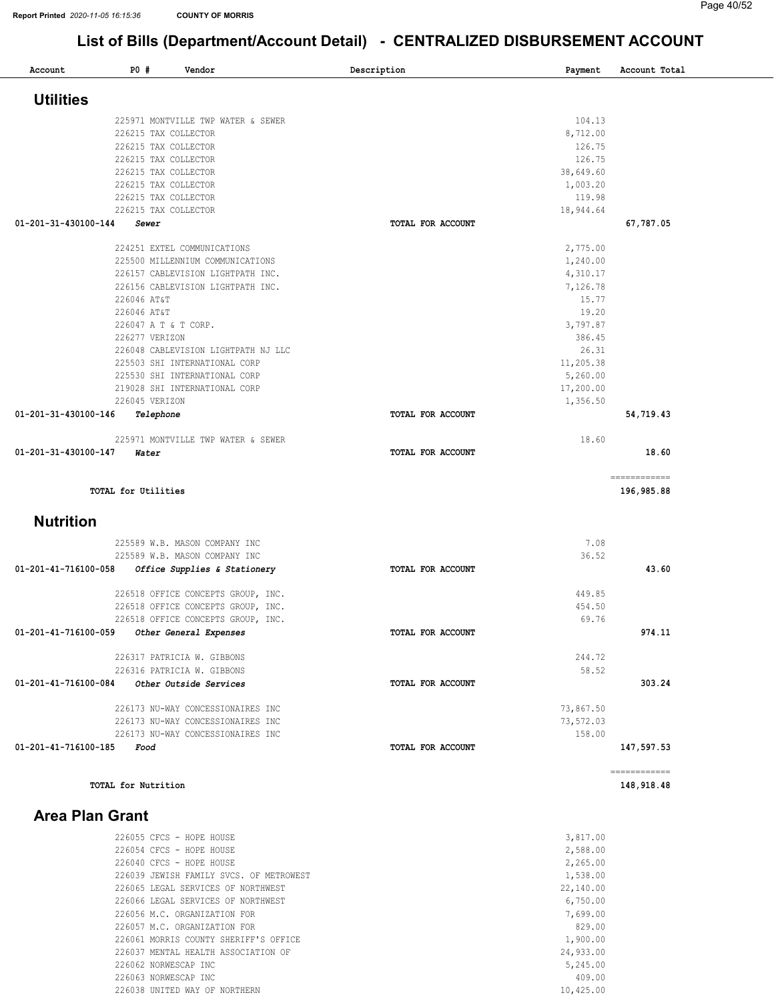| Account                   | P0 #                 | Vendor                                                                   | Description       | Payment   | Account Total             |
|---------------------------|----------------------|--------------------------------------------------------------------------|-------------------|-----------|---------------------------|
|                           |                      |                                                                          |                   |           |                           |
| <b>Utilities</b>          |                      |                                                                          |                   |           |                           |
|                           |                      | 225971 MONTVILLE TWP WATER & SEWER                                       |                   | 104.13    |                           |
|                           | 226215 TAX COLLECTOR |                                                                          |                   | 8,712.00  |                           |
|                           | 226215 TAX COLLECTOR |                                                                          |                   | 126.75    |                           |
|                           | 226215 TAX COLLECTOR |                                                                          |                   | 126.75    |                           |
|                           | 226215 TAX COLLECTOR |                                                                          |                   | 38,649.60 |                           |
|                           | 226215 TAX COLLECTOR |                                                                          |                   | 1,003.20  |                           |
|                           | 226215 TAX COLLECTOR |                                                                          |                   | 119.98    |                           |
|                           | 226215 TAX COLLECTOR |                                                                          |                   | 18,944.64 |                           |
| 01-201-31-430100-144      | Sewer                |                                                                          | TOTAL FOR ACCOUNT |           | 67,787.05                 |
|                           |                      | 224251 EXTEL COMMUNICATIONS                                              |                   | 2,775.00  |                           |
|                           |                      | 225500 MILLENNIUM COMMUNICATIONS                                         |                   | 1,240.00  |                           |
|                           |                      | 226157 CABLEVISION LIGHTPATH INC.                                        |                   | 4,310.17  |                           |
|                           |                      | 226156 CABLEVISION LIGHTPATH INC.                                        |                   | 7,126.78  |                           |
|                           | 226046 AT&T          |                                                                          |                   | 15.77     |                           |
|                           | 226046 AT&T          |                                                                          |                   | 19.20     |                           |
|                           | 226047 A T & T CORP. |                                                                          |                   | 3,797.87  |                           |
|                           | 226277 VERIZON       |                                                                          |                   | 386.45    |                           |
|                           |                      | 226048 CABLEVISION LIGHTPATH NJ LLC                                      |                   | 26.31     |                           |
|                           |                      | 225503 SHI INTERNATIONAL CORP                                            |                   | 11,205.38 |                           |
|                           |                      | 225530 SHI INTERNATIONAL CORP                                            |                   | 5,260.00  |                           |
|                           |                      | 219028 SHI INTERNATIONAL CORP                                            |                   | 17,200.00 |                           |
|                           | 226045 VERIZON       |                                                                          |                   | 1,356.50  |                           |
| 01-201-31-430100-146      | Telephone            |                                                                          | TOTAL FOR ACCOUNT |           | 54,719.43                 |
|                           |                      | 225971 MONTVILLE TWP WATER & SEWER                                       |                   | 18.60     |                           |
| 01-201-31-430100-147      | Water                |                                                                          | TOTAL FOR ACCOUNT |           | 18.60                     |
|                           |                      |                                                                          |                   |           | ============              |
|                           | TOTAL for Utilities  |                                                                          |                   |           | 196,985.88                |
| <b>Nutrition</b>          |                      |                                                                          |                   |           |                           |
|                           |                      | 225589 W.B. MASON COMPANY INC                                            |                   | 7.08      |                           |
|                           |                      | 225589 W.B. MASON COMPANY INC                                            |                   | 36.52     |                           |
| 01-201-41-716100-058      |                      | Office Supplies & Stationery                                             | TOTAL FOR ACCOUNT |           | 43.60                     |
|                           |                      |                                                                          |                   | 449.85    |                           |
|                           |                      | 226518 OFFICE CONCEPTS GROUP, INC.<br>226518 OFFICE CONCEPTS GROUP, INC. |                   | 454.50    |                           |
|                           |                      | 226518 OFFICE CONCEPTS GROUP, INC.                                       |                   | 69.76     |                           |
| 01-201-41-716100-059      |                      | Other General Expenses                                                   | TOTAL FOR ACCOUNT |           | 974.11                    |
|                           |                      |                                                                          |                   |           |                           |
|                           |                      | 226317 PATRICIA W. GIBBONS                                               |                   | 244.72    |                           |
|                           |                      | 226316 PATRICIA W. GIBBONS                                               |                   | 58.52     |                           |
| 01-201-41-716100-084      |                      | Other Outside Services                                                   | TOTAL FOR ACCOUNT |           | 303.24                    |
|                           |                      | 226173 NU-WAY CONCESSIONAIRES INC                                        |                   | 73,867.50 |                           |
|                           |                      | 226173 NU-WAY CONCESSIONAIRES INC                                        |                   | 73,572.03 |                           |
|                           |                      | 226173 NU-WAY CONCESSIONAIRES INC                                        |                   | 158.00    |                           |
| 01-201-41-716100-185 Food |                      |                                                                          | TOTAL FOR ACCOUNT |           | 147,597.53                |
|                           |                      |                                                                          |                   |           |                           |
|                           | TOTAL for Nutrition  |                                                                          |                   |           | ===========<br>148,918.48 |

### Area Plan Grant

| $226055$ CFCS - HOPE HOUSE              | 3,817.00  |
|-----------------------------------------|-----------|
| $226054$ CFCS - HOPE HOUSE              | 2,588.00  |
| $226040$ CFCS - HOPE HOUSE              | 2,265.00  |
| 226039 JEWISH FAMILY SVCS. OF METROWEST | 1,538.00  |
| 226065 LEGAL SERVICES OF NORTHWEST      | 22,140.00 |
| 226066 LEGAL SERVICES OF NORTHWEST      | 6,750.00  |
| 226056 M.C. ORGANIZATION FOR            | 7,699.00  |
| 226057 M.C. ORGANIZATION FOR            | 829.00    |
| 226061 MORRIS COUNTY SHERIFF'S OFFICE   | 1,900.00  |
| 226037 MENTAL HEALTH ASSOCIATION OF     | 24,933.00 |
| 226062 NORWESCAP INC                    | 5,245.00  |
| 226063 NORWESCAP INC                    | 409.00    |
| 226038 UNITED WAY OF NORTHERN           | 10,425.00 |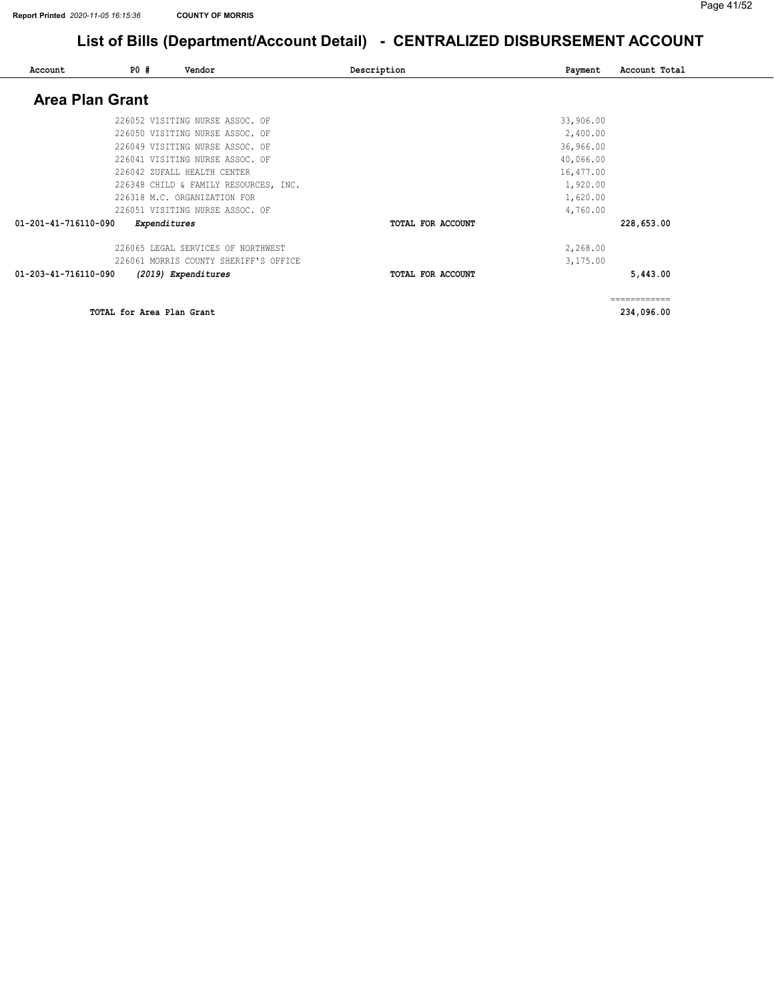| Account                | <b>PO #</b>  | Vendor                                | Description       | Payment   | Account Total |
|------------------------|--------------|---------------------------------------|-------------------|-----------|---------------|
| <b>Area Plan Grant</b> |              |                                       |                   |           |               |
|                        |              | 226052 VISITING NURSE ASSOC. OF       |                   | 33,906.00 |               |
|                        |              | 226050 VISITING NURSE ASSOC. OF       |                   | 2,400.00  |               |
|                        |              | 226049 VISITING NURSE ASSOC. OF       |                   | 36,966.00 |               |
|                        |              | 226041 VISITING NURSE ASSOC. OF       |                   | 40,066.00 |               |
|                        |              | 226042 ZUFALL HEALTH CENTER           |                   | 16,477.00 |               |
|                        |              | 226348 CHILD & FAMILY RESOURCES, INC. |                   | 1,920.00  |               |
|                        |              | 226318 M.C. ORGANIZATION FOR          |                   | 1,620.00  |               |
|                        |              | 226051 VISITING NURSE ASSOC. OF       |                   | 4,760.00  |               |
| 01-201-41-716110-090   | Expenditures |                                       | TOTAL FOR ACCOUNT |           | 228,653.00    |
|                        |              | 226065 LEGAL SERVICES OF NORTHWEST    |                   | 2,268.00  |               |
|                        |              | 226061 MORRIS COUNTY SHERIFF'S OFFICE |                   | 3,175.00  |               |
| 01-203-41-716110-090   |              | (2019) Expenditures                   | TOTAL FOR ACCOUNT |           | 5,443.00      |
|                        |              |                                       |                   |           | ============  |

TOTAL for Area Plan Grant 234,096.00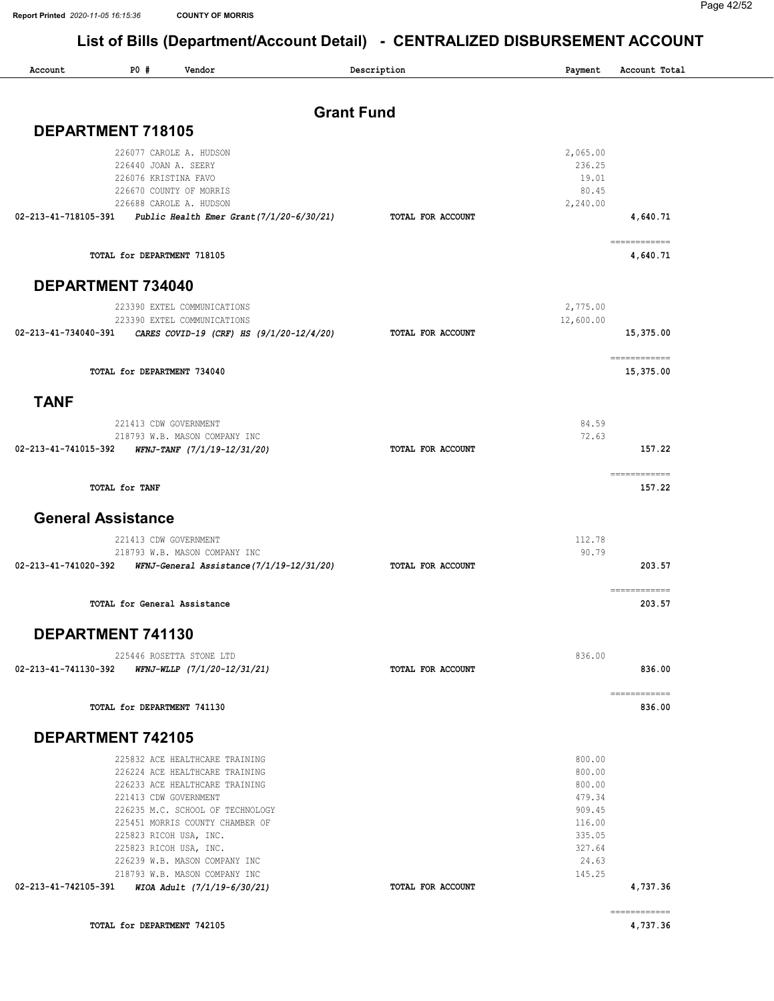| Account                  | P0#                          | Vendor                                                                                    | Description       | Payment          | Account Total             |
|--------------------------|------------------------------|-------------------------------------------------------------------------------------------|-------------------|------------------|---------------------------|
|                          |                              |                                                                                           |                   |                  |                           |
| DEPARTMENT 718105        |                              |                                                                                           | <b>Grant Fund</b> |                  |                           |
|                          |                              | 226077 CAROLE A. HUDSON                                                                   |                   | 2,065.00         |                           |
|                          | 226440 JOAN A. SEERY         |                                                                                           |                   | 236.25           |                           |
|                          | 226076 KRISTINA FAVO         |                                                                                           |                   | 19.01            |                           |
|                          | 226670 COUNTY OF MORRIS      |                                                                                           |                   | 80.45            |                           |
|                          |                              | 226688 CAROLE A. HUDSON<br>02-213-41-718105-391  Public Health Emer Grant(7/1/20-6/30/21) | TOTAL FOR ACCOUNT | 2,240.00         | 4,640.71                  |
|                          |                              |                                                                                           |                   |                  | ------------              |
|                          | TOTAL for DEPARTMENT 718105  |                                                                                           |                   |                  | 4,640.71                  |
| DEPARTMENT 734040        |                              |                                                                                           |                   |                  |                           |
|                          |                              | 223390 EXTEL COMMUNICATIONS                                                               |                   | 2,775.00         |                           |
|                          |                              | 223390 EXTEL COMMUNICATIONS                                                               |                   | 12,600.00        |                           |
| 02-213-41-734040-391     |                              | CARES COVID-19 (CRF) HS (9/1/20-12/4/20)                                                  | TOTAL FOR ACCOUNT |                  | 15,375.00                 |
|                          | TOTAL for DEPARTMENT 734040  |                                                                                           |                   |                  | ============<br>15,375.00 |
| <b>TANF</b>              |                              |                                                                                           |                   |                  |                           |
|                          | 221413 CDW GOVERNMENT        |                                                                                           |                   | 84.59            |                           |
|                          |                              | 218793 W.B. MASON COMPANY INC                                                             |                   | 72.63            |                           |
| 02-213-41-741015-392     |                              | WFNJ-TANF (7/1/19-12/31/20)                                                               | TOTAL FOR ACCOUNT |                  | 157.22                    |
|                          | TOTAL for TANF               |                                                                                           |                   |                  | ============<br>157.22    |
|                          | <b>General Assistance</b>    |                                                                                           |                   |                  |                           |
|                          | 221413 CDW GOVERNMENT        |                                                                                           |                   | 112.78           |                           |
|                          |                              | 218793 W.B. MASON COMPANY INC                                                             |                   | 90.79            |                           |
|                          |                              | 02-213-41-741020-392     WFNJ-General Assistance(7/1/19-12/31/20)                         | TOTAL FOR ACCOUNT |                  | 203.57                    |
|                          | TOTAL for General Assistance |                                                                                           |                   |                  | ============<br>203.57    |
| DEPARTMENT 741130        |                              |                                                                                           |                   |                  |                           |
|                          |                              | 225446 ROSETTA STONE LTD                                                                  |                   | 836.00           |                           |
|                          |                              | 02-213-41-741130-392     WFNJ-WLLP (7/1/20-12/31/21)                                      | TOTAL FOR ACCOUNT |                  | 836.00                    |
|                          |                              |                                                                                           |                   |                  | ============              |
|                          | TOTAL for DEPARTMENT 741130  |                                                                                           |                   |                  | 836.00                    |
| <b>DEPARTMENT 742105</b> |                              |                                                                                           |                   |                  |                           |
|                          |                              | 225832 ACE HEALTHCARE TRAINING                                                            |                   | 800.00           |                           |
|                          |                              | 226224 ACE HEALTHCARE TRAINING                                                            |                   | 800.00           |                           |
|                          |                              | 226233 ACE HEALTHCARE TRAINING                                                            |                   | 800.00           |                           |
|                          | 221413 CDW GOVERNMENT        | 226235 M.C. SCHOOL OF TECHNOLOGY                                                          |                   | 479.34<br>909.45 |                           |
|                          |                              | 225451 MORRIS COUNTY CHAMBER OF                                                           |                   | 116.00           |                           |
|                          | 225823 RICOH USA, INC.       |                                                                                           |                   | 335.05           |                           |
|                          | 225823 RICOH USA, INC.       |                                                                                           |                   | 327.64           |                           |
|                          |                              | 226239 W.B. MASON COMPANY INC                                                             |                   | 24.63            |                           |
|                          |                              | 218793 W.B. MASON COMPANY INC                                                             | TOTAL FOR ACCOUNT | 145.25           | 4,737.36                  |
|                          |                              |                                                                                           |                   |                  | ============              |
|                          | TOTAL for DEPARTMENT 742105  |                                                                                           |                   |                  | 4,737.36                  |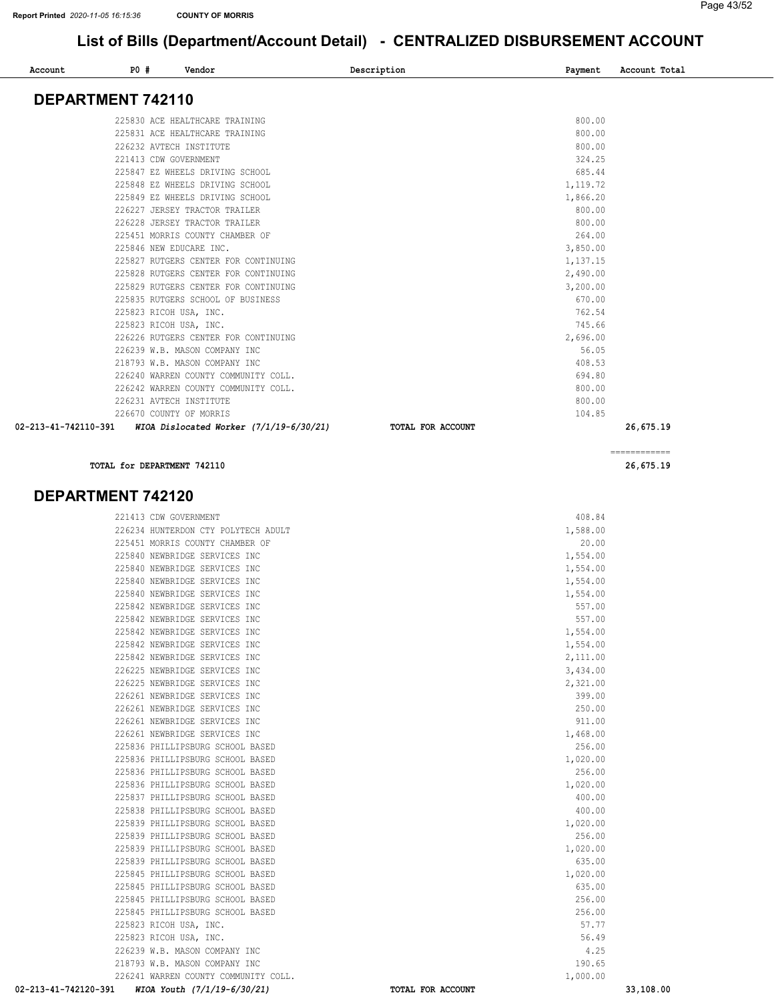| Account              | P0# | Vendor                                    | Description       | Payment  | Account Total |
|----------------------|-----|-------------------------------------------|-------------------|----------|---------------|
| DEPARTMENT 742110    |     |                                           |                   |          |               |
|                      |     | 225830 ACE HEALTHCARE TRAINING            |                   | 800.00   |               |
|                      |     | 225831 ACE HEALTHCARE TRAINING            |                   | 800.00   |               |
|                      |     | 226232 AVTECH INSTITUTE                   |                   | 800.00   |               |
|                      |     | 221413 CDW GOVERNMENT                     |                   | 324.25   |               |
|                      |     | 225847 EZ WHEELS DRIVING SCHOOL           |                   | 685.44   |               |
|                      |     | 225848 EZ WHEELS DRIVING SCHOOL           |                   | 1,119.72 |               |
|                      |     | 225849 EZ WHEELS DRIVING SCHOOL           |                   | 1,866.20 |               |
|                      |     | 226227 JERSEY TRACTOR TRAILER             |                   | 800.00   |               |
|                      |     | 226228 JERSEY TRACTOR TRAILER             |                   | 800.00   |               |
|                      |     | 225451 MORRIS COUNTY CHAMBER OF           |                   | 264.00   |               |
|                      |     | 225846 NEW EDUCARE INC.                   |                   | 3,850.00 |               |
|                      |     | 225827 RUTGERS CENTER FOR CONTINUING      |                   | 1,137.15 |               |
|                      |     | 225828 RUTGERS CENTER FOR CONTINUING      |                   | 2,490.00 |               |
|                      |     | 225829 RUTGERS CENTER FOR CONTINUING      |                   | 3,200.00 |               |
|                      |     | 225835 RUTGERS SCHOOL OF BUSINESS         |                   | 670.00   |               |
|                      |     | 225823 RICOH USA, INC.                    |                   | 762.54   |               |
|                      |     | 225823 RICOH USA, INC.                    |                   | 745.66   |               |
|                      |     | 226226 RUTGERS CENTER FOR CONTINUING      |                   | 2,696.00 |               |
|                      |     | 226239 W.B. MASON COMPANY INC             |                   | 56.05    |               |
|                      |     | 218793 W.B. MASON COMPANY INC             |                   | 408.53   |               |
|                      |     | 226240 WARREN COUNTY COMMUNITY COLL.      |                   | 694.80   |               |
|                      |     | 226242 WARREN COUNTY COMMUNITY COLL.      |                   | 800.00   |               |
|                      |     | 226231 AVTECH INSTITUTE                   |                   | 800.00   |               |
|                      |     | 226670 COUNTY OF MORRIS                   |                   | 104.85   |               |
| 02-213-41-742110-391 |     | WIOA Dislocated Worker $(7/1/19-6/30/21)$ | TOTAL FOR ACCOUNT |          | 26,675.19     |
|                      |     |                                           |                   |          |               |

TOTAL for DEPARTMENT 742110

#### DEPARTMENT 742120

| 02-213-41-742120-391 | WIOA Youth (7/1/19-6/30/21)          | TOTAL FOR ACCOUNT | 33,108.00 |
|----------------------|--------------------------------------|-------------------|-----------|
|                      | 226241 WARREN COUNTY COMMUNITY COLL. | 1,000.00          |           |
|                      | 218793 W.B. MASON COMPANY INC        | 190.65            |           |
|                      | 226239 W.B. MASON COMPANY INC        | 4.25              |           |
|                      | 225823 RICOH USA, INC.               | 56.49             |           |
|                      | 225823 RICOH USA, INC.               | 57.77             |           |
|                      | 225845 PHILLIPSBURG SCHOOL BASED     | 256.00            |           |
|                      | 225845 PHILLIPSBURG SCHOOL BASED     | 256.00            |           |
|                      | 225845 PHILLIPSBURG SCHOOL BASED     | 635.00            |           |
|                      | 225845 PHILLIPSBURG SCHOOL BASED     | 1,020.00          |           |
|                      | 225839 PHILLIPSBURG SCHOOL BASED     | 635.00            |           |
|                      | 225839 PHILLIPSBURG SCHOOL BASED     | 1,020.00          |           |
|                      | 225839 PHILLIPSBURG SCHOOL BASED     | 256.00            |           |
|                      | 225839 PHILLIPSBURG SCHOOL BASED     | 1,020.00          |           |
|                      | 225838 PHILLIPSBURG SCHOOL BASED     | 400.00            |           |
|                      | 225837 PHILLIPSBURG SCHOOL BASED     | 400.00            |           |
|                      | 225836 PHILLIPSBURG SCHOOL BASED     | 1,020.00          |           |
|                      | 225836 PHILLIPSBURG SCHOOL BASED     | 256.00            |           |
|                      | 225836 PHILLIPSBURG SCHOOL BASED     | 1,020.00          |           |
|                      | 225836 PHILLIPSBURG SCHOOL BASED     | 256.00            |           |
|                      | 226261 NEWBRIDGE SERVICES INC        | 1,468.00          |           |
|                      | 226261 NEWBRIDGE SERVICES INC        | 911.00            |           |
|                      | 226261 NEWBRIDGE SERVICES INC        | 250.00            |           |
|                      | 226261 NEWBRIDGE SERVICES INC        | 399.00            |           |
|                      | 226225 NEWBRIDGE SERVICES INC        | 2,321.00          |           |
|                      | 226225 NEWBRIDGE SERVICES INC        | 3,434.00          |           |
|                      | 225842 NEWBRIDGE SERVICES INC        | 2,111.00          |           |
|                      | 225842 NEWBRIDGE SERVICES INC        | 1,554.00          |           |
|                      | 225842 NEWBRIDGE SERVICES INC        | 1,554.00          |           |
|                      | 225842 NEWBRIDGE SERVICES INC        | 557.00            |           |
|                      | 225842 NEWBRIDGE SERVICES INC        | 557.00            |           |
|                      | 225840 NEWBRIDGE SERVICES INC        | 1,554.00          |           |
|                      | 225840 NEWBRIDGE SERVICES INC        | 1,554.00          |           |
|                      | 225840 NEWBRIDGE SERVICES INC        | 1,554.00          |           |
|                      | 225840 NEWBRIDGE SERVICES INC        | 1,554.00          |           |
|                      | 225451 MORRIS COUNTY CHAMBER OF      | 20.00             |           |
|                      | 226234 HUNTERDON CTY POLYTECH ADULT  | 1,588.00          |           |
|                      | 221413 CDW GOVERNMENT                | 408.84            |           |

============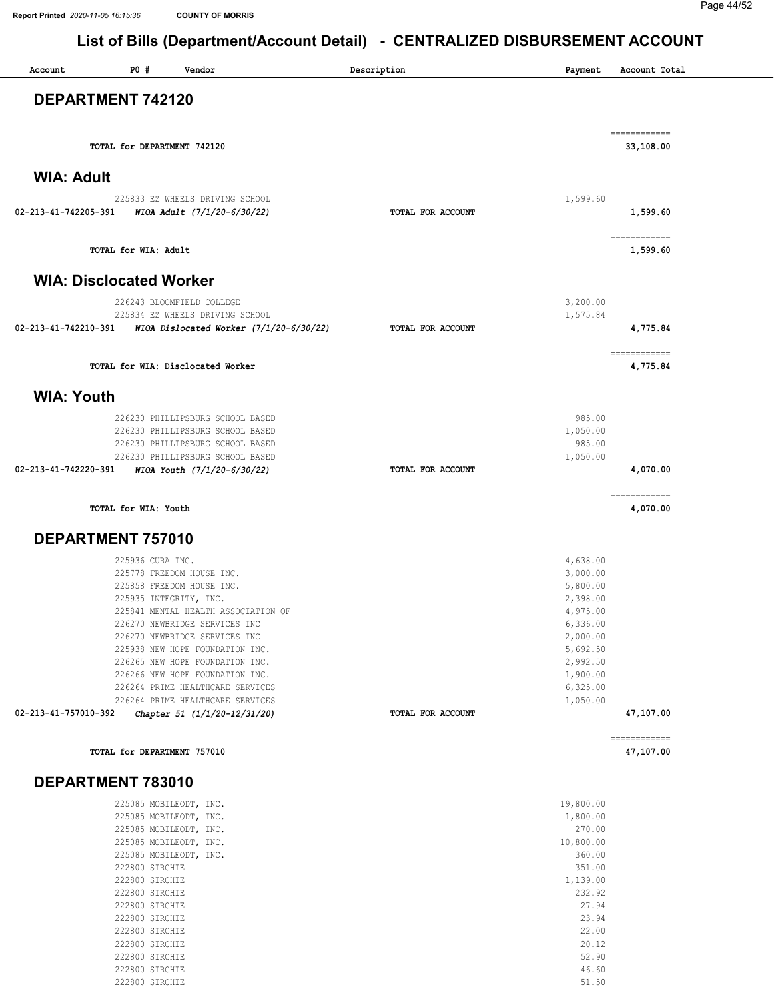| Account              | PO#<br>Vendor                                                        | Description       | Payment              | Account Total             |
|----------------------|----------------------------------------------------------------------|-------------------|----------------------|---------------------------|
|                      | DEPARTMENT 742120                                                    |                   |                      |                           |
|                      |                                                                      |                   |                      |                           |
|                      | TOTAL for DEPARTMENT 742120                                          |                   |                      | ============<br>33,108.00 |
| <b>WIA: Adult</b>    |                                                                      |                   |                      |                           |
|                      |                                                                      |                   |                      |                           |
| 02-213-41-742205-391 | 225833 EZ WHEELS DRIVING SCHOOL<br>WIOA Adult (7/1/20-6/30/22)       | TOTAL FOR ACCOUNT | 1,599.60             | 1,599.60                  |
|                      | TOTAL for WIA: Adult                                                 |                   |                      | ============<br>1,599.60  |
|                      | <b>WIA: Disclocated Worker</b>                                       |                   |                      |                           |
|                      | 226243 BLOOMFIELD COLLEGE                                            |                   | 3,200.00             |                           |
| 02-213-41-742210-391 | 225834 EZ WHEELS DRIVING SCHOOL                                      |                   | 1,575.84             |                           |
|                      | WIOA Dislocated Worker $(7/1/20-6/30/22)$                            | TOTAL FOR ACCOUNT |                      | 4,775.84                  |
|                      | TOTAL for WIA: Disclocated Worker                                    |                   |                      | ============<br>4,775.84  |
| <b>WIA: Youth</b>    |                                                                      |                   |                      |                           |
|                      | 226230 PHILLIPSBURG SCHOOL BASED                                     |                   | 985.00               |                           |
|                      | 226230 PHILLIPSBURG SCHOOL BASED                                     |                   | 1,050.00             |                           |
|                      | 226230 PHILLIPSBURG SCHOOL BASED<br>226230 PHILLIPSBURG SCHOOL BASED |                   | 985.00<br>1,050.00   |                           |
|                      | 02-213-41-742220-391 WIOA Youth (7/1/20-6/30/22)                     | TOTAL FOR ACCOUNT |                      | 4,070.00                  |
|                      | TOTAL for WIA: Youth                                                 |                   |                      | ------------<br>4,070.00  |
| DEPARTMENT 757010    |                                                                      |                   |                      |                           |
|                      | 225936 CURA INC.                                                     |                   | 4,638.00             |                           |
|                      | 225778 FREEDOM HOUSE INC.                                            |                   | 3,000.00             |                           |
|                      | 225858 FREEDOM HOUSE INC.                                            |                   | 5,800.00             |                           |
|                      | 225935 INTEGRITY, INC.                                               |                   | 2,398.00             |                           |
|                      | 225841 MENTAL HEALTH ASSOCIATION OF                                  |                   | 4,975.00             |                           |
|                      | 226270 NEWBRIDGE SERVICES INC                                        |                   | 6,336.00             |                           |
|                      | 226270 NEWBRIDGE SERVICES INC                                        |                   | 2,000.00             |                           |
|                      | 225938 NEW HOPE FOUNDATION INC.<br>226265 NEW HOPE FOUNDATION INC.   |                   | 5,692.50<br>2,992.50 |                           |
|                      | 226266 NEW HOPE FOUNDATION INC.                                      |                   | 1,900.00             |                           |
|                      | 226264 PRIME HEALTHCARE SERVICES                                     |                   | 6,325.00             |                           |
|                      | 226264 PRIME HEALTHCARE SERVICES                                     |                   | 1,050.00             |                           |
| 02-213-41-757010-392 | Chapter 51 (1/1/20-12/31/20)                                         | TOTAL FOR ACCOUNT |                      | 47,107.00                 |
|                      | TOTAL for DEPARTMENT 757010                                          |                   |                      | ------------<br>47,107.00 |
|                      |                                                                      |                   |                      |                           |
|                      | DEPARTMENT 783010<br>225085 MOBILEODT, INC.                          |                   | 19,800.00            |                           |
|                      | 225085 MOBILEODT, INC.                                               |                   | 1,800.00             |                           |
|                      | 225085 MOBILEODT, INC.                                               |                   | 270.00               |                           |
|                      | 225085 MOBILEODT, INC.                                               |                   | 10,800.00            |                           |
|                      | 225085 MOBILEODT, INC.                                               |                   | 360.00               |                           |
|                      | 222800 SIRCHIE                                                       |                   | 351.00               |                           |
|                      |                                                                      |                   |                      |                           |

| 225085 MOBILEODT, INC. | 360.00   |
|------------------------|----------|
| 222800 SIRCHIE         | 351.00   |
| 222800 SIRCHIE         | 1,139.00 |
| 222800 SIRCHIE         | 232.92   |
| 222800 SIRCHIE         | 27.94    |
| 222800 SIRCHIE         | 23.94    |
| 222800 STRCHTE         | 22.00    |
| 222800 SIRCHIE         | 20.12    |
| 222800 SIRCHIE         | 52.90    |
| 222800 SIRCHIE         | 46.60    |
| 222800 SIRCHIE         | 51.50    |
|                        |          |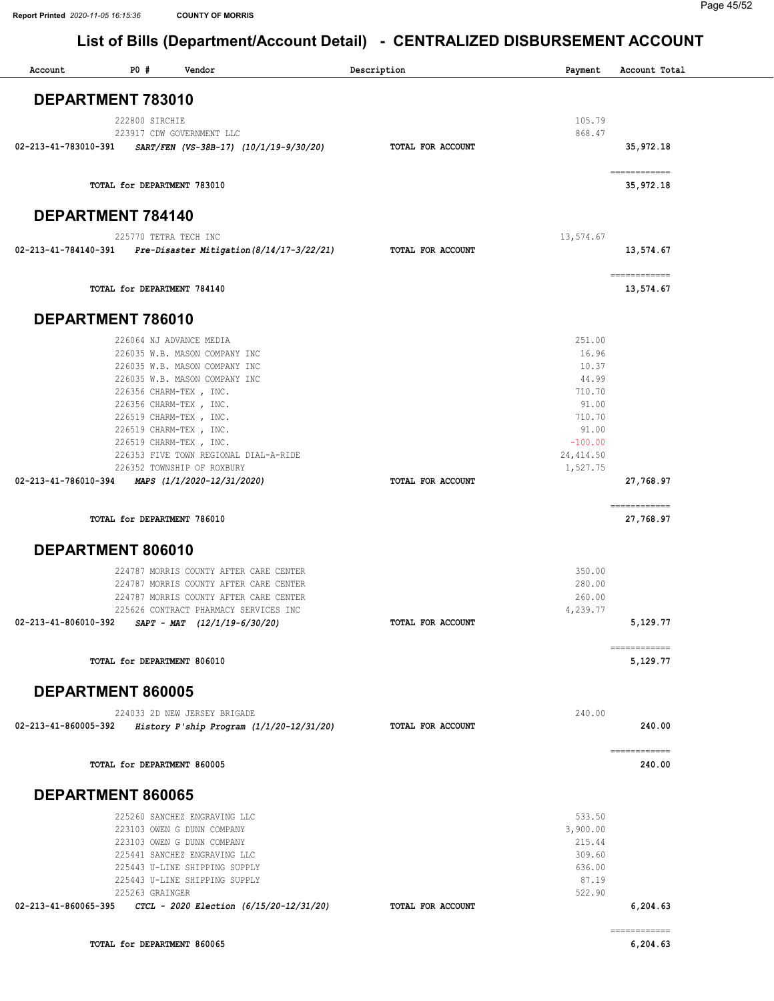| P0#<br>Account<br>Vendor                                                         | Description       | Payment          | Account Total                                                                                                                                                                                                                                                                                                                                                                                                                                                                                       |
|----------------------------------------------------------------------------------|-------------------|------------------|-----------------------------------------------------------------------------------------------------------------------------------------------------------------------------------------------------------------------------------------------------------------------------------------------------------------------------------------------------------------------------------------------------------------------------------------------------------------------------------------------------|
| DEPARTMENT 783010                                                                |                   |                  |                                                                                                                                                                                                                                                                                                                                                                                                                                                                                                     |
| 222800 SIRCHIE                                                                   |                   | 105.79           |                                                                                                                                                                                                                                                                                                                                                                                                                                                                                                     |
| 223917 CDW GOVERNMENT LLC                                                        |                   | 868.47           |                                                                                                                                                                                                                                                                                                                                                                                                                                                                                                     |
| 02-213-41-783010-391<br>SART/FEN (VS-38B-17) (10/1/19-9/30/20)                   | TOTAL FOR ACCOUNT |                  | 35,972.18                                                                                                                                                                                                                                                                                                                                                                                                                                                                                           |
| TOTAL for DEPARTMENT 783010                                                      |                   |                  | ============<br>35,972.18                                                                                                                                                                                                                                                                                                                                                                                                                                                                           |
| <b>DEPARTMENT 784140</b>                                                         |                   |                  |                                                                                                                                                                                                                                                                                                                                                                                                                                                                                                     |
| 225770 TETRA TECH INC                                                            |                   | 13,574.67        |                                                                                                                                                                                                                                                                                                                                                                                                                                                                                                     |
| 02-213-41-784140-391 Pre-Disaster Mitigation (8/14/17-3/22/21)                   | TOTAL FOR ACCOUNT |                  | 13,574.67                                                                                                                                                                                                                                                                                                                                                                                                                                                                                           |
| TOTAL for DEPARTMENT 784140                                                      |                   |                  | $\begin{array}{cccccccccc} \multicolumn{2}{c}{} & \multicolumn{2}{c}{} & \multicolumn{2}{c}{} & \multicolumn{2}{c}{} & \multicolumn{2}{c}{} & \multicolumn{2}{c}{} & \multicolumn{2}{c}{} & \multicolumn{2}{c}{} & \multicolumn{2}{c}{} & \multicolumn{2}{c}{} & \multicolumn{2}{c}{} & \multicolumn{2}{c}{} & \multicolumn{2}{c}{} & \multicolumn{2}{c}{} & \multicolumn{2}{c}{} & \multicolumn{2}{c}{} & \multicolumn{2}{c}{} & \multicolumn{2}{c}{} & \multicolumn{2}{c}{} & \mult$<br>13,574.67 |
| DEPARTMENT 786010                                                                |                   |                  |                                                                                                                                                                                                                                                                                                                                                                                                                                                                                                     |
| 226064 NJ ADVANCE MEDIA                                                          |                   | 251.00           |                                                                                                                                                                                                                                                                                                                                                                                                                                                                                                     |
| 226035 W.B. MASON COMPANY INC                                                    |                   | 16.96            |                                                                                                                                                                                                                                                                                                                                                                                                                                                                                                     |
| 226035 W.B. MASON COMPANY INC                                                    |                   | 10.37            |                                                                                                                                                                                                                                                                                                                                                                                                                                                                                                     |
| 226035 W.B. MASON COMPANY INC<br>226356 CHARM-TEX, INC.                          |                   | 44.99<br>710.70  |                                                                                                                                                                                                                                                                                                                                                                                                                                                                                                     |
| 226356 CHARM-TEX, INC.                                                           |                   | 91.00            |                                                                                                                                                                                                                                                                                                                                                                                                                                                                                                     |
| 226519 CHARM-TEX, INC.                                                           |                   | 710.70           |                                                                                                                                                                                                                                                                                                                                                                                                                                                                                                     |
| 226519 CHARM-TEX, INC.                                                           |                   | 91.00            |                                                                                                                                                                                                                                                                                                                                                                                                                                                                                                     |
| 226519 CHARM-TEX, INC.                                                           |                   | $-100.00$        |                                                                                                                                                                                                                                                                                                                                                                                                                                                                                                     |
| 226353 FIVE TOWN REGIONAL DIAL-A-RIDE                                            |                   | 24, 414.50       |                                                                                                                                                                                                                                                                                                                                                                                                                                                                                                     |
| 226352 TOWNSHIP OF ROXBURY<br>02-213-41-786010-394 MAPS (1/1/2020-12/31/2020)    | TOTAL FOR ACCOUNT | 1,527.75         | 27,768.97                                                                                                                                                                                                                                                                                                                                                                                                                                                                                           |
| TOTAL for DEPARTMENT 786010                                                      |                   |                  | ------------<br>27,768.97                                                                                                                                                                                                                                                                                                                                                                                                                                                                           |
|                                                                                  |                   |                  |                                                                                                                                                                                                                                                                                                                                                                                                                                                                                                     |
| DEPARTMENT 806010                                                                |                   |                  |                                                                                                                                                                                                                                                                                                                                                                                                                                                                                                     |
| 224787 MORRIS COUNTY AFTER CARE CENTER                                           |                   | 350.00           |                                                                                                                                                                                                                                                                                                                                                                                                                                                                                                     |
| 224787 MORRIS COUNTY AFTER CARE CENTER<br>224787 MORRIS COUNTY AFTER CARE CENTER |                   | 280.00<br>260.00 |                                                                                                                                                                                                                                                                                                                                                                                                                                                                                                     |
| 225626 CONTRACT PHARMACY SERVICES INC                                            |                   | 4,239.77         |                                                                                                                                                                                                                                                                                                                                                                                                                                                                                                     |
| 02-213-41-806010-392<br>$SAPT - MAT$ $(12/1/19-6/30/20)$                         | TOTAL FOR ACCOUNT |                  | 5,129.77                                                                                                                                                                                                                                                                                                                                                                                                                                                                                            |
| TOTAL for DEPARTMENT 806010                                                      |                   |                  | ============<br>5,129.77                                                                                                                                                                                                                                                                                                                                                                                                                                                                            |
| DEPARTMENT 860005                                                                |                   |                  |                                                                                                                                                                                                                                                                                                                                                                                                                                                                                                     |
| 224033 2D NEW JERSEY BRIGADE                                                     |                   | 240.00           |                                                                                                                                                                                                                                                                                                                                                                                                                                                                                                     |
| History P'ship Program $(1/1/20-12/31/20)$<br>02-213-41-860005-392               | TOTAL FOR ACCOUNT |                  | 240.00                                                                                                                                                                                                                                                                                                                                                                                                                                                                                              |
| TOTAL for DEPARTMENT 860005                                                      |                   |                  | ============<br>240.00                                                                                                                                                                                                                                                                                                                                                                                                                                                                              |
| DEPARTMENT 860065                                                                |                   |                  |                                                                                                                                                                                                                                                                                                                                                                                                                                                                                                     |
| 225260 SANCHEZ ENGRAVING LLC                                                     |                   | 533.50           |                                                                                                                                                                                                                                                                                                                                                                                                                                                                                                     |
| 223103 OWEN G DUNN COMPANY                                                       |                   | 3,900.00         |                                                                                                                                                                                                                                                                                                                                                                                                                                                                                                     |
| 223103 OWEN G DUNN COMPANY                                                       |                   | 215.44           |                                                                                                                                                                                                                                                                                                                                                                                                                                                                                                     |
| 225441 SANCHEZ ENGRAVING LLC<br>225443 U-LINE SHIPPING SUPPLY                    |                   | 309.60<br>636.00 |                                                                                                                                                                                                                                                                                                                                                                                                                                                                                                     |
| 225443 U-LINE SHIPPING SUPPLY                                                    |                   | 87.19            |                                                                                                                                                                                                                                                                                                                                                                                                                                                                                                     |
| 225263 GRAINGER                                                                  |                   | 522.90           |                                                                                                                                                                                                                                                                                                                                                                                                                                                                                                     |
| 02-213-41-860065-395<br>CTCL - 2020 Election (6/15/20-12/31/20)                  | TOTAL FOR ACCOUNT |                  | 6,204.63                                                                                                                                                                                                                                                                                                                                                                                                                                                                                            |
| TOTAL for DEPARTMENT 860065                                                      |                   |                  | ------------<br>6,204.63                                                                                                                                                                                                                                                                                                                                                                                                                                                                            |
|                                                                                  |                   |                  |                                                                                                                                                                                                                                                                                                                                                                                                                                                                                                     |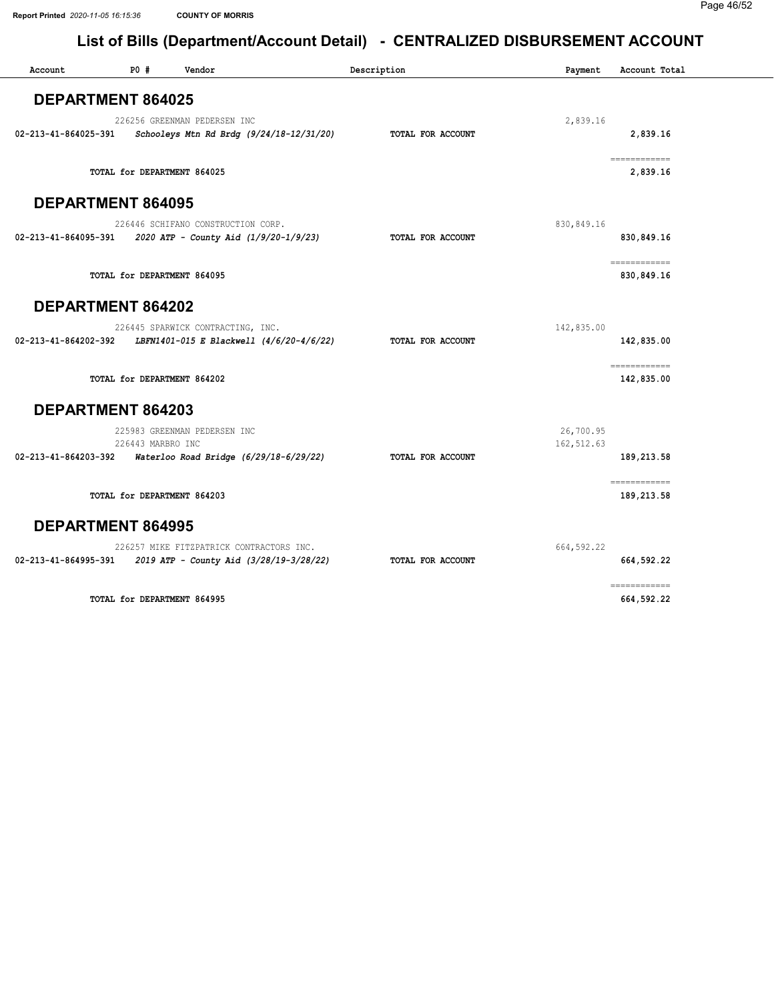| Account                  | P0#               | Vendor                                                                                             | Description       | Payment                  | Account Total               |
|--------------------------|-------------------|----------------------------------------------------------------------------------------------------|-------------------|--------------------------|-----------------------------|
| <b>DEPARTMENT 864025</b> |                   |                                                                                                    |                   |                          |                             |
| 02-213-41-864025-391     |                   | 226256 GREENMAN PEDERSEN INC<br>Schooleys Mtn Rd Brdg (9/24/18-12/31/20)                           | TOTAL FOR ACCOUNT | 2,839.16                 | 2,839.16                    |
|                          |                   | TOTAL for DEPARTMENT 864025                                                                        |                   |                          | ============<br>2,839.16    |
| <b>DEPARTMENT 864095</b> |                   |                                                                                                    |                   |                          |                             |
| 02-213-41-864095-391     |                   | 226446 SCHIFANO CONSTRUCTION CORP.<br>2020 ATP - County Aid (1/9/20-1/9/23)                        | TOTAL FOR ACCOUNT | 830,849.16               | 830, 849.16                 |
|                          |                   | TOTAL for DEPARTMENT 864095                                                                        |                   |                          | -------------<br>830,849.16 |
| DEPARTMENT 864202        |                   |                                                                                                    |                   |                          |                             |
|                          |                   | 226445 SPARWICK CONTRACTING, INC.<br>02-213-41-864202-392 LBFN1401-015 E Blackwell (4/6/20-4/6/22) | TOTAL FOR ACCOUNT | 142,835.00               | 142,835.00                  |
|                          |                   | TOTAL for DEPARTMENT 864202                                                                        |                   |                          | ============<br>142,835.00  |
| DEPARTMENT 864203        |                   |                                                                                                    |                   |                          |                             |
| 02-213-41-864203-392     | 226443 MARBRO INC | 225983 GREENMAN PEDERSEN INC<br>Waterloo Road Bridge (6/29/18-6/29/22)                             | TOTAL FOR ACCOUNT | 26,700.95<br>162, 512.63 | 189,213.58                  |
|                          |                   | TOTAL for DEPARTMENT 864203                                                                        |                   |                          | ============<br>189,213.58  |
| <b>DEPARTMENT 864995</b> |                   |                                                                                                    |                   |                          |                             |
| 02-213-41-864995-391     |                   | 226257 MIKE FITZPATRICK CONTRACTORS INC.<br>2019 ATP - County Aid (3/28/19-3/28/22)                | TOTAL FOR ACCOUNT | 664, 592.22              | 664,592.22                  |
|                          |                   | TOTAL for DEPARTMENT 864995                                                                        |                   |                          | ------------<br>664,592.22  |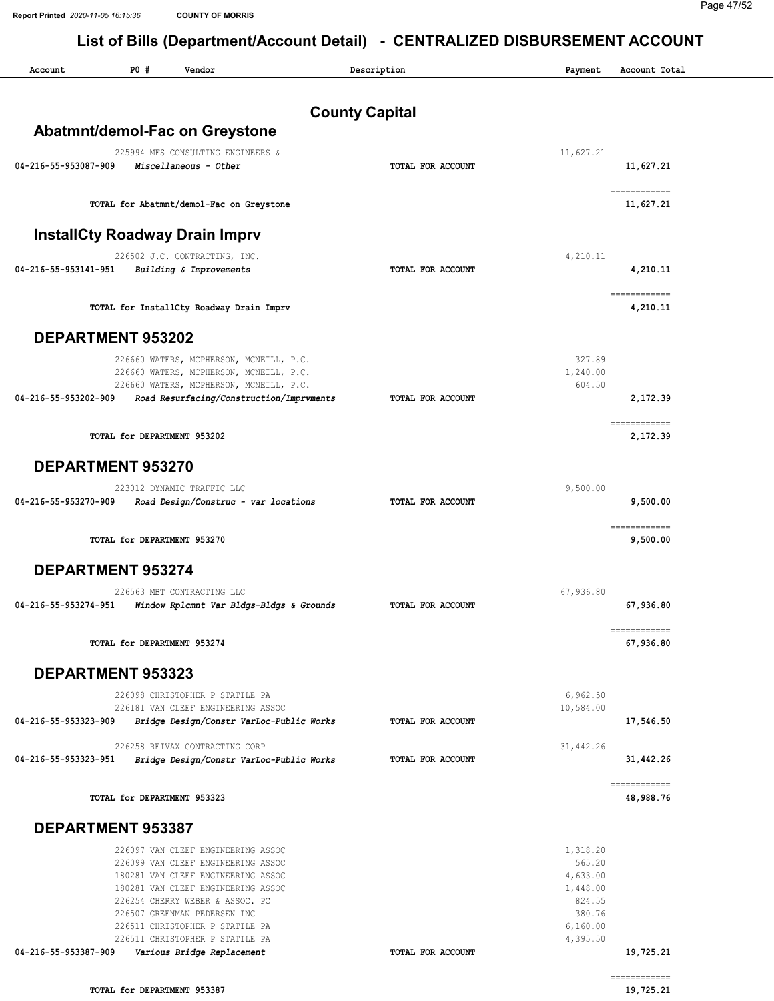| Account                  | P0#                         | Vendor                                                                                                                                                                                                                  | Description           | Payment                                                        | Account Total                                                                                                                                                                                                                                                                                                                                                                                                                                                                                       |
|--------------------------|-----------------------------|-------------------------------------------------------------------------------------------------------------------------------------------------------------------------------------------------------------------------|-----------------------|----------------------------------------------------------------|-----------------------------------------------------------------------------------------------------------------------------------------------------------------------------------------------------------------------------------------------------------------------------------------------------------------------------------------------------------------------------------------------------------------------------------------------------------------------------------------------------|
|                          |                             |                                                                                                                                                                                                                         | <b>County Capital</b> |                                                                |                                                                                                                                                                                                                                                                                                                                                                                                                                                                                                     |
|                          |                             | Abatmnt/demol-Fac on Greystone                                                                                                                                                                                          |                       |                                                                |                                                                                                                                                                                                                                                                                                                                                                                                                                                                                                     |
| 04-216-55-953087-909     |                             | 225994 MFS CONSULTING ENGINEERS &<br>Miscellaneous - Other                                                                                                                                                              | TOTAL FOR ACCOUNT     | 11,627.21                                                      | 11,627.21                                                                                                                                                                                                                                                                                                                                                                                                                                                                                           |
|                          |                             | TOTAL for Abatmnt/demol-Fac on Greystone                                                                                                                                                                                |                       |                                                                | ============<br>11,627.21                                                                                                                                                                                                                                                                                                                                                                                                                                                                           |
|                          |                             | <b>InstallCty Roadway Drain Imprv</b>                                                                                                                                                                                   |                       |                                                                |                                                                                                                                                                                                                                                                                                                                                                                                                                                                                                     |
| 04-216-55-953141-951     |                             | 226502 J.C. CONTRACTING, INC.<br>Building & Improvements                                                                                                                                                                | TOTAL FOR ACCOUNT     | 4,210.11                                                       | 4,210.11                                                                                                                                                                                                                                                                                                                                                                                                                                                                                            |
|                          |                             | TOTAL for InstallCty Roadway Drain Imprv                                                                                                                                                                                |                       |                                                                | ============<br>4,210.11                                                                                                                                                                                                                                                                                                                                                                                                                                                                            |
| DEPARTMENT 953202        |                             |                                                                                                                                                                                                                         |                       |                                                                |                                                                                                                                                                                                                                                                                                                                                                                                                                                                                                     |
| 04-216-55-953202-909     |                             | 226660 WATERS, MCPHERSON, MCNEILL, P.C.<br>226660 WATERS, MCPHERSON, MCNEILL, P.C.<br>226660 WATERS, MCPHERSON, MCNEILL, P.C.<br>Road Resurfacing/Construction/Imprvments                                               | TOTAL FOR ACCOUNT     | 327.89<br>1,240.00<br>604.50                                   | 2,172.39                                                                                                                                                                                                                                                                                                                                                                                                                                                                                            |
|                          | TOTAL for DEPARTMENT 953202 |                                                                                                                                                                                                                         |                       |                                                                | ============<br>2,172.39                                                                                                                                                                                                                                                                                                                                                                                                                                                                            |
| DEPARTMENT 953270        |                             |                                                                                                                                                                                                                         |                       |                                                                |                                                                                                                                                                                                                                                                                                                                                                                                                                                                                                     |
| 04-216-55-953270-909     |                             | 223012 DYNAMIC TRAFFIC LLC<br>Road Design/Construc - var locations                                                                                                                                                      | TOTAL FOR ACCOUNT     | 9,500.00                                                       | 9,500.00                                                                                                                                                                                                                                                                                                                                                                                                                                                                                            |
|                          | TOTAL for DEPARTMENT 953270 |                                                                                                                                                                                                                         |                       |                                                                | ============<br>9,500.00                                                                                                                                                                                                                                                                                                                                                                                                                                                                            |
| <b>DEPARTMENT 953274</b> |                             |                                                                                                                                                                                                                         |                       |                                                                |                                                                                                                                                                                                                                                                                                                                                                                                                                                                                                     |
| 04-216-55-953274-951     |                             | 226563 MBT CONTRACTING LLC<br>Window Rplcmnt Var Bldgs-Bldgs & Grounds                                                                                                                                                  | TOTAL FOR ACCOUNT     | 67,936.80                                                      | 67,936.80                                                                                                                                                                                                                                                                                                                                                                                                                                                                                           |
|                          | TOTAL for DEPARTMENT 953274 |                                                                                                                                                                                                                         |                       |                                                                | $\begin{array}{cccccccccc} \multicolumn{2}{c}{} & \multicolumn{2}{c}{} & \multicolumn{2}{c}{} & \multicolumn{2}{c}{} & \multicolumn{2}{c}{} & \multicolumn{2}{c}{} & \multicolumn{2}{c}{} & \multicolumn{2}{c}{} & \multicolumn{2}{c}{} & \multicolumn{2}{c}{} & \multicolumn{2}{c}{} & \multicolumn{2}{c}{} & \multicolumn{2}{c}{} & \multicolumn{2}{c}{} & \multicolumn{2}{c}{} & \multicolumn{2}{c}{} & \multicolumn{2}{c}{} & \multicolumn{2}{c}{} & \multicolumn{2}{c}{} & \mult$<br>67,936.80 |
| <b>DEPARTMENT 953323</b> |                             |                                                                                                                                                                                                                         |                       |                                                                |                                                                                                                                                                                                                                                                                                                                                                                                                                                                                                     |
|                          |                             | 226098 CHRISTOPHER P STATILE PA<br>226181 VAN CLEEF ENGINEERING ASSOC                                                                                                                                                   |                       | 6,962.50<br>10,584.00                                          |                                                                                                                                                                                                                                                                                                                                                                                                                                                                                                     |
| 04-216-55-953323-909     |                             | Bridge Design/Constr VarLoc-Public Works                                                                                                                                                                                | TOTAL FOR ACCOUNT     |                                                                | 17,546.50                                                                                                                                                                                                                                                                                                                                                                                                                                                                                           |
| 04-216-55-953323-951     |                             | 226258 REIVAX CONTRACTING CORP<br>Bridge Design/Constr VarLoc-Public Works                                                                                                                                              | TOTAL FOR ACCOUNT     | 31,442.26                                                      | 31,442.26                                                                                                                                                                                                                                                                                                                                                                                                                                                                                           |
|                          | TOTAL for DEPARTMENT 953323 |                                                                                                                                                                                                                         |                       |                                                                | ------------<br>48,988.76                                                                                                                                                                                                                                                                                                                                                                                                                                                                           |
| <b>DEPARTMENT 953387</b> |                             |                                                                                                                                                                                                                         |                       |                                                                |                                                                                                                                                                                                                                                                                                                                                                                                                                                                                                     |
|                          |                             | 226097 VAN CLEEF ENGINEERING ASSOC<br>226099 VAN CLEEF ENGINEERING ASSOC<br>180281 VAN CLEEF ENGINEERING ASSOC<br>180281 VAN CLEEF ENGINEERING ASSOC<br>226254 CHERRY WEBER & ASSOC. PC<br>226507 GREENMAN PEDERSEN INC |                       | 1,318.20<br>565.20<br>4,633.00<br>1,448.00<br>824.55<br>380.76 |                                                                                                                                                                                                                                                                                                                                                                                                                                                                                                     |
| 04-216-55-953387-909     |                             | 226511 CHRISTOPHER P STATILE PA<br>226511 CHRISTOPHER P STATILE PA<br>Various Bridge Replacement                                                                                                                        | TOTAL FOR ACCOUNT     | 6,160.00<br>4,395.50                                           | 19,725.21<br>$\begin{array}{cccccccccc} \multicolumn{2}{c}{} & \multicolumn{2}{c}{} & \multicolumn{2}{c}{} & \multicolumn{2}{c}{} & \multicolumn{2}{c}{} & \multicolumn{2}{c}{} & \multicolumn{2}{c}{} & \multicolumn{2}{c}{} & \multicolumn{2}{c}{} & \multicolumn{2}{c}{} & \multicolumn{2}{c}{} & \multicolumn{2}{c}{} & \multicolumn{2}{c}{} & \multicolumn{2}{c}{} & \multicolumn{2}{c}{} & \multicolumn{2}{c}{} & \multicolumn{2}{c}{} & \multicolumn{2}{c}{} & \multicolumn{2}{c}{} & \mult$ |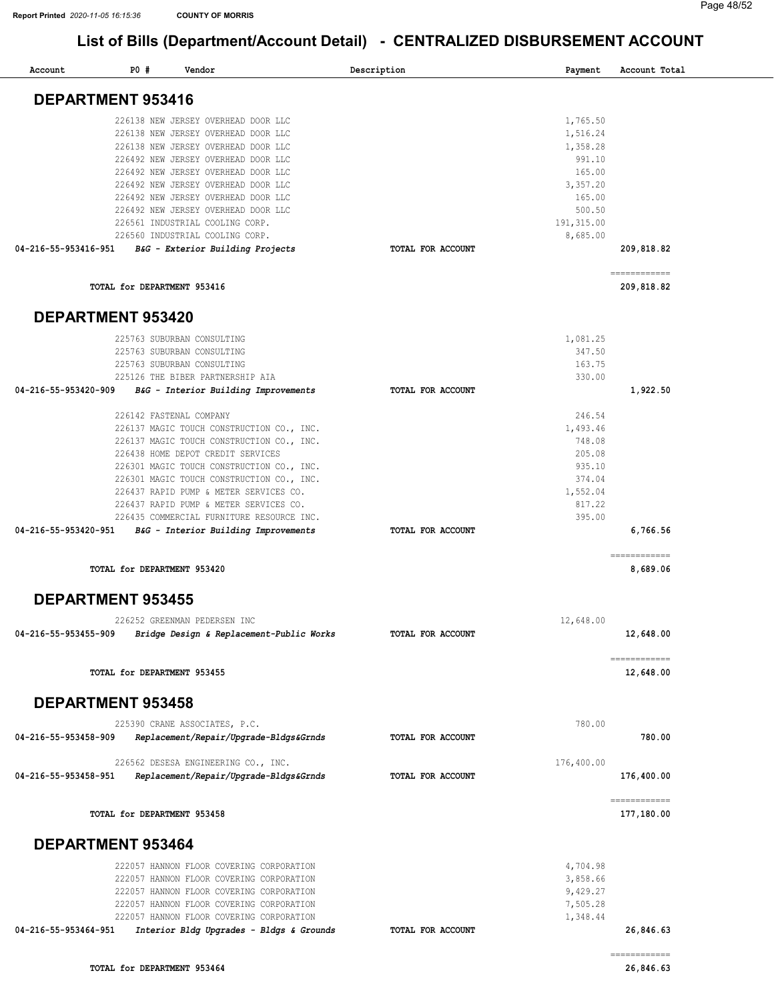| Account                  | P0# | Vendor                                                   | Description       | Payment          | Account Total              |
|--------------------------|-----|----------------------------------------------------------|-------------------|------------------|----------------------------|
| <b>DEPARTMENT 953416</b> |     |                                                          |                   |                  |                            |
|                          |     | 226138 NEW JERSEY OVERHEAD DOOR LLC                      |                   | 1,765.50         |                            |
|                          |     | 226138 NEW JERSEY OVERHEAD DOOR LLC                      |                   | 1,516.24         |                            |
|                          |     | 226138 NEW JERSEY OVERHEAD DOOR LLC                      |                   | 1,358.28         |                            |
|                          |     | 226492 NEW JERSEY OVERHEAD DOOR LLC                      |                   | 991.10           |                            |
|                          |     | 226492 NEW JERSEY OVERHEAD DOOR LLC                      |                   | 165.00           |                            |
|                          |     | 226492 NEW JERSEY OVERHEAD DOOR LLC                      |                   | 3,357.20         |                            |
|                          |     | 226492 NEW JERSEY OVERHEAD DOOR LLC                      |                   | 165.00           |                            |
|                          |     | 226492 NEW JERSEY OVERHEAD DOOR LLC                      |                   | 500.50           |                            |
|                          |     | 226561 INDUSTRIAL COOLING CORP.                          |                   | 191, 315.00      |                            |
|                          |     | 226560 INDUSTRIAL COOLING CORP.                          |                   | 8,685.00         |                            |
| 04-216-55-953416-951     |     | B&G - Exterior Building Projects                         | TOTAL FOR ACCOUNT |                  | 209,818.82                 |
|                          |     | TOTAL for DEPARTMENT 953416                              |                   |                  | ------------<br>209,818.82 |
| DEPARTMENT 953420        |     |                                                          |                   |                  |                            |
|                          |     |                                                          |                   |                  |                            |
|                          |     | 225763 SUBURBAN CONSULTING                               |                   | 1,081.25         |                            |
|                          |     | 225763 SUBURBAN CONSULTING<br>225763 SUBURBAN CONSULTING |                   | 347.50<br>163.75 |                            |
|                          |     | 225126 THE BIBER PARTNERSHIP AIA                         |                   | 330.00           |                            |
| 04-216-55-953420-909     |     | B&G - Interior Building Improvements                     | TOTAL FOR ACCOUNT |                  | 1,922.50                   |
|                          |     |                                                          |                   |                  |                            |
|                          |     | 226142 FASTENAL COMPANY                                  |                   | 246.54           |                            |
|                          |     | 226137 MAGIC TOUCH CONSTRUCTION CO., INC.                |                   | 1,493.46         |                            |
|                          |     | 226137 MAGIC TOUCH CONSTRUCTION CO., INC.                |                   | 748.08           |                            |
|                          |     | 226438 HOME DEPOT CREDIT SERVICES                        |                   | 205.08           |                            |
|                          |     | 226301 MAGIC TOUCH CONSTRUCTION CO., INC.                |                   | 935.10           |                            |
|                          |     | 226301 MAGIC TOUCH CONSTRUCTION CO., INC.                |                   | 374.04           |                            |
|                          |     | 226437 RAPID PUMP & METER SERVICES CO.                   |                   | 1,552.04         |                            |
|                          |     | 226437 RAPID PUMP & METER SERVICES CO.                   |                   | 817.22           |                            |
|                          |     | 226435 COMMERCIAL FURNITURE RESOURCE INC.                |                   | 395.00           |                            |
| 04-216-55-953420-951     |     | B&G - Interior Building Improvements                     | TOTAL FOR ACCOUNT |                  | 6,766.56                   |
|                          |     | TOTAL for DEPARTMENT 953420                              |                   |                  | ------------<br>8,689.06   |
| <b>DEPARTMENT 953455</b> |     |                                                          |                   |                  |                            |
|                          |     | 226252 GREENMAN PEDERSEN INC                             |                   | 12,648.00        |                            |
| 04-216-55-953455-909     |     | Bridge Design & Replacement-Public Works                 | TOTAL FOR ACCOUNT |                  | 12,648.00                  |
|                          |     |                                                          |                   |                  | ============               |
|                          |     | TOTAL for DEPARTMENT 953455                              |                   |                  | 12,648.00                  |
| <b>DEPARTMENT 953458</b> |     |                                                          |                   |                  |                            |
|                          |     | 225390 CRANE ASSOCIATES, P.C.                            |                   | 780.00           |                            |
| 04-216-55-953458-909     |     | Replacement/Repair/Upgrade-Bldgs&Grnds                   | TOTAL FOR ACCOUNT |                  | 780.00                     |
|                          |     | 226562 DESESA ENGINEERING CO., INC.                      |                   | 176,400.00       |                            |
| 04-216-55-953458-951     |     | Replacement/Repair/Upgrade-Bldgs&Grnds                   | TOTAL FOR ACCOUNT |                  | 176,400.00                 |
|                          |     | TOTAL for DEPARTMENT 953458                              |                   |                  | ============<br>177,180.00 |
| DEPARTMENT 953464        |     |                                                          |                   |                  |                            |
|                          |     | 222057 HANNON FLOOR COVERING CORPORATION                 |                   | 4,704.98         |                            |
|                          |     | 222057 HANNON FLOOR COVERING CORPORATION                 |                   | 3,858.66         |                            |
|                          |     | 222057 HANNON FLOOR COVERING CORPORATION                 |                   | 9,429.27         |                            |
|                          |     | 222057 HANNON FLOOR COVERING CORPORATION                 |                   | 7,505.28         |                            |
|                          |     | 222057 HANNON FLOOR COVERING CORPORATION                 |                   | 1,348.44         |                            |
| 04-216-55-953464-951     |     | Interior Bldg Upgrades - Bldgs & Grounds                 | TOTAL FOR ACCOUNT |                  | 26,846.63                  |
|                          |     |                                                          |                   |                  |                            |
|                          |     |                                                          |                   |                  | ------------               |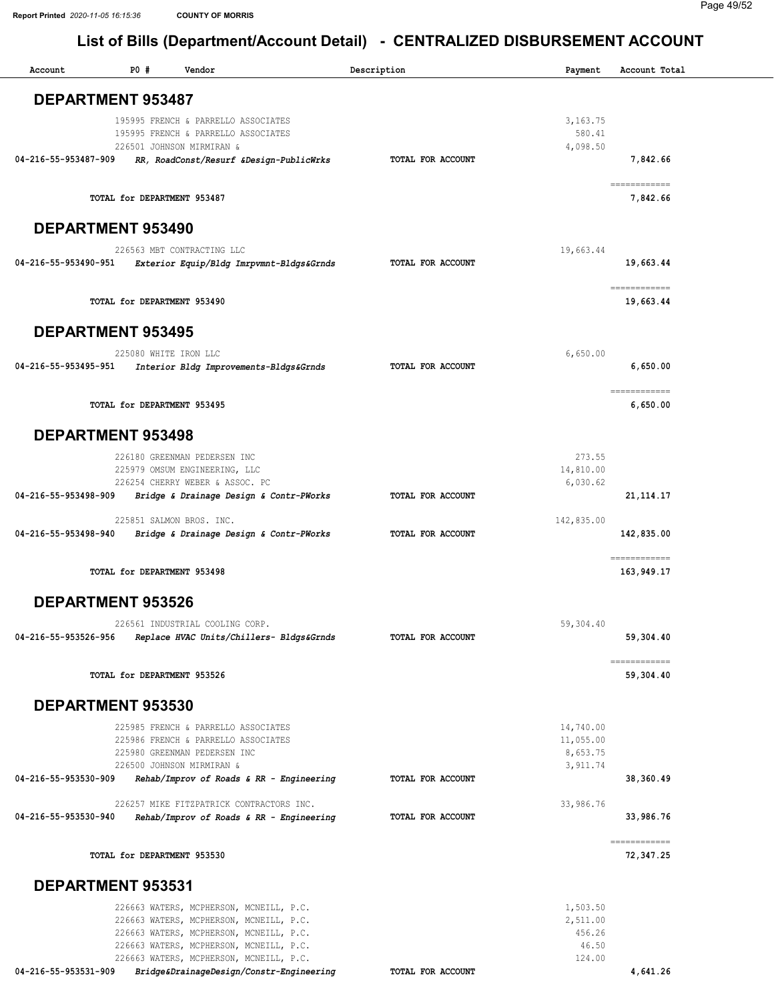#### Page 49/52

| Account              | P0#                                                       | Vendor                                                                                                                                                                                                              | Description       | Payment                                           | Account Total             |
|----------------------|-----------------------------------------------------------|---------------------------------------------------------------------------------------------------------------------------------------------------------------------------------------------------------------------|-------------------|---------------------------------------------------|---------------------------|
|                      | <b>DEPARTMENT 953487</b>                                  |                                                                                                                                                                                                                     |                   |                                                   |                           |
|                      | 226501 JOHNSON MIRMIRAN &                                 | 195995 FRENCH & PARRELLO ASSOCIATES<br>195995 FRENCH & PARRELLO ASSOCIATES                                                                                                                                          |                   | 3,163.75<br>580.41<br>4,098.50                    |                           |
| 04-216-55-953487-909 |                                                           | RR, RoadConst/Resurf &Design-PublicWrks                                                                                                                                                                             | TOTAL FOR ACCOUNT |                                                   | 7,842.66<br>============  |
|                      | TOTAL for DEPARTMENT 953487                               |                                                                                                                                                                                                                     |                   |                                                   | 7,842.66                  |
|                      | DEPARTMENT 953490                                         |                                                                                                                                                                                                                     |                   |                                                   |                           |
| 04-216-55-953490-951 | 226563 MBT CONTRACTING LLC                                | Exterior Equip/Bldg Imrpvmnt-Bldgs&Grnds                                                                                                                                                                            | TOTAL FOR ACCOUNT | 19,663.44                                         | 19,663.44<br>------------ |
|                      | TOTAL for DEPARTMENT 953490                               |                                                                                                                                                                                                                     |                   |                                                   | 19,663.44                 |
|                      | <b>DEPARTMENT 953495</b>                                  |                                                                                                                                                                                                                     |                   |                                                   |                           |
| 04-216-55-953495-951 | 225080 WHITE IRON LLC                                     | Interior Bldg Improvements-Bldgs&Grnds                                                                                                                                                                              | TOTAL FOR ACCOUNT | 6,650.00                                          | 6.650.00                  |
|                      | TOTAL for DEPARTMENT 953495                               |                                                                                                                                                                                                                     |                   |                                                   | ============<br>6,650.00  |
|                      | <b>DEPARTMENT 953498</b>                                  |                                                                                                                                                                                                                     |                   |                                                   |                           |
| 04-216-55-953498-909 | 226180 GREENMAN PEDERSEN INC                              | 225979 OMSUM ENGINEERING, LLC<br>226254 CHERRY WEBER & ASSOC. PC<br>Bridge & Drainage Design & Contr-PWorks                                                                                                         | TOTAL FOR ACCOUNT | 273.55<br>14,810.00<br>6,030.62                   | 21, 114. 17               |
| 04-216-55-953498-940 | 225851 SALMON BROS. INC.                                  |                                                                                                                                                                                                                     | TOTAL FOR ACCOUNT | 142,835.00                                        | 142,835.00                |
|                      |                                                           | Bridge & Drainage Design & Contr-PWorks                                                                                                                                                                             |                   |                                                   | ============              |
|                      | TOTAL for DEPARTMENT 953498                               |                                                                                                                                                                                                                     |                   |                                                   | 163,949.17                |
|                      | <b>DEPARTMENT 953526</b>                                  |                                                                                                                                                                                                                     |                   |                                                   |                           |
| 04-216-55-953526-956 |                                                           | 226561 INDUSTRIAL COOLING CORP.<br>Replace HVAC Units/Chillers- Bldgs&Grnds                                                                                                                                         | TOTAL FOR ACCOUNT | 59,304.40                                         | 59,304.40                 |
|                      | TOTAL for DEPARTMENT 953526                               |                                                                                                                                                                                                                     |                   |                                                   | ============<br>59,304.40 |
|                      | DEPARTMENT 953530                                         |                                                                                                                                                                                                                     |                   |                                                   |                           |
|                      | 225980 GREENMAN PEDERSEN INC<br>226500 JOHNSON MIRMIRAN & | 225985 FRENCH & PARRELLO ASSOCIATES<br>225986 FRENCH & PARRELLO ASSOCIATES                                                                                                                                          |                   | 14,740.00<br>11,055.00<br>8,653.75<br>3,911.74    |                           |
| 04-216-55-953530-909 |                                                           | Rehab/Improv of Roads & RR - Engineering                                                                                                                                                                            | TOTAL FOR ACCOUNT |                                                   | 38,360.49                 |
| 04-216-55-953530-940 |                                                           | 226257 MIKE FITZPATRICK CONTRACTORS INC.<br>Rehab/Improv of Roads & RR - Engineering                                                                                                                                | TOTAL FOR ACCOUNT | 33,986.76                                         | 33,986.76                 |
|                      | TOTAL for DEPARTMENT 953530                               |                                                                                                                                                                                                                     |                   |                                                   | ------------<br>72,347.25 |
|                      | DEPARTMENT 953531                                         |                                                                                                                                                                                                                     |                   |                                                   |                           |
|                      |                                                           | 226663 WATERS, MCPHERSON, MCNEILL, P.C.<br>226663 WATERS, MCPHERSON, MCNEILL, P.C.<br>226663 WATERS, MCPHERSON, MCNEILL, P.C.<br>226663 WATERS, MCPHERSON, MCNEILL, P.C.<br>226663 WATERS, MCPHERSON, MCNEILL, P.C. |                   | 1,503.50<br>2,511.00<br>456.26<br>46.50<br>124.00 |                           |
| 04-216-55-953531-909 |                                                           | Bridge&DrainageDesign/Constr-Engineering                                                                                                                                                                            | TOTAL FOR ACCOUNT |                                                   | 4,641.26                  |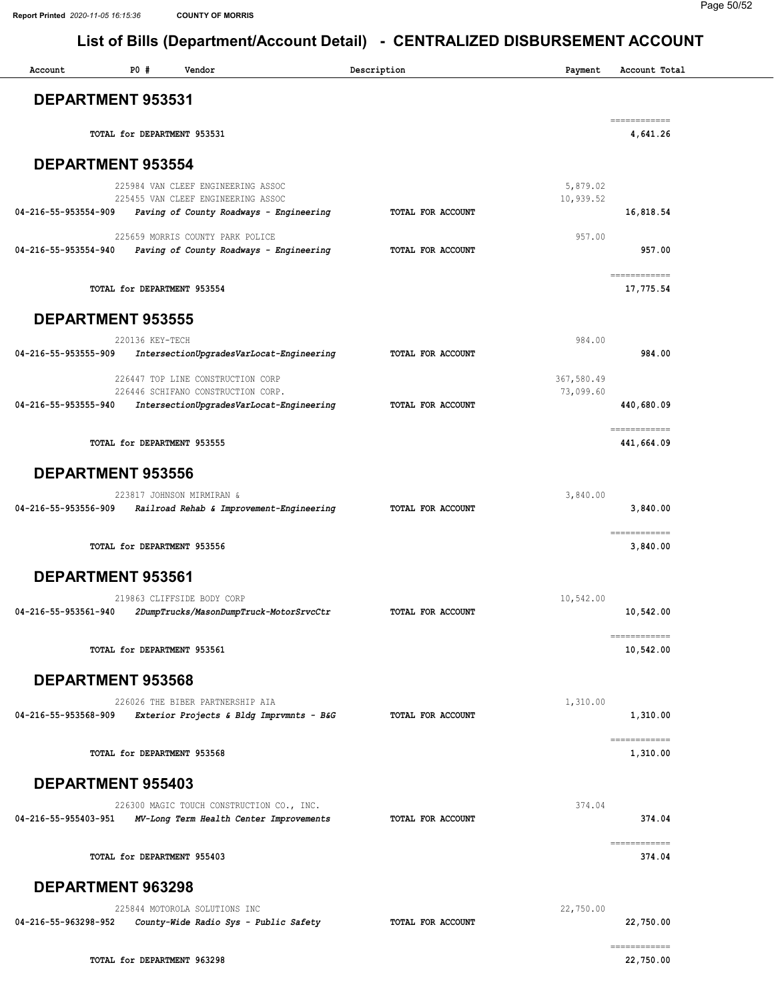#### Page 50/52

| Account                  | P0#             | Vendor                                                                               | Description       | Payment                 | Account Total                                                                                                                                                                                                                                                                                                                                                                                                                                                                                        |
|--------------------------|-----------------|--------------------------------------------------------------------------------------|-------------------|-------------------------|------------------------------------------------------------------------------------------------------------------------------------------------------------------------------------------------------------------------------------------------------------------------------------------------------------------------------------------------------------------------------------------------------------------------------------------------------------------------------------------------------|
| <b>DEPARTMENT 953531</b> |                 |                                                                                      |                   |                         |                                                                                                                                                                                                                                                                                                                                                                                                                                                                                                      |
|                          |                 | TOTAL for DEPARTMENT 953531                                                          |                   |                         | ------------<br>4,641.26                                                                                                                                                                                                                                                                                                                                                                                                                                                                             |
| <b>DEPARTMENT 953554</b> |                 |                                                                                      |                   |                         |                                                                                                                                                                                                                                                                                                                                                                                                                                                                                                      |
|                          |                 | 225984 VAN CLEEF ENGINEERING ASSOC<br>225455 VAN CLEEF ENGINEERING ASSOC             |                   | 5,879.02<br>10,939.52   |                                                                                                                                                                                                                                                                                                                                                                                                                                                                                                      |
| 04-216-55-953554-909     |                 | Paving of County Roadways - Engineering                                              | TOTAL FOR ACCOUNT |                         | 16,818.54                                                                                                                                                                                                                                                                                                                                                                                                                                                                                            |
| 04-216-55-953554-940     |                 | 225659 MORRIS COUNTY PARK POLICE<br>Paving of County Roadways - Engineering          | TOTAL FOR ACCOUNT | 957.00                  | 957.00                                                                                                                                                                                                                                                                                                                                                                                                                                                                                               |
|                          |                 | TOTAL for DEPARTMENT 953554                                                          |                   |                         | ============<br>17,775.54                                                                                                                                                                                                                                                                                                                                                                                                                                                                            |
| <b>DEPARTMENT 953555</b> |                 |                                                                                      |                   |                         |                                                                                                                                                                                                                                                                                                                                                                                                                                                                                                      |
| 04-216-55-953555-909     | 220136 KEY-TECH | IntersectionUpgradesVarLocat-Engineering                                             | TOTAL FOR ACCOUNT | 984.00                  | 984.00                                                                                                                                                                                                                                                                                                                                                                                                                                                                                               |
|                          |                 | 226447 TOP LINE CONSTRUCTION CORP<br>226446 SCHIFANO CONSTRUCTION CORP.              |                   | 367,580.49<br>73,099.60 |                                                                                                                                                                                                                                                                                                                                                                                                                                                                                                      |
| 04-216-55-953555-940     |                 | IntersectionUpgradesVarLocat-Engineering                                             | TOTAL FOR ACCOUNT |                         | 440,680.09                                                                                                                                                                                                                                                                                                                                                                                                                                                                                           |
|                          |                 | TOTAL for DEPARTMENT 953555                                                          |                   |                         | $\begin{array}{cccccccccc} \multicolumn{2}{c}{} & \multicolumn{2}{c}{} & \multicolumn{2}{c}{} & \multicolumn{2}{c}{} & \multicolumn{2}{c}{} & \multicolumn{2}{c}{} & \multicolumn{2}{c}{} & \multicolumn{2}{c}{} & \multicolumn{2}{c}{} & \multicolumn{2}{c}{} & \multicolumn{2}{c}{} & \multicolumn{2}{c}{} & \multicolumn{2}{c}{} & \multicolumn{2}{c}{} & \multicolumn{2}{c}{} & \multicolumn{2}{c}{} & \multicolumn{2}{c}{} & \multicolumn{2}{c}{} & \multicolumn{2}{c}{} & \mult$<br>441,664.09 |
| <b>DEPARTMENT 953556</b> |                 |                                                                                      |                   |                         |                                                                                                                                                                                                                                                                                                                                                                                                                                                                                                      |
| 04-216-55-953556-909     |                 | 223817 JOHNSON MIRMIRAN &<br>Railroad Rehab & Improvement-Engineering                | TOTAL FOR ACCOUNT | 3,840.00                | 3,840.00                                                                                                                                                                                                                                                                                                                                                                                                                                                                                             |
|                          |                 | TOTAL for DEPARTMENT 953556                                                          |                   |                         | ============<br>3,840.00                                                                                                                                                                                                                                                                                                                                                                                                                                                                             |
| DEPARTMENT 953561        |                 |                                                                                      |                   |                         |                                                                                                                                                                                                                                                                                                                                                                                                                                                                                                      |
| 04-216-55-953561-940     |                 | 219863 CLIFFSIDE BODY CORP<br>2DumpTrucks/MasonDumpTruck-MotorSrvcCtr                | TOTAL FOR ACCOUNT | 10,542.00               | 10,542.00                                                                                                                                                                                                                                                                                                                                                                                                                                                                                            |
|                          |                 | TOTAL for DEPARTMENT 953561                                                          |                   |                         | ------------<br>10,542.00                                                                                                                                                                                                                                                                                                                                                                                                                                                                            |
| DEPARTMENT 953568        |                 |                                                                                      |                   |                         |                                                                                                                                                                                                                                                                                                                                                                                                                                                                                                      |
| 04-216-55-953568-909     |                 | 226026 THE BIBER PARTNERSHIP AIA<br>Exterior Projects & Bldg Imprvmnts - B&G         | TOTAL FOR ACCOUNT | 1,310.00                | 1,310.00                                                                                                                                                                                                                                                                                                                                                                                                                                                                                             |
|                          |                 | TOTAL for DEPARTMENT 953568                                                          |                   |                         | ============<br>1,310.00                                                                                                                                                                                                                                                                                                                                                                                                                                                                             |
| <b>DEPARTMENT 955403</b> |                 |                                                                                      |                   |                         |                                                                                                                                                                                                                                                                                                                                                                                                                                                                                                      |
| 04-216-55-955403-951     |                 | 226300 MAGIC TOUCH CONSTRUCTION CO., INC.<br>MV-Long Term Health Center Improvements | TOTAL FOR ACCOUNT | 374.04                  | 374.04                                                                                                                                                                                                                                                                                                                                                                                                                                                                                               |
|                          |                 | TOTAL for DEPARTMENT 955403                                                          |                   |                         | ------------<br>374.04                                                                                                                                                                                                                                                                                                                                                                                                                                                                               |
| <b>DEPARTMENT 963298</b> |                 |                                                                                      |                   |                         |                                                                                                                                                                                                                                                                                                                                                                                                                                                                                                      |
| 04-216-55-963298-952     |                 | 225844 MOTOROLA SOLUTIONS INC<br>County-Wide Radio Sys - Public Safety               | TOTAL FOR ACCOUNT | 22,750.00               | 22,750.00                                                                                                                                                                                                                                                                                                                                                                                                                                                                                            |
|                          |                 | TOTAL for DEPARTMENT 963298                                                          |                   |                         | ============<br>22,750.00                                                                                                                                                                                                                                                                                                                                                                                                                                                                            |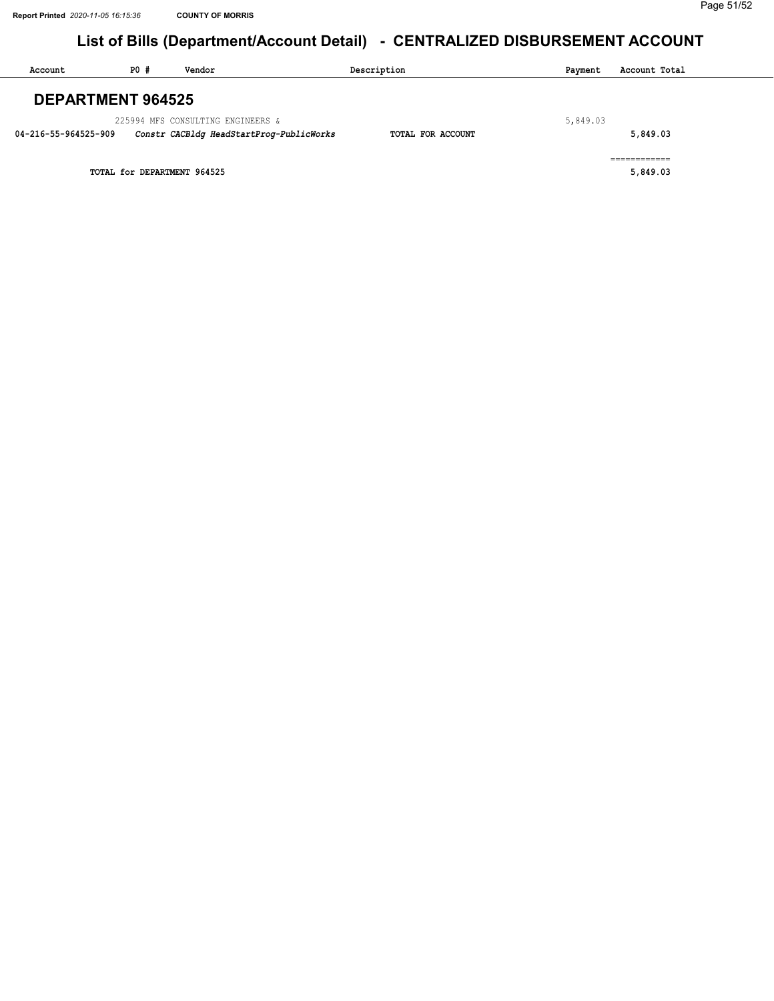| Account                  | PO#                         | Vendor                                   | Description       | Payment  | Account Total |
|--------------------------|-----------------------------|------------------------------------------|-------------------|----------|---------------|
| <b>DEPARTMENT 964525</b> |                             |                                          |                   |          |               |
|                          |                             | 225994 MFS CONSULTING ENGINEERS &        |                   | 5,849.03 |               |
| 04-216-55-964525-909     |                             | Constr CACBldg HeadStartProg-PublicWorks | TOTAL FOR ACCOUNT |          | 5,849.03      |
|                          |                             |                                          |                   |          | ___________   |
|                          | TOTAL for DEPARTMENT 964525 |                                          |                   |          | 5,849.03      |